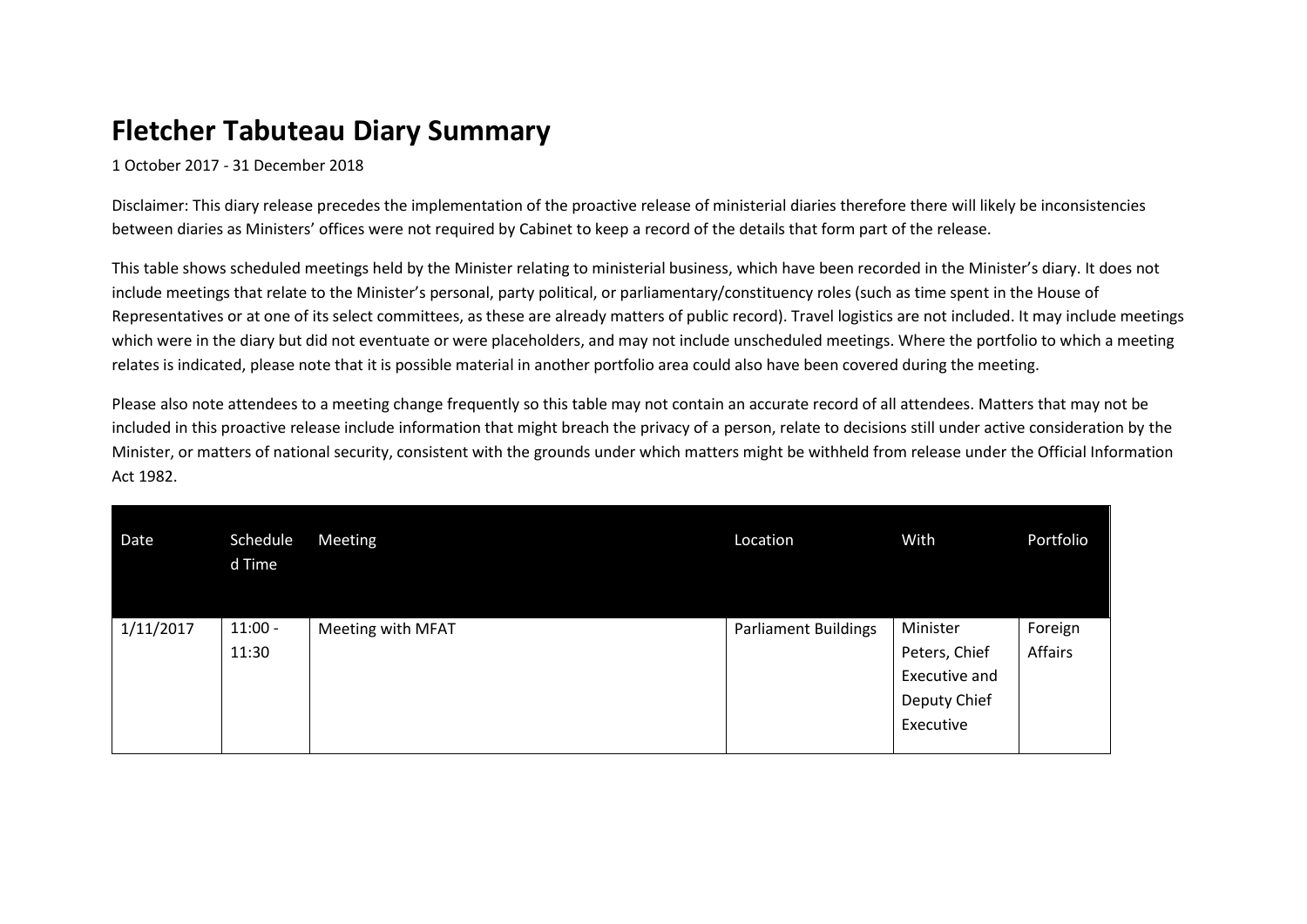## **Fletcher Tabuteau Diary Summary**

1 October 2017 - 31 December 2018

Disclaimer: This diary release precedes the implementation of the proactive release of ministerial diaries therefore there will likely be inconsistencies between diaries as Ministers' offices were not required by Cabinet to keep a record of the details that form part of the release.

This table shows scheduled meetings held by the Minister relating to ministerial business, which have been recorded in the Minister's diary. It does not include meetings that relate to the Minister's personal, party political, or parliamentary/constituency roles (such as time spent in the House of Representatives or at one of its select committees, as these are already matters of public record). Travel logistics are not included. It may include meetings which were in the diary but did not eventuate or were placeholders, and may not include unscheduled meetings. Where the portfolio to which a meeting relates is indicated, please note that it is possible material in another portfolio area could also have been covered during the meeting.

Please also note attendees to a meeting change frequently so this table may not contain an accurate record of all attendees. Matters that may not be included in this proactive release include information that might breach the privacy of a person, relate to decisions still under active consideration by the Minister, or matters of national security, consistent with the grounds under which matters might be withheld from release under the Official Information Act 1982.

| Date      | Schedule<br>d Time | Meeting           | Location                    | With          | Portfolio |
|-----------|--------------------|-------------------|-----------------------------|---------------|-----------|
| 1/11/2017 | $11:00 -$          | Meeting with MFAT | <b>Parliament Buildings</b> | Minister      | Foreign   |
|           | 11:30              |                   |                             | Peters, Chief | Affairs   |
|           |                    |                   |                             | Executive and |           |
|           |                    |                   |                             | Deputy Chief  |           |
|           |                    |                   |                             | Executive     |           |
|           |                    |                   |                             |               |           |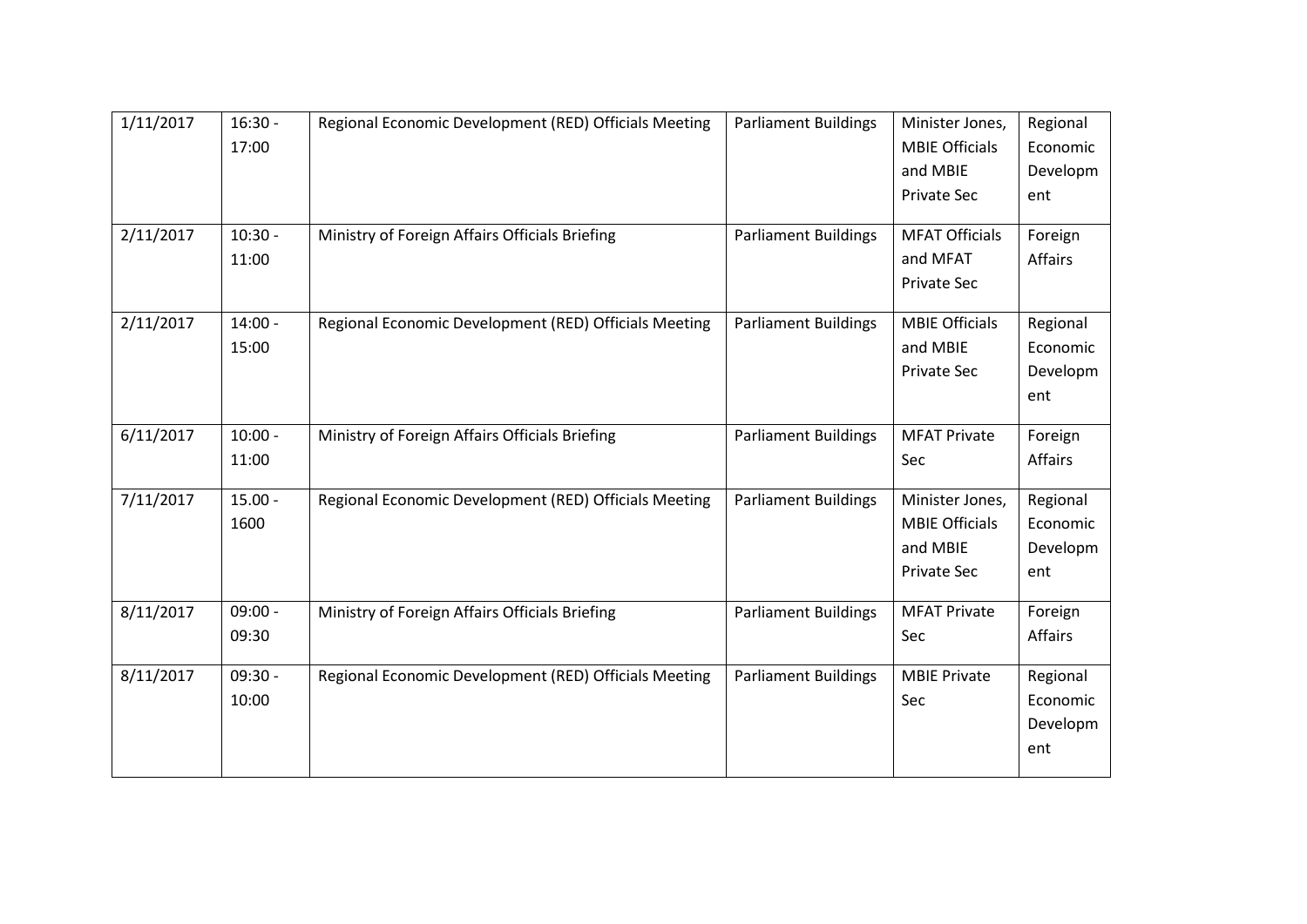| 1/11/2017 | $16:30 -$<br>17:00 | Regional Economic Development (RED) Officials Meeting | <b>Parliament Buildings</b> | Minister Jones,<br><b>MBIE Officials</b><br>and MBIE                | Regional<br>Economic<br>Developm        |
|-----------|--------------------|-------------------------------------------------------|-----------------------------|---------------------------------------------------------------------|-----------------------------------------|
|           |                    |                                                       |                             | <b>Private Sec</b>                                                  | ent                                     |
| 2/11/2017 | $10:30 -$<br>11:00 | Ministry of Foreign Affairs Officials Briefing        | <b>Parliament Buildings</b> | <b>MFAT Officials</b><br>and MFAT<br>Private Sec                    | Foreign<br>Affairs                      |
| 2/11/2017 | $14:00 -$<br>15:00 | Regional Economic Development (RED) Officials Meeting | <b>Parliament Buildings</b> | <b>MBIE Officials</b><br>and MBIE<br><b>Private Sec</b>             | Regional<br>Economic<br>Developm<br>ent |
| 6/11/2017 | $10:00 -$<br>11:00 | Ministry of Foreign Affairs Officials Briefing        | <b>Parliament Buildings</b> | <b>MFAT Private</b><br>Sec                                          | Foreign<br>Affairs                      |
| 7/11/2017 | $15.00 -$<br>1600  | Regional Economic Development (RED) Officials Meeting | <b>Parliament Buildings</b> | Minister Jones,<br><b>MBIE Officials</b><br>and MBIE<br>Private Sec | Regional<br>Economic<br>Developm<br>ent |
| 8/11/2017 | $09:00 -$<br>09:30 | Ministry of Foreign Affairs Officials Briefing        | <b>Parliament Buildings</b> | <b>MFAT Private</b><br>Sec                                          | Foreign<br>Affairs                      |
| 8/11/2017 | $09:30 -$<br>10:00 | Regional Economic Development (RED) Officials Meeting | <b>Parliament Buildings</b> | <b>MBIE Private</b><br>Sec                                          | Regional<br>Economic<br>Developm<br>ent |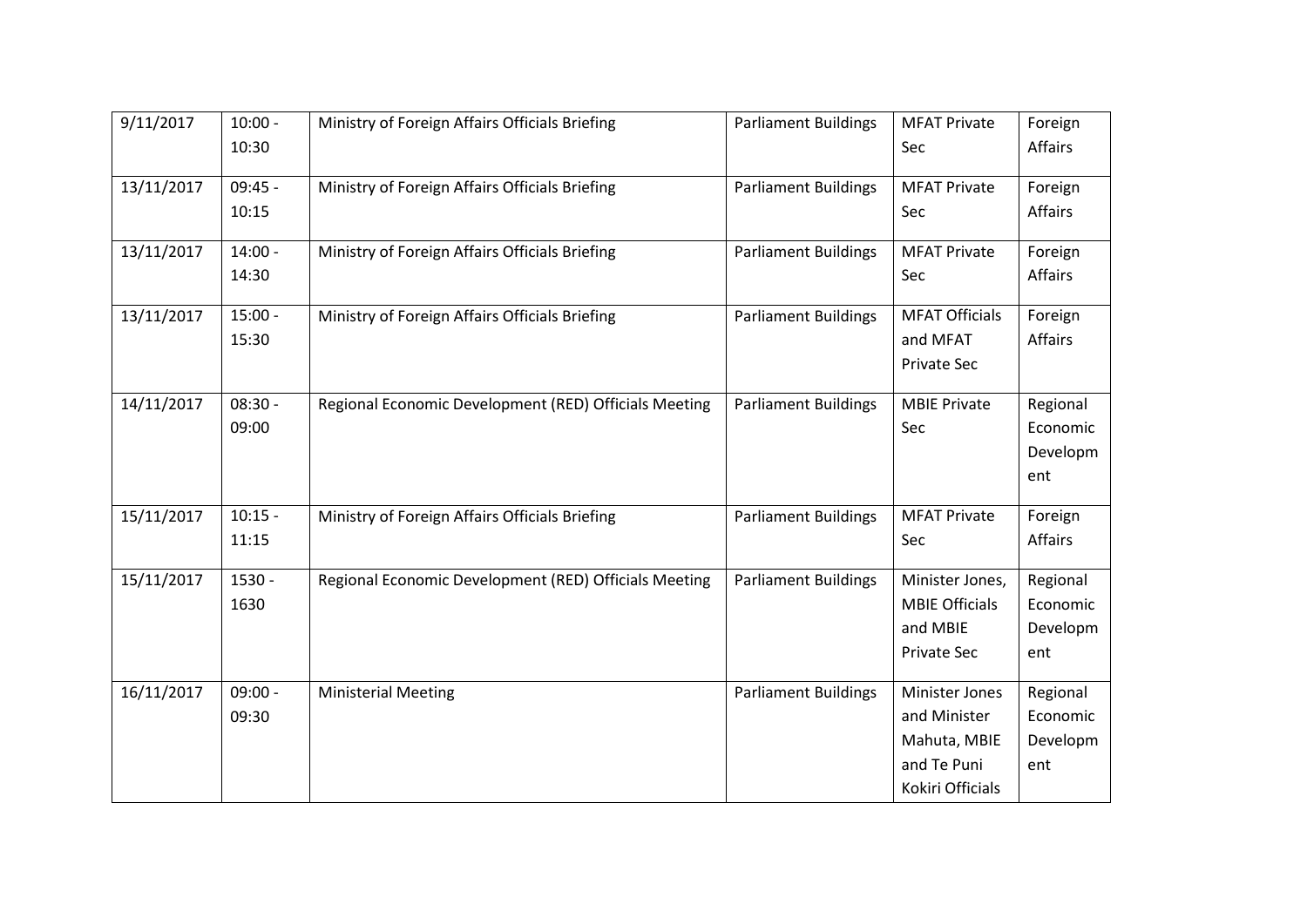| 9/11/2017  | $10:00 -$ | Ministry of Foreign Affairs Officials Briefing        | <b>Parliament Buildings</b> | <b>MFAT Private</b>   | Foreign  |
|------------|-----------|-------------------------------------------------------|-----------------------------|-----------------------|----------|
|            | 10:30     |                                                       |                             | Sec                   | Affairs  |
| 13/11/2017 | $09:45 -$ | Ministry of Foreign Affairs Officials Briefing        | <b>Parliament Buildings</b> | <b>MFAT Private</b>   | Foreign  |
|            | 10:15     |                                                       |                             | Sec                   | Affairs  |
| 13/11/2017 | $14:00 -$ | Ministry of Foreign Affairs Officials Briefing        | <b>Parliament Buildings</b> | <b>MFAT Private</b>   | Foreign  |
|            | 14:30     |                                                       |                             | Sec                   | Affairs  |
| 13/11/2017 | $15:00 -$ | Ministry of Foreign Affairs Officials Briefing        | <b>Parliament Buildings</b> | <b>MFAT Officials</b> | Foreign  |
|            | 15:30     |                                                       |                             | and MFAT              | Affairs  |
|            |           |                                                       |                             | <b>Private Sec</b>    |          |
| 14/11/2017 | $08:30 -$ | Regional Economic Development (RED) Officials Meeting | <b>Parliament Buildings</b> | <b>MBIE Private</b>   | Regional |
|            | 09:00     |                                                       |                             | Sec                   | Economic |
|            |           |                                                       |                             |                       | Developm |
|            |           |                                                       |                             |                       | ent      |
| 15/11/2017 | $10:15 -$ | Ministry of Foreign Affairs Officials Briefing        | <b>Parliament Buildings</b> | <b>MFAT Private</b>   | Foreign  |
|            | 11:15     |                                                       |                             | Sec                   | Affairs  |
| 15/11/2017 | 1530 -    | Regional Economic Development (RED) Officials Meeting | <b>Parliament Buildings</b> | Minister Jones,       | Regional |
|            | 1630      |                                                       |                             | <b>MBIE Officials</b> | Economic |
|            |           |                                                       |                             | and MBIE              | Developm |
|            |           |                                                       |                             | Private Sec           | ent      |
| 16/11/2017 | $09:00 -$ | <b>Ministerial Meeting</b>                            | <b>Parliament Buildings</b> | Minister Jones        | Regional |
|            | 09:30     |                                                       |                             | and Minister          | Economic |
|            |           |                                                       |                             | Mahuta, MBIE          | Developm |
|            |           |                                                       |                             | and Te Puni           | ent      |
|            |           |                                                       |                             | Kokiri Officials      |          |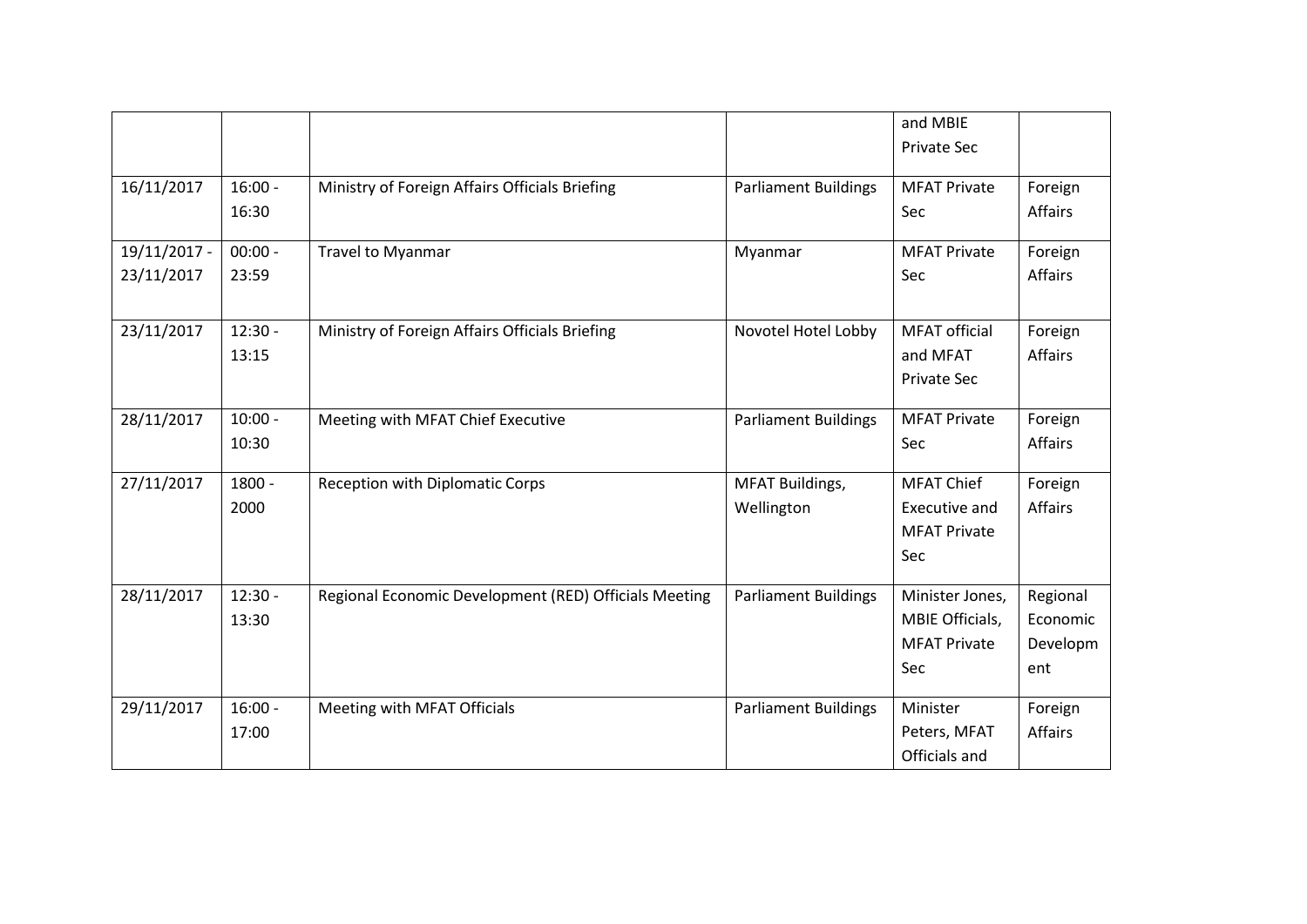|                            |                    |                                                       |                                      | and MBIE<br><b>Private Sec</b>                                   |                                         |
|----------------------------|--------------------|-------------------------------------------------------|--------------------------------------|------------------------------------------------------------------|-----------------------------------------|
| 16/11/2017                 | $16:00 -$<br>16:30 | Ministry of Foreign Affairs Officials Briefing        | <b>Parliament Buildings</b>          | <b>MFAT Private</b><br>Sec                                       | Foreign<br>Affairs                      |
| 19/11/2017 -<br>23/11/2017 | $00:00 -$<br>23:59 | Travel to Myanmar                                     | Myanmar                              | <b>MFAT Private</b><br>Sec                                       | Foreign<br><b>Affairs</b>               |
| 23/11/2017                 | $12:30 -$<br>13:15 | Ministry of Foreign Affairs Officials Briefing        | Novotel Hotel Lobby                  | <b>MFAT</b> official<br>and MFAT<br><b>Private Sec</b>           | Foreign<br>Affairs                      |
| 28/11/2017                 | $10:00 -$<br>10:30 | Meeting with MFAT Chief Executive                     | <b>Parliament Buildings</b>          | <b>MFAT Private</b><br>Sec                                       | Foreign<br>Affairs                      |
| 27/11/2017                 | $1800 -$<br>2000   | <b>Reception with Diplomatic Corps</b>                | <b>MFAT Buildings,</b><br>Wellington | <b>MFAT Chief</b><br>Executive and<br><b>MFAT Private</b><br>Sec | Foreign<br>Affairs                      |
| 28/11/2017                 | $12:30 -$<br>13:30 | Regional Economic Development (RED) Officials Meeting | <b>Parliament Buildings</b>          | Minister Jones,<br>MBIE Officials,<br><b>MFAT Private</b><br>Sec | Regional<br>Economic<br>Developm<br>ent |
| 29/11/2017                 | $16:00 -$<br>17:00 | Meeting with MFAT Officials                           | <b>Parliament Buildings</b>          | Minister<br>Peters, MFAT<br>Officials and                        | Foreign<br><b>Affairs</b>               |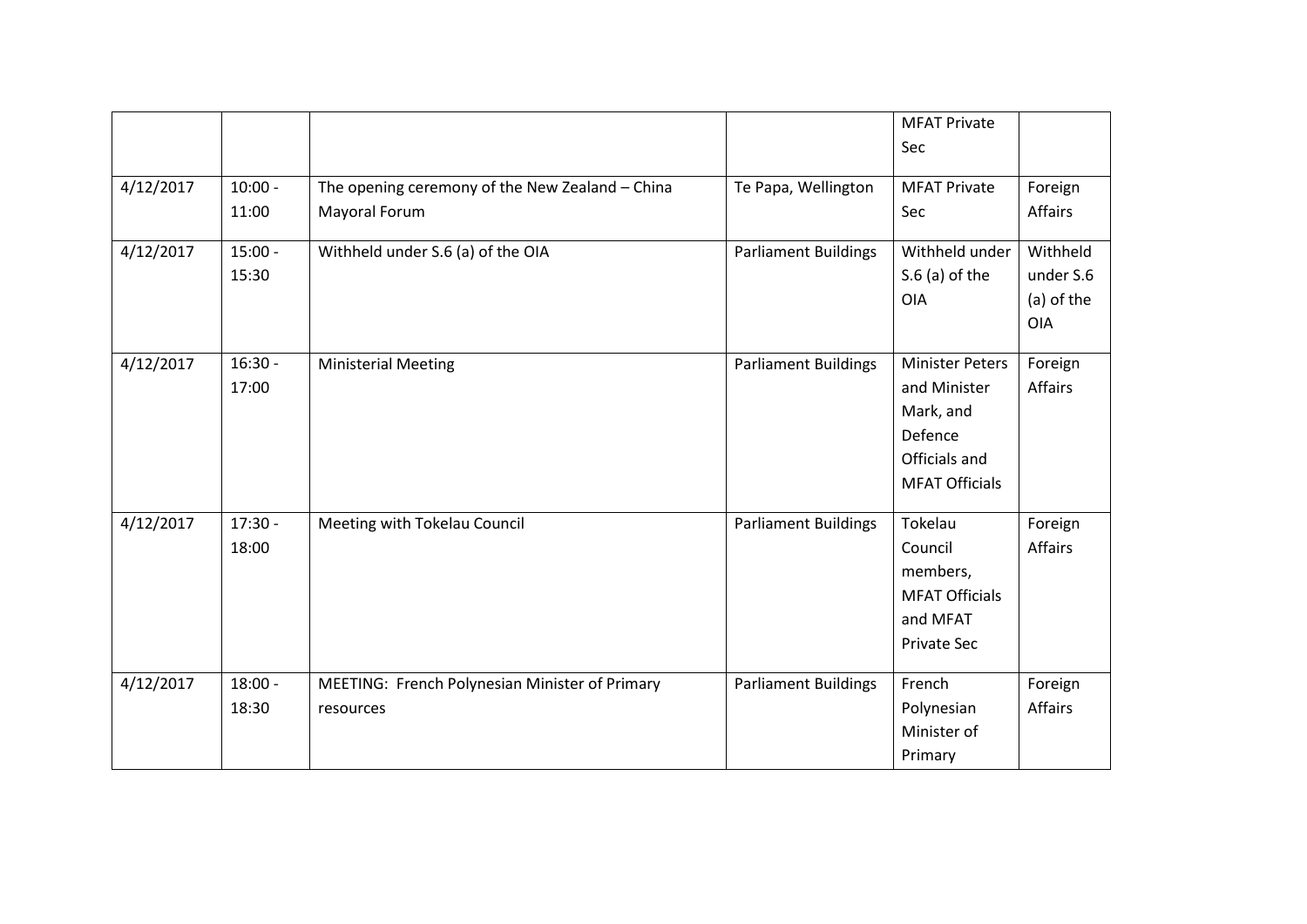|           |                    |                                                                  |                             | <b>MFAT Private</b>                                                                                      |                                                   |
|-----------|--------------------|------------------------------------------------------------------|-----------------------------|----------------------------------------------------------------------------------------------------------|---------------------------------------------------|
|           |                    |                                                                  |                             | Sec                                                                                                      |                                                   |
| 4/12/2017 | $10:00 -$<br>11:00 | The opening ceremony of the New Zealand - China<br>Mayoral Forum | Te Papa, Wellington         | <b>MFAT Private</b><br>Sec                                                                               | Foreign<br>Affairs                                |
| 4/12/2017 | $15:00 -$<br>15:30 | Withheld under S.6 (a) of the OIA                                | <b>Parliament Buildings</b> | Withheld under<br>$S.6$ (a) of the<br><b>OIA</b>                                                         | Withheld<br>under S.6<br>(a) of the<br><b>OIA</b> |
| 4/12/2017 | $16:30 -$<br>17:00 | <b>Ministerial Meeting</b>                                       | <b>Parliament Buildings</b> | <b>Minister Peters</b><br>and Minister<br>Mark, and<br>Defence<br>Officials and<br><b>MFAT Officials</b> | Foreign<br>Affairs                                |
| 4/12/2017 | $17:30 -$<br>18:00 | Meeting with Tokelau Council                                     | <b>Parliament Buildings</b> | Tokelau<br>Council<br>members,<br><b>MFAT Officials</b><br>and MFAT<br><b>Private Sec</b>                | Foreign<br>Affairs                                |
| 4/12/2017 | $18:00 -$<br>18:30 | MEETING: French Polynesian Minister of Primary<br>resources      | <b>Parliament Buildings</b> | French<br>Polynesian<br>Minister of<br>Primary                                                           | Foreign<br>Affairs                                |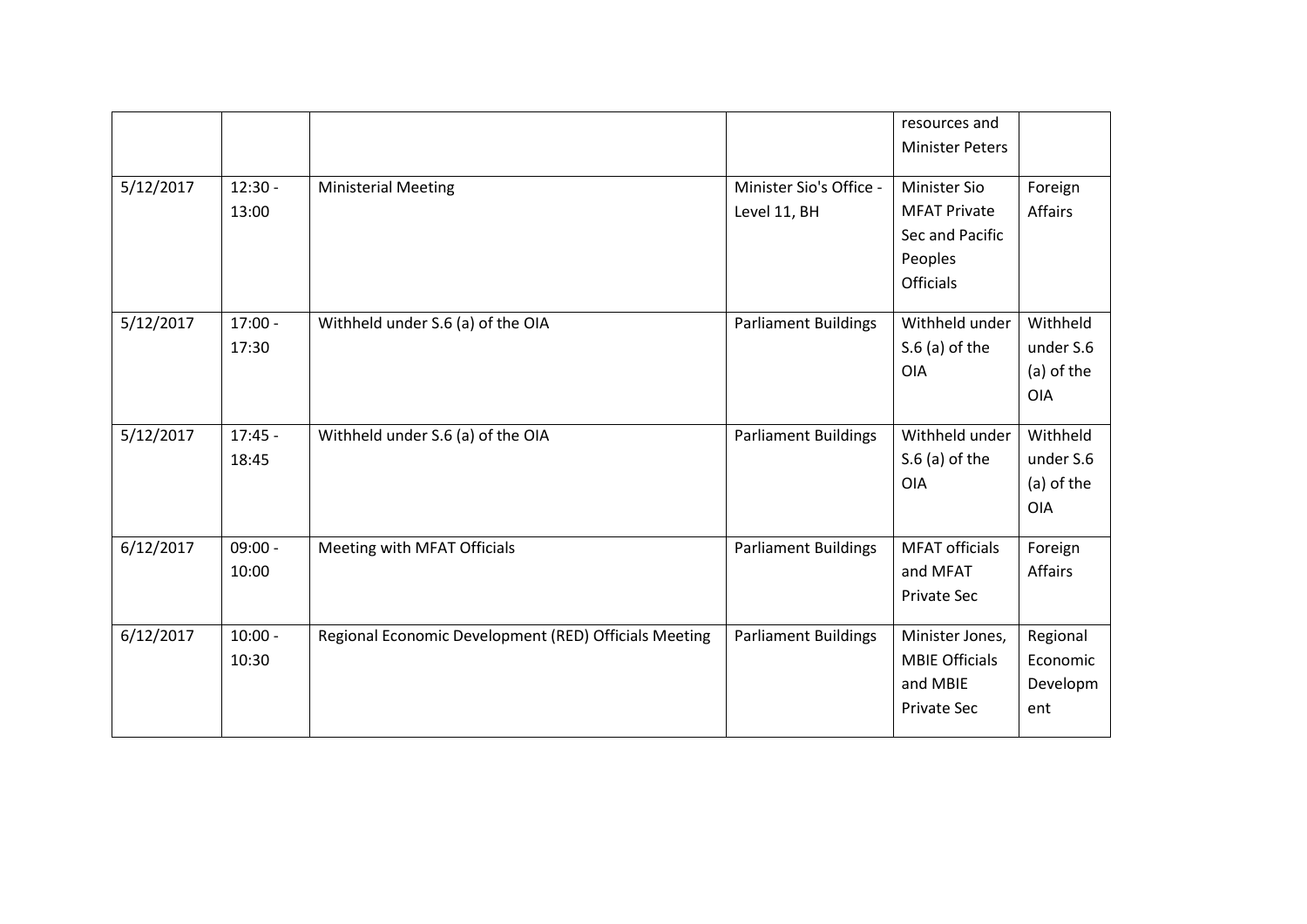|           |           |                                                       |                             | resources and<br><b>Minister Peters</b> |                |
|-----------|-----------|-------------------------------------------------------|-----------------------------|-----------------------------------------|----------------|
|           |           |                                                       |                             |                                         |                |
| 5/12/2017 | $12:30 -$ | <b>Ministerial Meeting</b>                            | Minister Sio's Office -     | <b>Minister Sio</b>                     | Foreign        |
|           | 13:00     |                                                       | Level 11, BH                | <b>MFAT Private</b>                     | <b>Affairs</b> |
|           |           |                                                       |                             | Sec and Pacific                         |                |
|           |           |                                                       |                             | Peoples                                 |                |
|           |           |                                                       |                             | <b>Officials</b>                        |                |
| 5/12/2017 | $17:00 -$ | Withheld under S.6 (a) of the OIA                     | <b>Parliament Buildings</b> | Withheld under                          | Withheld       |
|           | 17:30     |                                                       |                             | $S.6$ (a) of the                        | under S.6      |
|           |           |                                                       |                             | OIA                                     | (a) of the     |
|           |           |                                                       |                             |                                         | <b>OIA</b>     |
| 5/12/2017 | $17:45 -$ | Withheld under S.6 (a) of the OIA                     | <b>Parliament Buildings</b> | Withheld under                          | Withheld       |
|           | 18:45     |                                                       |                             | $S.6$ (a) of the                        | under S.6      |
|           |           |                                                       |                             | OIA                                     | (a) of the     |
|           |           |                                                       |                             |                                         | <b>OIA</b>     |
|           |           |                                                       |                             |                                         |                |
| 6/12/2017 | $09:00 -$ | Meeting with MFAT Officials                           | <b>Parliament Buildings</b> | <b>MFAT officials</b>                   | Foreign        |
|           | 10:00     |                                                       |                             | and MFAT                                | Affairs        |
|           |           |                                                       |                             | Private Sec                             |                |
| 6/12/2017 | $10:00 -$ | Regional Economic Development (RED) Officials Meeting | <b>Parliament Buildings</b> | Minister Jones,                         | Regional       |
|           | 10:30     |                                                       |                             | <b>MBIE Officials</b>                   | Economic       |
|           |           |                                                       |                             | and MBIE                                | Developm       |
|           |           |                                                       |                             | Private Sec                             | ent            |
|           |           |                                                       |                             |                                         |                |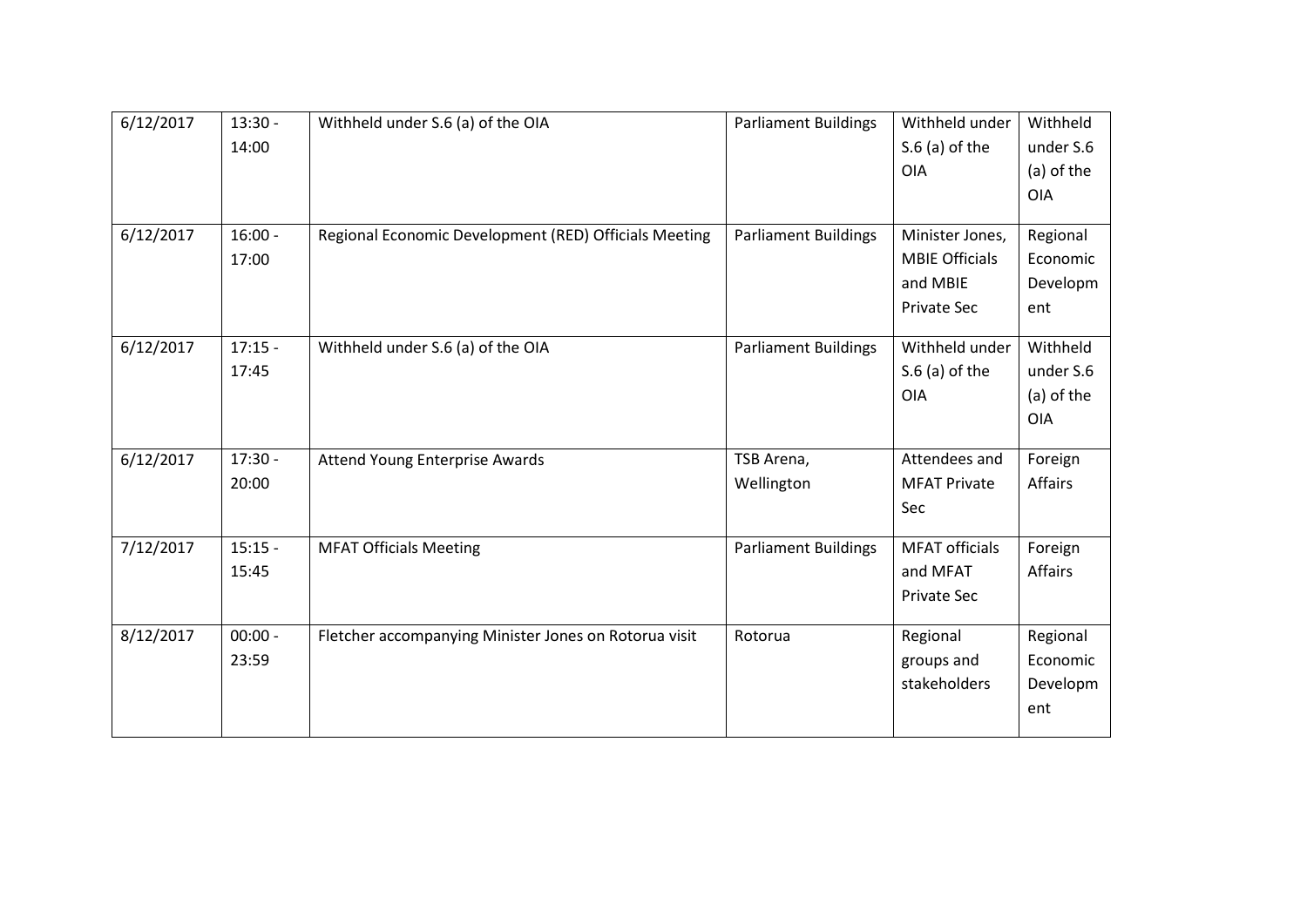| 6/12/2017 | $13:30 -$ | Withheld under S.6 (a) of the OIA                     | <b>Parliament Buildings</b> | Withheld under        | Withheld   |
|-----------|-----------|-------------------------------------------------------|-----------------------------|-----------------------|------------|
|           | 14:00     |                                                       |                             | $S.6$ (a) of the      | under S.6  |
|           |           |                                                       |                             | <b>OIA</b>            | (a) of the |
|           |           |                                                       |                             |                       | <b>OIA</b> |
|           |           |                                                       |                             |                       |            |
| 6/12/2017 | $16:00 -$ | Regional Economic Development (RED) Officials Meeting | <b>Parliament Buildings</b> | Minister Jones,       | Regional   |
|           | 17:00     |                                                       |                             | <b>MBIE Officials</b> | Economic   |
|           |           |                                                       |                             | and MBIE              | Developm   |
|           |           |                                                       |                             | <b>Private Sec</b>    | ent        |
| 6/12/2017 | $17:15 -$ | Withheld under S.6 (a) of the OIA                     | Parliament Buildings        | Withheld under        | Withheld   |
|           | 17:45     |                                                       |                             | $S.6$ (a) of the      | under S.6  |
|           |           |                                                       |                             | OIA                   | (a) of the |
|           |           |                                                       |                             |                       | <b>OIA</b> |
|           |           |                                                       |                             |                       |            |
| 6/12/2017 | $17:30 -$ | Attend Young Enterprise Awards                        | TSB Arena,                  | Attendees and         | Foreign    |
|           | 20:00     |                                                       | Wellington                  | <b>MFAT Private</b>   | Affairs    |
|           |           |                                                       |                             | Sec                   |            |
| 7/12/2017 | $15:15 -$ | <b>MFAT Officials Meeting</b>                         | <b>Parliament Buildings</b> | <b>MFAT officials</b> | Foreign    |
|           | 15:45     |                                                       |                             | and MFAT              | Affairs    |
|           |           |                                                       |                             | Private Sec           |            |
| 8/12/2017 | $00:00 -$ | Fletcher accompanying Minister Jones on Rotorua visit | Rotorua                     | Regional              | Regional   |
|           | 23:59     |                                                       |                             | groups and            | Economic   |
|           |           |                                                       |                             | stakeholders          | Developm   |
|           |           |                                                       |                             |                       | ent        |
|           |           |                                                       |                             |                       |            |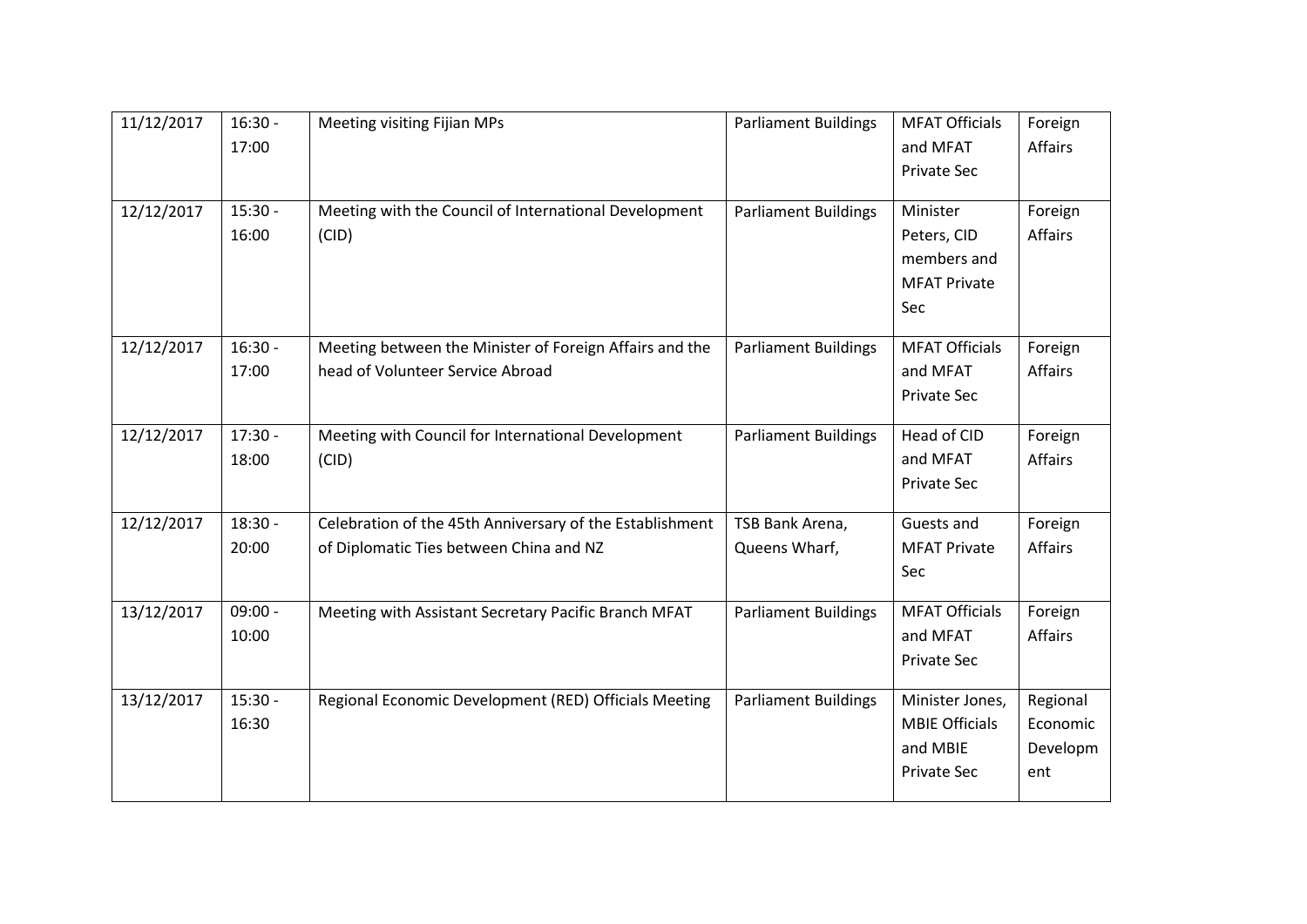| 11/12/2017 | $16:30 -$ | <b>Meeting visiting Fijian MPs</b>                       | <b>Parliament Buildings</b> | <b>MFAT Officials</b> | Foreign        |
|------------|-----------|----------------------------------------------------------|-----------------------------|-----------------------|----------------|
|            | 17:00     |                                                          |                             | and MFAT              | <b>Affairs</b> |
|            |           |                                                          |                             | Private Sec           |                |
|            |           |                                                          |                             |                       |                |
| 12/12/2017 | $15:30 -$ | Meeting with the Council of International Development    | <b>Parliament Buildings</b> | Minister              | Foreign        |
|            | 16:00     | (CID)                                                    |                             | Peters, CID           | Affairs        |
|            |           |                                                          |                             | members and           |                |
|            |           |                                                          |                             | <b>MFAT Private</b>   |                |
|            |           |                                                          |                             | Sec                   |                |
|            |           |                                                          |                             |                       |                |
| 12/12/2017 | $16:30 -$ | Meeting between the Minister of Foreign Affairs and the  | <b>Parliament Buildings</b> | <b>MFAT Officials</b> | Foreign        |
|            | 17:00     | head of Volunteer Service Abroad                         |                             | and MFAT              | Affairs        |
|            |           |                                                          |                             | <b>Private Sec</b>    |                |
| 12/12/2017 | $17:30 -$ | Meeting with Council for International Development       | <b>Parliament Buildings</b> | Head of CID           | Foreign        |
|            | 18:00     | (CID)                                                    |                             | and MFAT              | <b>Affairs</b> |
|            |           |                                                          |                             | Private Sec           |                |
|            |           |                                                          |                             |                       |                |
| 12/12/2017 | $18:30 -$ | Celebration of the 45th Anniversary of the Establishment | TSB Bank Arena,             | Guests and            | Foreign        |
|            | 20:00     | of Diplomatic Ties between China and NZ                  | Queens Wharf,               | <b>MFAT Private</b>   | <b>Affairs</b> |
|            |           |                                                          |                             | Sec                   |                |
|            | $09:00 -$ |                                                          |                             | <b>MFAT Officials</b> |                |
| 13/12/2017 |           | Meeting with Assistant Secretary Pacific Branch MFAT     | <b>Parliament Buildings</b> |                       | Foreign        |
|            | 10:00     |                                                          |                             | and MFAT              | Affairs        |
|            |           |                                                          |                             | Private Sec           |                |
| 13/12/2017 | $15:30 -$ | Regional Economic Development (RED) Officials Meeting    | <b>Parliament Buildings</b> | Minister Jones,       | Regional       |
|            | 16:30     |                                                          |                             | <b>MBIE Officials</b> | Economic       |
|            |           |                                                          |                             | and MBIE              | Developm       |
|            |           |                                                          |                             | Private Sec           | ent            |
|            |           |                                                          |                             |                       |                |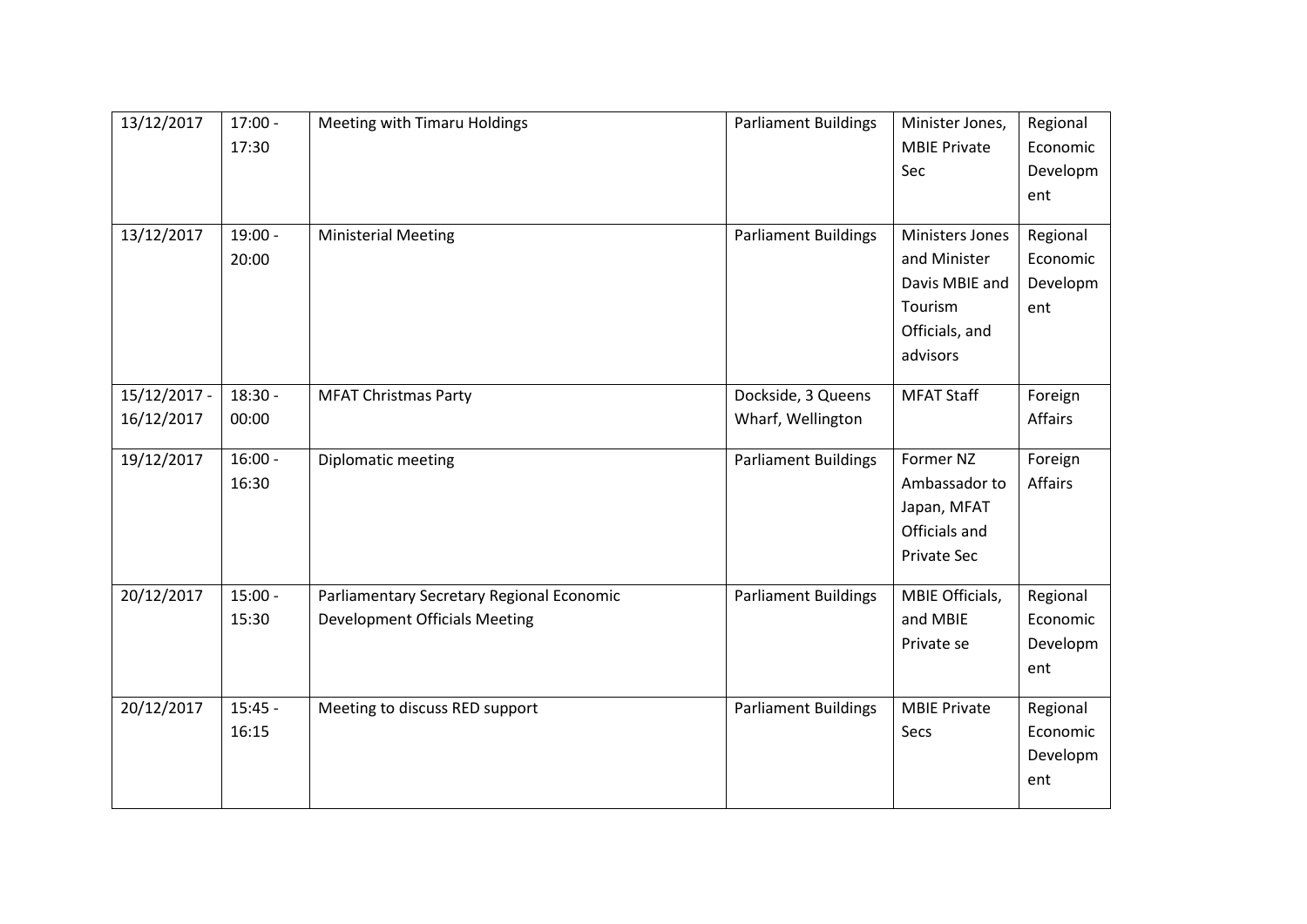| 13/12/2017   | $17:00 -$ | Meeting with Timaru Holdings              | <b>Parliament Buildings</b> | Minister Jones,     | Regional |
|--------------|-----------|-------------------------------------------|-----------------------------|---------------------|----------|
|              | 17:30     |                                           |                             | <b>MBIE Private</b> | Economic |
|              |           |                                           |                             | Sec                 | Developm |
|              |           |                                           |                             |                     | ent      |
|              |           |                                           |                             |                     |          |
| 13/12/2017   | 19:00 -   | <b>Ministerial Meeting</b>                | <b>Parliament Buildings</b> | Ministers Jones     | Regional |
|              | 20:00     |                                           |                             | and Minister        | Economic |
|              |           |                                           |                             | Davis MBIE and      | Developm |
|              |           |                                           |                             | Tourism             | ent      |
|              |           |                                           |                             | Officials, and      |          |
|              |           |                                           |                             | advisors            |          |
| 15/12/2017 - | $18:30 -$ | <b>MFAT Christmas Party</b>               | Dockside, 3 Queens          | <b>MFAT Staff</b>   | Foreign  |
| 16/12/2017   | 00:00     |                                           | Wharf, Wellington           |                     | Affairs  |
|              |           |                                           |                             |                     |          |
| 19/12/2017   | $16:00 -$ | Diplomatic meeting                        | <b>Parliament Buildings</b> | Former NZ           | Foreign  |
|              | 16:30     |                                           |                             | Ambassador to       | Affairs  |
|              |           |                                           |                             | Japan, MFAT         |          |
|              |           |                                           |                             | Officials and       |          |
|              |           |                                           |                             | Private Sec         |          |
| 20/12/2017   | $15:00 -$ | Parliamentary Secretary Regional Economic | <b>Parliament Buildings</b> | MBIE Officials,     | Regional |
|              | 15:30     | <b>Development Officials Meeting</b>      |                             | and MBIE            | Economic |
|              |           |                                           |                             | Private se          | Developm |
|              |           |                                           |                             |                     | ent      |
|              |           |                                           |                             |                     |          |
| 20/12/2017   | $15:45 -$ | Meeting to discuss RED support            | <b>Parliament Buildings</b> | <b>MBIE Private</b> | Regional |
|              | 16:15     |                                           |                             | Secs                | Economic |
|              |           |                                           |                             |                     | Developm |
|              |           |                                           |                             |                     | ent      |
|              |           |                                           |                             |                     |          |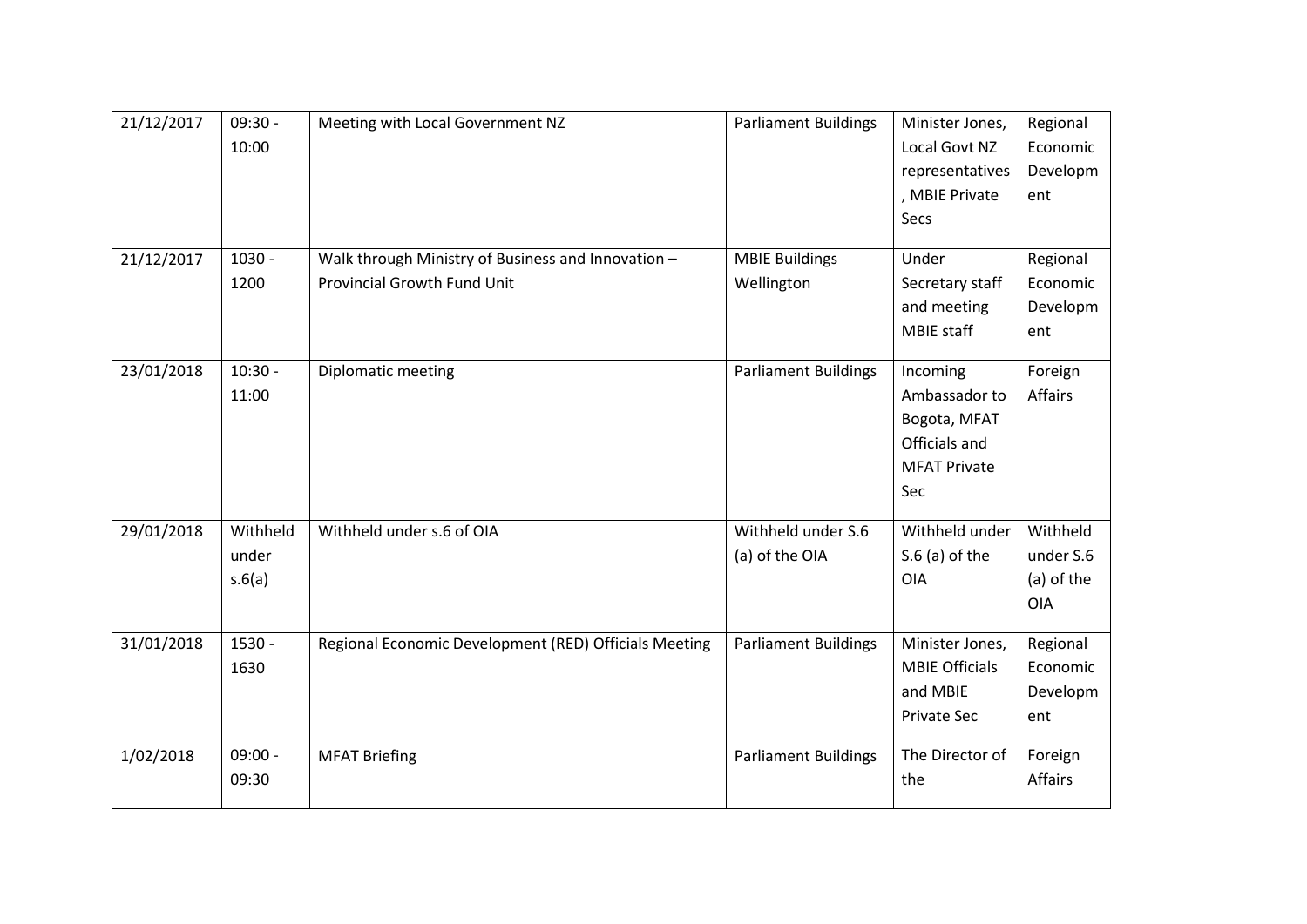| 21/12/2017 | $09:30 -$ | Meeting with Local Government NZ                      | <b>Parliament Buildings</b> | Minister Jones,       | Regional   |
|------------|-----------|-------------------------------------------------------|-----------------------------|-----------------------|------------|
|            | 10:00     |                                                       |                             | Local Govt NZ         | Economic   |
|            |           |                                                       |                             | representatives       | Developm   |
|            |           |                                                       |                             | , MBIE Private        | ent        |
|            |           |                                                       |                             | Secs                  |            |
|            |           |                                                       |                             |                       |            |
| 21/12/2017 | 1030 -    | Walk through Ministry of Business and Innovation -    | <b>MBIE Buildings</b>       | Under                 | Regional   |
|            | 1200      | <b>Provincial Growth Fund Unit</b>                    | Wellington                  | Secretary staff       | Economic   |
|            |           |                                                       |                             | and meeting           | Developm   |
|            |           |                                                       |                             | MBIE staff            | ent        |
| 23/01/2018 | $10:30 -$ | Diplomatic meeting                                    | <b>Parliament Buildings</b> | Incoming              | Foreign    |
|            | 11:00     |                                                       |                             | Ambassador to         | Affairs    |
|            |           |                                                       |                             |                       |            |
|            |           |                                                       |                             | Bogota, MFAT          |            |
|            |           |                                                       |                             | Officials and         |            |
|            |           |                                                       |                             | <b>MFAT Private</b>   |            |
|            |           |                                                       |                             | Sec                   |            |
| 29/01/2018 | Withheld  | Withheld under s.6 of OIA                             | Withheld under S.6          | Withheld under        | Withheld   |
|            | under     |                                                       | (a) of the OIA              | $S.6$ (a) of the      | under S.6  |
|            | s.6(a)    |                                                       |                             | <b>OIA</b>            | (a) of the |
|            |           |                                                       |                             |                       | <b>OIA</b> |
|            |           |                                                       |                             |                       |            |
| 31/01/2018 | 1530 -    | Regional Economic Development (RED) Officials Meeting | <b>Parliament Buildings</b> | Minister Jones,       | Regional   |
|            | 1630      |                                                       |                             | <b>MBIE Officials</b> | Economic   |
|            |           |                                                       |                             | and MBIE              | Developm   |
|            |           |                                                       |                             | <b>Private Sec</b>    | ent        |
|            |           |                                                       |                             |                       |            |
| 1/02/2018  | $09:00 -$ | <b>MFAT Briefing</b>                                  | <b>Parliament Buildings</b> | The Director of       | Foreign    |
|            | 09:30     |                                                       |                             | the                   | Affairs    |
|            |           |                                                       |                             |                       |            |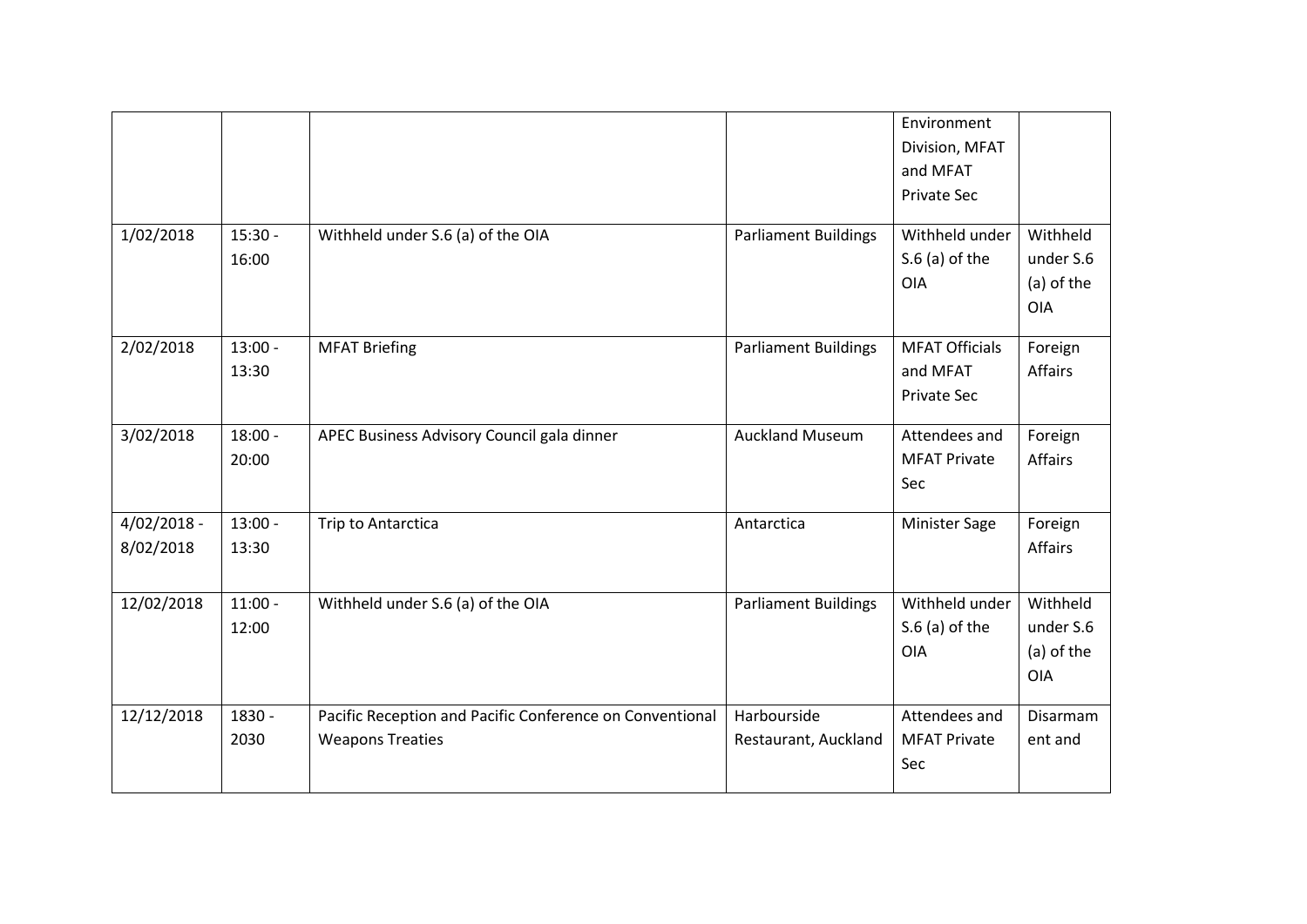|                            |                    |                                                                                     |                                     | Environment<br>Division, MFAT<br>and MFAT<br><b>Private Sec</b> |                                                   |
|----------------------------|--------------------|-------------------------------------------------------------------------------------|-------------------------------------|-----------------------------------------------------------------|---------------------------------------------------|
| 1/02/2018                  | $15:30 -$<br>16:00 | Withheld under S.6 (a) of the OIA                                                   | <b>Parliament Buildings</b>         | Withheld under<br>$S.6$ (a) of the<br><b>OIA</b>                | Withheld<br>under S.6<br>(a) of the<br><b>OIA</b> |
| 2/02/2018                  | $13:00 -$<br>13:30 | <b>MFAT Briefing</b>                                                                | <b>Parliament Buildings</b>         | <b>MFAT Officials</b><br>and MFAT<br><b>Private Sec</b>         | Foreign<br>Affairs                                |
| 3/02/2018                  | $18:00 -$<br>20:00 | APEC Business Advisory Council gala dinner                                          | <b>Auckland Museum</b>              | Attendees and<br><b>MFAT Private</b><br>Sec                     | Foreign<br>Affairs                                |
| $4/02/2018 -$<br>8/02/2018 | $13:00 -$<br>13:30 | Trip to Antarctica                                                                  | Antarctica                          | <b>Minister Sage</b>                                            | Foreign<br>Affairs                                |
| 12/02/2018                 | $11:00 -$<br>12:00 | Withheld under S.6 (a) of the OIA                                                   | <b>Parliament Buildings</b>         | Withheld under<br>$S.6$ (a) of the<br><b>OIA</b>                | Withheld<br>under S.6<br>(a) of the<br><b>OIA</b> |
| 12/12/2018                 | 1830 -<br>2030     | Pacific Reception and Pacific Conference on Conventional<br><b>Weapons Treaties</b> | Harbourside<br>Restaurant, Auckland | Attendees and<br><b>MFAT Private</b><br>Sec                     | Disarmam<br>ent and                               |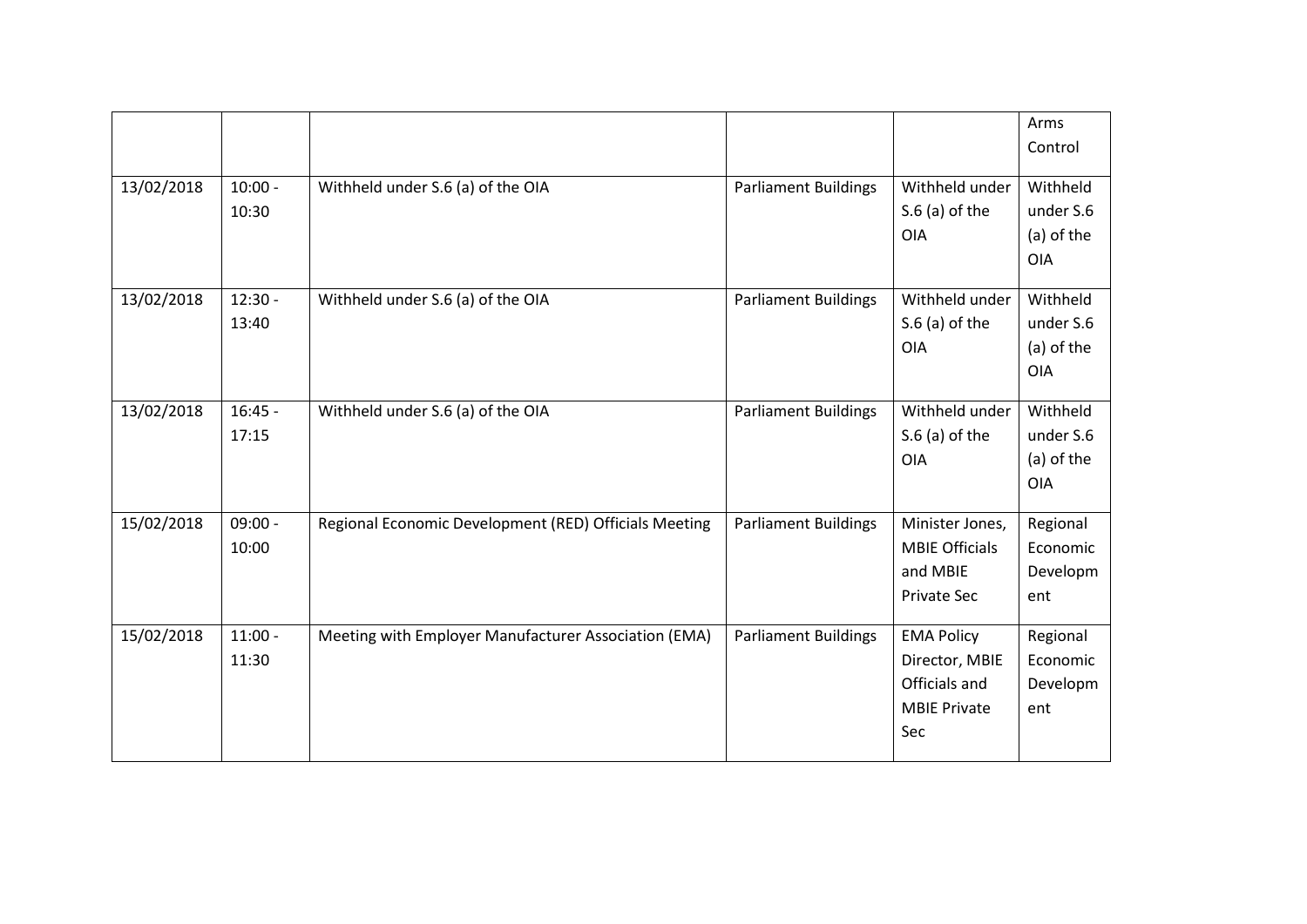|            |                    |                                                       |                             |                                                                                    | Arms<br>Control                                   |
|------------|--------------------|-------------------------------------------------------|-----------------------------|------------------------------------------------------------------------------------|---------------------------------------------------|
| 13/02/2018 | $10:00 -$<br>10:30 | Withheld under S.6 (a) of the OIA                     | <b>Parliament Buildings</b> | Withheld under<br>$S.6$ (a) of the<br><b>OIA</b>                                   | Withheld<br>under S.6<br>(a) of the<br><b>OIA</b> |
| 13/02/2018 | $12:30 -$<br>13:40 | Withheld under S.6 (a) of the OIA                     | <b>Parliament Buildings</b> | Withheld under<br>$S.6$ (a) of the<br><b>OIA</b>                                   | Withheld<br>under S.6<br>(a) of the<br><b>OIA</b> |
| 13/02/2018 | $16:45 -$<br>17:15 | Withheld under S.6 (a) of the OIA                     | <b>Parliament Buildings</b> | Withheld under<br>$S.6$ (a) of the<br><b>OIA</b>                                   | Withheld<br>under S.6<br>(a) of the<br><b>OIA</b> |
| 15/02/2018 | $09:00 -$<br>10:00 | Regional Economic Development (RED) Officials Meeting | <b>Parliament Buildings</b> | Minister Jones,<br><b>MBIE Officials</b><br>and MBIE<br><b>Private Sec</b>         | Regional<br>Economic<br>Developm<br>ent           |
| 15/02/2018 | $11:00 -$<br>11:30 | Meeting with Employer Manufacturer Association (EMA)  | <b>Parliament Buildings</b> | <b>EMA Policy</b><br>Director, MBIE<br>Officials and<br><b>MBIE Private</b><br>Sec | Regional<br>Economic<br>Developm<br>ent           |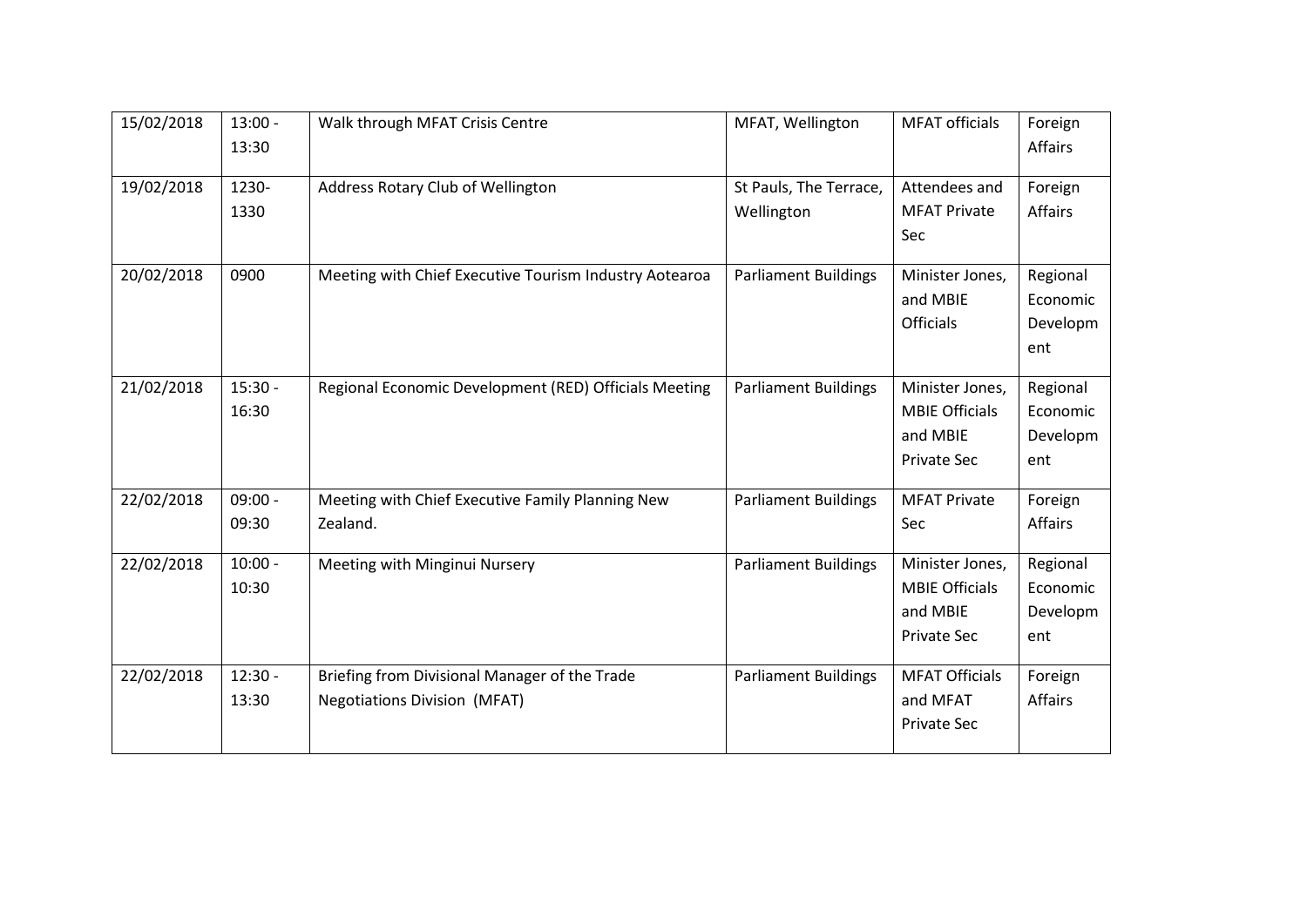| 15/02/2018 | $13:00 -$<br>13:30 | Walk through MFAT Crisis Centre                                                      | MFAT, Wellington                     | <b>MFAT</b> officials                                                      | Foreign<br><b>Affairs</b>               |
|------------|--------------------|--------------------------------------------------------------------------------------|--------------------------------------|----------------------------------------------------------------------------|-----------------------------------------|
| 19/02/2018 | 1230-<br>1330      | Address Rotary Club of Wellington                                                    | St Pauls, The Terrace,<br>Wellington | Attendees and<br><b>MFAT Private</b><br>Sec                                | Foreign<br><b>Affairs</b>               |
| 20/02/2018 | 0900               | Meeting with Chief Executive Tourism Industry Aotearoa                               | <b>Parliament Buildings</b>          | Minister Jones,<br>and MBIE<br>Officials                                   | Regional<br>Economic<br>Developm<br>ent |
| 21/02/2018 | $15:30 -$<br>16:30 | Regional Economic Development (RED) Officials Meeting                                | <b>Parliament Buildings</b>          | Minister Jones,<br><b>MBIE Officials</b><br>and MBIE<br><b>Private Sec</b> | Regional<br>Economic<br>Developm<br>ent |
| 22/02/2018 | $09:00 -$<br>09:30 | Meeting with Chief Executive Family Planning New<br>Zealand.                         | <b>Parliament Buildings</b>          | <b>MFAT Private</b><br>Sec                                                 | Foreign<br><b>Affairs</b>               |
| 22/02/2018 | $10:00 -$<br>10:30 | Meeting with Minginui Nursery                                                        | <b>Parliament Buildings</b>          | Minister Jones,<br><b>MBIE Officials</b><br>and MBIE<br><b>Private Sec</b> | Regional<br>Economic<br>Developm<br>ent |
| 22/02/2018 | $12:30 -$<br>13:30 | Briefing from Divisional Manager of the Trade<br><b>Negotiations Division (MFAT)</b> | <b>Parliament Buildings</b>          | <b>MFAT Officials</b><br>and MFAT<br>Private Sec                           | Foreign<br><b>Affairs</b>               |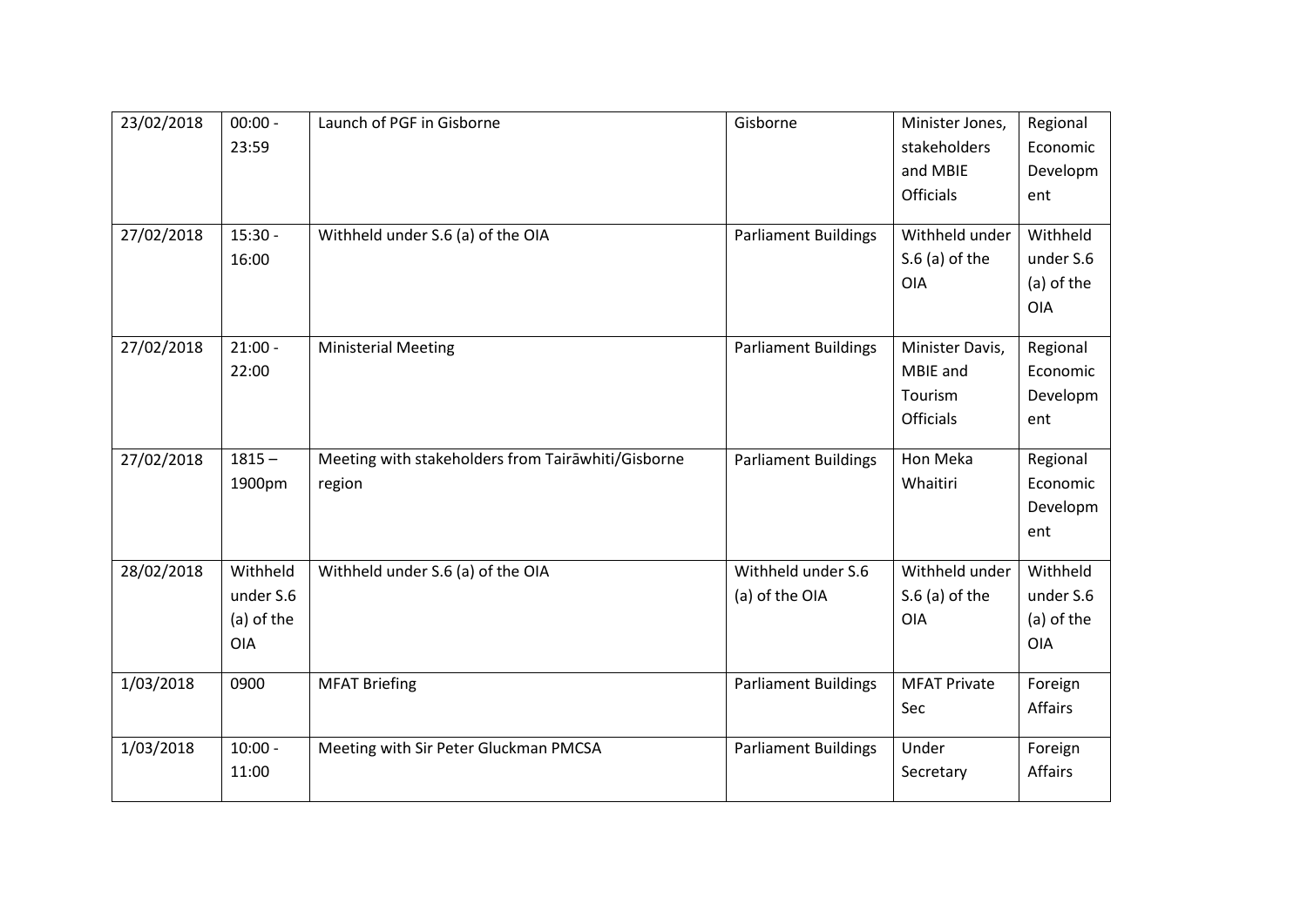| 23/02/2018 | $00:00 -$  | Launch of PGF in Gisborne                          | Gisborne                    | Minister Jones,     | Regional             |
|------------|------------|----------------------------------------------------|-----------------------------|---------------------|----------------------|
|            | 23:59      |                                                    |                             | stakeholders        | Economic             |
|            |            |                                                    |                             | and MBIE            | Developm             |
|            |            |                                                    |                             | <b>Officials</b>    | ent                  |
|            |            |                                                    |                             |                     |                      |
| 27/02/2018 | $15:30 -$  | Withheld under S.6 (a) of the OIA                  | <b>Parliament Buildings</b> | Withheld under      | Withheld             |
|            | 16:00      |                                                    |                             | $S.6$ (a) of the    | under S.6            |
|            |            |                                                    |                             | OIA                 | (a) of the           |
|            |            |                                                    |                             |                     | <b>OIA</b>           |
| 27/02/2018 | $21:00 -$  |                                                    |                             | Minister Davis,     |                      |
|            | 22:00      | <b>Ministerial Meeting</b>                         | <b>Parliament Buildings</b> | MBIE and            | Regional<br>Economic |
|            |            |                                                    |                             |                     |                      |
|            |            |                                                    |                             | Tourism             | Developm             |
|            |            |                                                    |                             | <b>Officials</b>    | ent                  |
| 27/02/2018 | $1815 -$   | Meeting with stakeholders from Tairawhiti/Gisborne | <b>Parliament Buildings</b> | Hon Meka            | Regional             |
|            | 1900pm     | region                                             |                             | Whaitiri            | Economic             |
|            |            |                                                    |                             |                     | Developm             |
|            |            |                                                    |                             |                     | ent                  |
|            |            |                                                    |                             |                     |                      |
| 28/02/2018 | Withheld   | Withheld under S.6 (a) of the OIA                  | Withheld under S.6          | Withheld under      | Withheld             |
|            | under S.6  |                                                    | (a) of the OIA              | $S.6$ (a) of the    | under S.6            |
|            | (a) of the |                                                    |                             | OIA                 | (a) of the           |
|            | <b>OIA</b> |                                                    |                             |                     | <b>OIA</b>           |
|            |            |                                                    |                             |                     |                      |
| 1/03/2018  | 0900       | <b>MFAT Briefing</b>                               | <b>Parliament Buildings</b> | <b>MFAT Private</b> | Foreign              |
|            |            |                                                    |                             | Sec                 | Affairs              |
| 1/03/2018  | $10:00 -$  | Meeting with Sir Peter Gluckman PMCSA              | <b>Parliament Buildings</b> | Under               | Foreign              |
|            | 11:00      |                                                    |                             | Secretary           | Affairs              |
|            |            |                                                    |                             |                     |                      |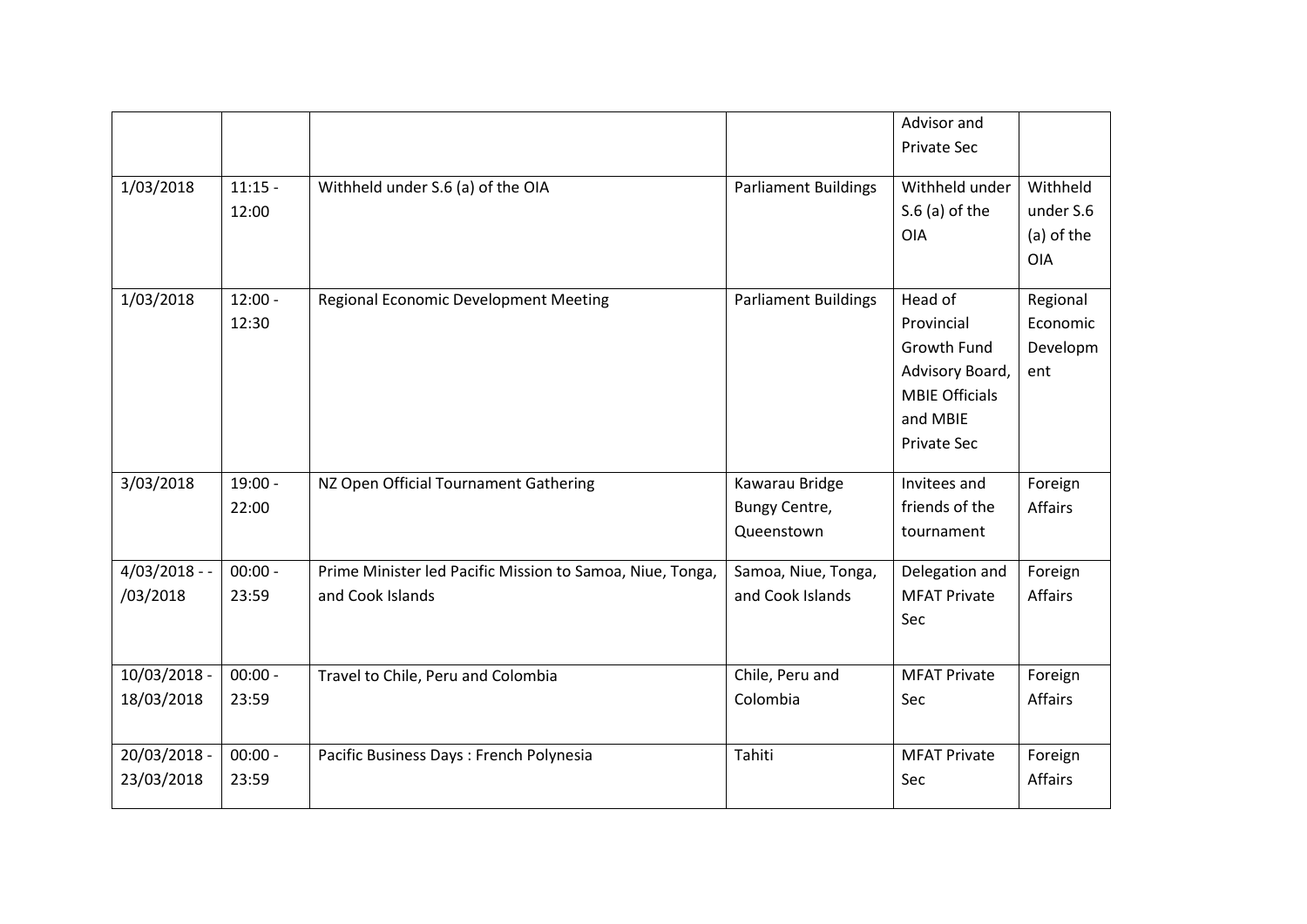|               |           |                                                           |                             | Advisor and           |                |
|---------------|-----------|-----------------------------------------------------------|-----------------------------|-----------------------|----------------|
|               |           |                                                           |                             | Private Sec           |                |
|               |           |                                                           |                             |                       |                |
| 1/03/2018     | $11:15 -$ | Withheld under S.6 (a) of the OIA                         | <b>Parliament Buildings</b> | Withheld under        | Withheld       |
|               | 12:00     |                                                           |                             | $S.6$ (a) of the      | under S.6      |
|               |           |                                                           |                             | <b>OIA</b>            | (a) of the     |
|               |           |                                                           |                             |                       | <b>OIA</b>     |
| 1/03/2018     | $12:00 -$ | Regional Economic Development Meeting                     | <b>Parliament Buildings</b> | Head of               | Regional       |
|               | 12:30     |                                                           |                             | Provincial            | Economic       |
|               |           |                                                           |                             | Growth Fund           | Developm       |
|               |           |                                                           |                             | Advisory Board,       | ent            |
|               |           |                                                           |                             | <b>MBIE Officials</b> |                |
|               |           |                                                           |                             | and MBIE              |                |
|               |           |                                                           |                             | <b>Private Sec</b>    |                |
|               |           |                                                           |                             |                       |                |
| 3/03/2018     | $19:00 -$ | NZ Open Official Tournament Gathering                     | Kawarau Bridge              | Invitees and          | Foreign        |
|               | 22:00     |                                                           | Bungy Centre,               | friends of the        | Affairs        |
|               |           |                                                           | Queenstown                  | tournament            |                |
| $4/03/2018 -$ | $00:00 -$ | Prime Minister led Pacific Mission to Samoa, Niue, Tonga, | Samoa, Niue, Tonga,         | Delegation and        | Foreign        |
| /03/2018      | 23:59     | and Cook Islands                                          | and Cook Islands            | <b>MFAT Private</b>   | Affairs        |
|               |           |                                                           |                             | Sec                   |                |
|               |           |                                                           |                             |                       |                |
| 10/03/2018 -  | $00:00 -$ | Travel to Chile, Peru and Colombia                        | Chile, Peru and             | <b>MFAT Private</b>   | Foreign        |
| 18/03/2018    | 23:59     |                                                           | Colombia                    | Sec                   | <b>Affairs</b> |
|               |           |                                                           |                             |                       |                |
| 20/03/2018 -  | $00:00 -$ | Pacific Business Days: French Polynesia                   | Tahiti                      | <b>MFAT Private</b>   | Foreign        |
| 23/03/2018    | 23:59     |                                                           |                             | Sec                   | Affairs        |
|               |           |                                                           |                             |                       |                |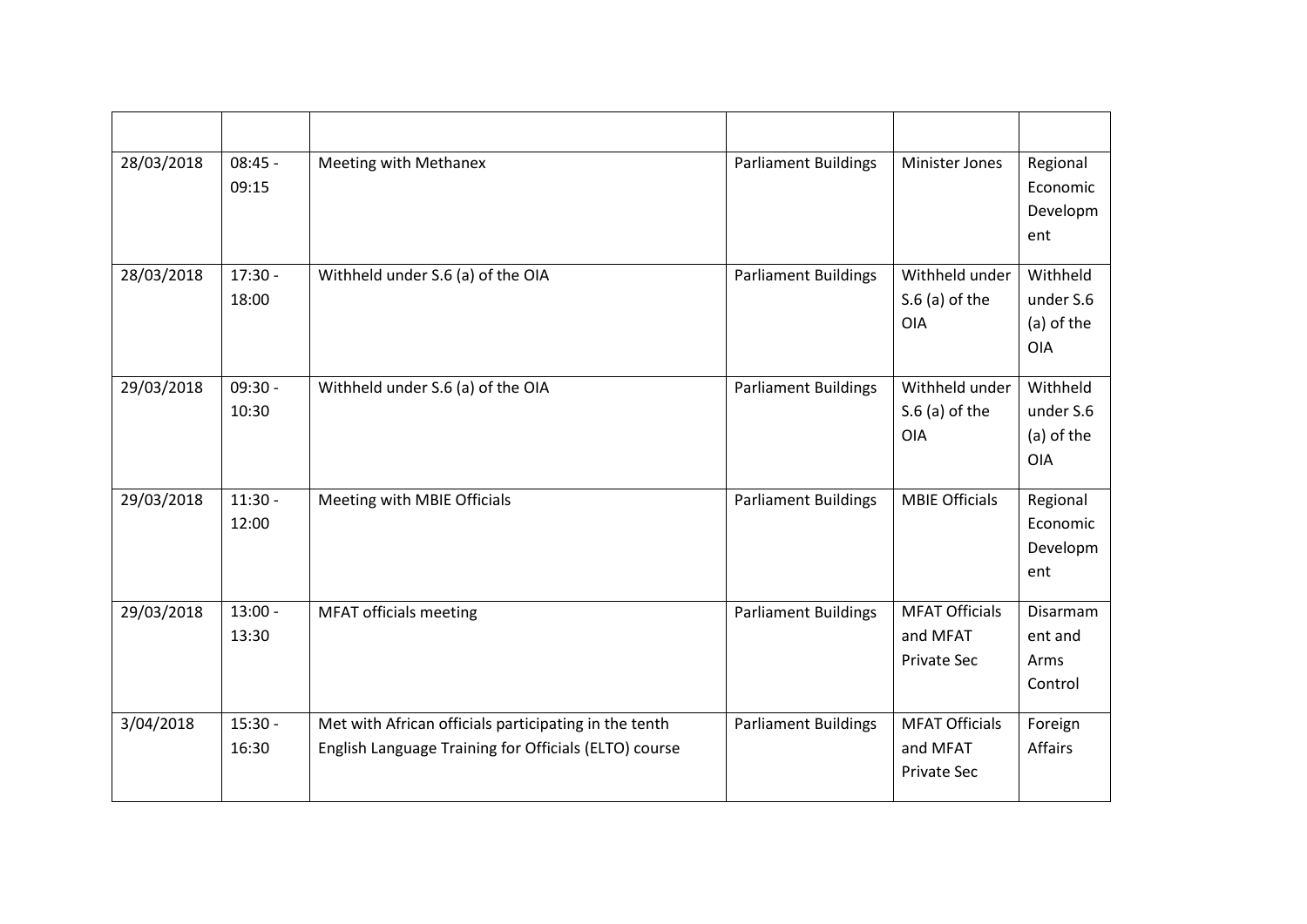| 28/03/2018 | $08:45 -$<br>09:15 | Meeting with Methanex                                                                                          | <b>Parliament Buildings</b> | <b>Minister Jones</b>                                   | Regional<br>Economic<br>Developm<br>ent           |
|------------|--------------------|----------------------------------------------------------------------------------------------------------------|-----------------------------|---------------------------------------------------------|---------------------------------------------------|
| 28/03/2018 | $17:30 -$<br>18:00 | Withheld under S.6 (a) of the OIA                                                                              | <b>Parliament Buildings</b> | Withheld under<br>$S.6$ (a) of the<br><b>OIA</b>        | Withheld<br>under S.6<br>(a) of the<br><b>OIA</b> |
| 29/03/2018 | $09:30 -$<br>10:30 | Withheld under S.6 (a) of the OIA                                                                              | <b>Parliament Buildings</b> | Withheld under<br>$S.6$ (a) of the<br>OIA               | Withheld<br>under S.6<br>(a) of the<br><b>OIA</b> |
| 29/03/2018 | $11:30 -$<br>12:00 | Meeting with MBIE Officials                                                                                    | <b>Parliament Buildings</b> | <b>MBIE Officials</b>                                   | Regional<br>Economic<br>Developm<br>ent           |
| 29/03/2018 | $13:00 -$<br>13:30 | <b>MFAT officials meeting</b>                                                                                  | <b>Parliament Buildings</b> | <b>MFAT Officials</b><br>and MFAT<br><b>Private Sec</b> | <b>Disarmam</b><br>ent and<br>Arms<br>Control     |
| 3/04/2018  | $15:30 -$<br>16:30 | Met with African officials participating in the tenth<br>English Language Training for Officials (ELTO) course | <b>Parliament Buildings</b> | <b>MFAT Officials</b><br>and MFAT<br><b>Private Sec</b> | Foreign<br>Affairs                                |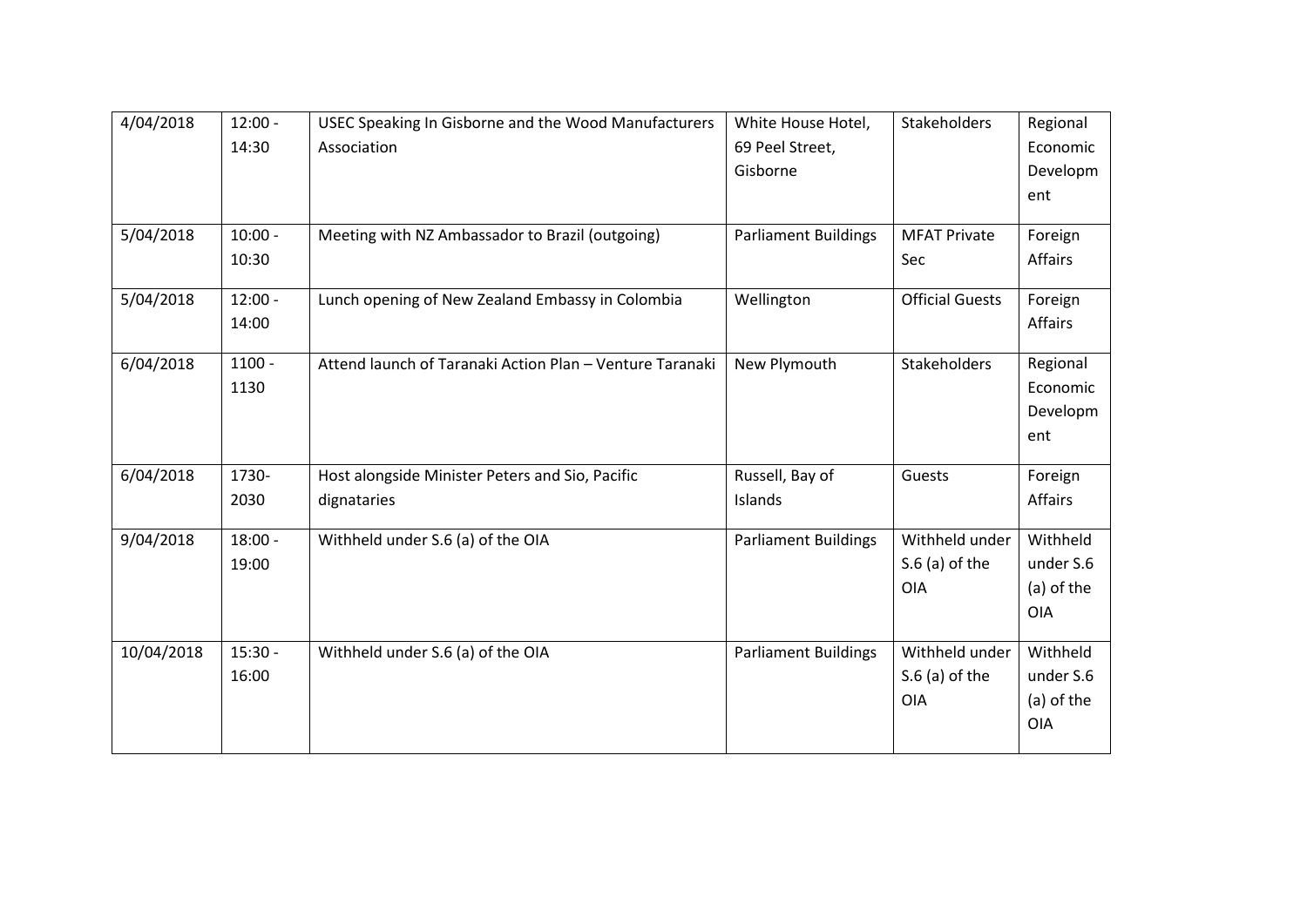| 4/04/2018  | $12:00 -$ | USEC Speaking In Gisborne and the Wood Manufacturers     | White House Hotel,          | Stakeholders           | Regional   |
|------------|-----------|----------------------------------------------------------|-----------------------------|------------------------|------------|
|            | 14:30     | Association                                              | 69 Peel Street,             |                        | Economic   |
|            |           |                                                          | Gisborne                    |                        | Developm   |
|            |           |                                                          |                             |                        | ent        |
|            |           |                                                          |                             |                        |            |
| 5/04/2018  | $10:00 -$ | Meeting with NZ Ambassador to Brazil (outgoing)          | <b>Parliament Buildings</b> | <b>MFAT Private</b>    | Foreign    |
|            | 10:30     |                                                          |                             | Sec                    | Affairs    |
| 5/04/2018  | $12:00 -$ | Lunch opening of New Zealand Embassy in Colombia         | Wellington                  | <b>Official Guests</b> | Foreign    |
|            | 14:00     |                                                          |                             |                        | Affairs    |
| 6/04/2018  | $1100 -$  | Attend launch of Taranaki Action Plan - Venture Taranaki | New Plymouth                | Stakeholders           | Regional   |
|            | 1130      |                                                          |                             |                        | Economic   |
|            |           |                                                          |                             |                        | Developm   |
|            |           |                                                          |                             |                        | ent        |
|            |           |                                                          |                             |                        |            |
| 6/04/2018  | 1730-     | Host alongside Minister Peters and Sio, Pacific          | Russell, Bay of             | Guests                 | Foreign    |
|            | 2030      | dignataries                                              | Islands                     |                        | Affairs    |
| 9/04/2018  | $18:00 -$ | Withheld under S.6 (a) of the OIA                        | <b>Parliament Buildings</b> | Withheld under         | Withheld   |
|            | 19:00     |                                                          |                             | $S.6$ (a) of the       | under S.6  |
|            |           |                                                          |                             | <b>OIA</b>             | (a) of the |
|            |           |                                                          |                             |                        | <b>OIA</b> |
|            |           |                                                          |                             |                        |            |
| 10/04/2018 | $15:30 -$ | Withheld under S.6 (a) of the OIA                        | <b>Parliament Buildings</b> | Withheld under         | Withheld   |
|            | 16:00     |                                                          |                             | $S.6$ (a) of the       | under S.6  |
|            |           |                                                          |                             | <b>OIA</b>             | (a) of the |
|            |           |                                                          |                             |                        | <b>OIA</b> |
|            |           |                                                          |                             |                        |            |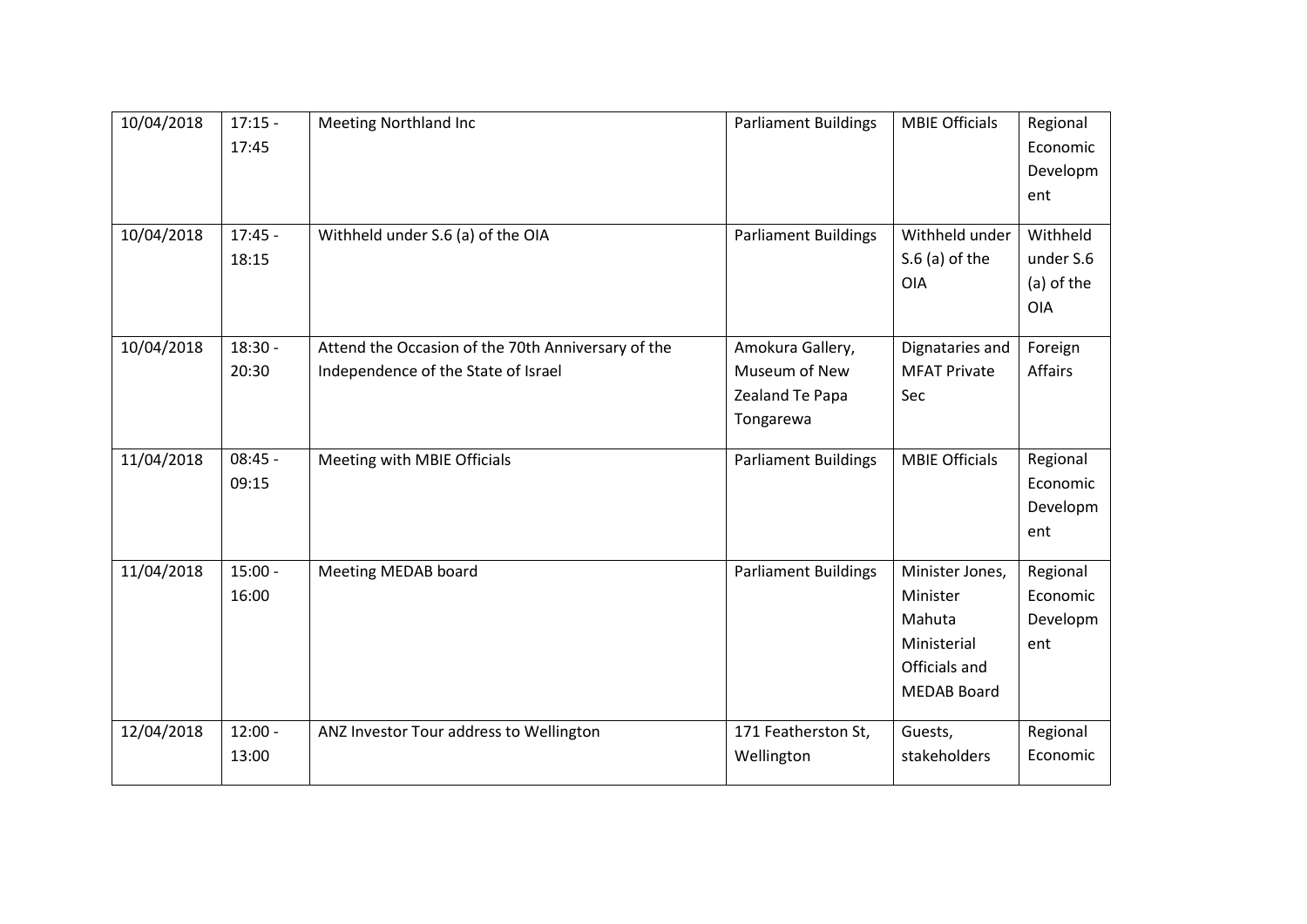| 10/04/2018<br>10/04/2018 | $17:15 -$<br>17:45<br>$17:45 -$<br>18:15 | <b>Meeting Northland Inc</b><br>Withheld under S.6 (a) of the OIA | <b>Parliament Buildings</b><br><b>Parliament Buildings</b> | <b>MBIE Officials</b><br>Withheld under<br>$S.6$ (a) of the<br><b>OIA</b>                   | Regional<br>Economic<br>Developm<br>ent<br>Withheld<br>under S.6<br>(a) of the |
|--------------------------|------------------------------------------|-------------------------------------------------------------------|------------------------------------------------------------|---------------------------------------------------------------------------------------------|--------------------------------------------------------------------------------|
| 10/04/2018               | $18:30 -$                                | Attend the Occasion of the 70th Anniversary of the                | Amokura Gallery,                                           | Dignataries and                                                                             | <b>OIA</b><br>Foreign                                                          |
|                          | 20:30                                    | Independence of the State of Israel                               | Museum of New<br>Zealand Te Papa<br>Tongarewa              | <b>MFAT Private</b><br>Sec                                                                  | Affairs                                                                        |
| 11/04/2018               | $08:45 -$<br>09:15                       | Meeting with MBIE Officials                                       | <b>Parliament Buildings</b>                                | <b>MBIE Officials</b>                                                                       | Regional<br>Economic<br>Developm<br>ent                                        |
| 11/04/2018               | $15:00 -$<br>16:00                       | Meeting MEDAB board                                               | <b>Parliament Buildings</b>                                | Minister Jones,<br>Minister<br>Mahuta<br>Ministerial<br>Officials and<br><b>MEDAB Board</b> | Regional<br>Economic<br>Developm<br>ent                                        |
| 12/04/2018               | $12:00 -$<br>13:00                       | ANZ Investor Tour address to Wellington                           | 171 Featherston St,<br>Wellington                          | Guests,<br>stakeholders                                                                     | Regional<br>Economic                                                           |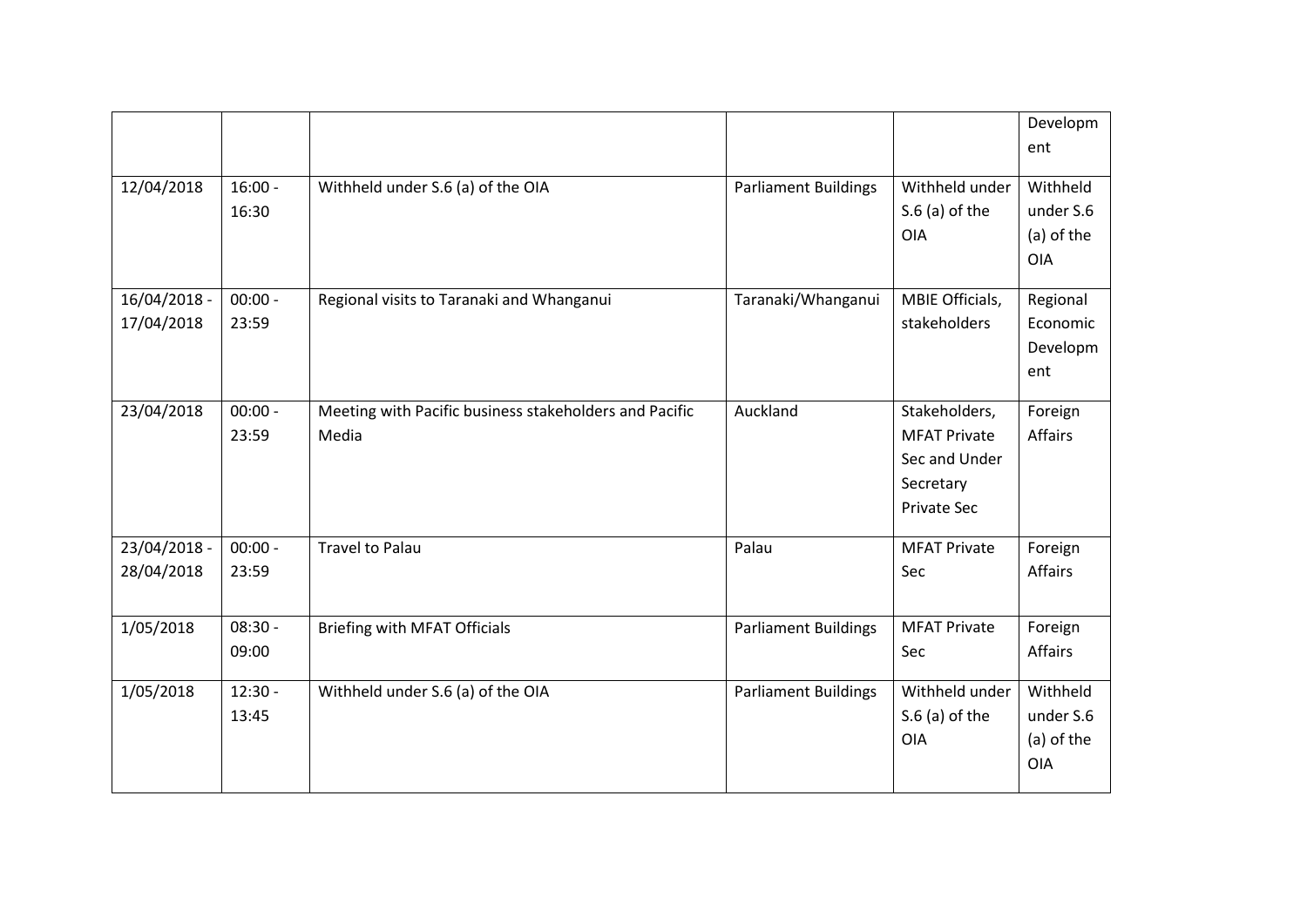|                            |                    |                                                                 |                             |                                                                                          | Developm<br>ent                                   |
|----------------------------|--------------------|-----------------------------------------------------------------|-----------------------------|------------------------------------------------------------------------------------------|---------------------------------------------------|
| 12/04/2018                 | $16:00 -$<br>16:30 | Withheld under S.6 (a) of the OIA                               | <b>Parliament Buildings</b> | Withheld under<br>$S.6$ (a) of the<br><b>OIA</b>                                         | Withheld<br>under S.6<br>(a) of the<br><b>OIA</b> |
| 16/04/2018 -<br>17/04/2018 | $00:00 -$<br>23:59 | Regional visits to Taranaki and Whanganui                       | Taranaki/Whanganui          | MBIE Officials,<br>stakeholders                                                          | Regional<br>Economic<br>Developm<br>ent           |
| 23/04/2018                 | $00:00 -$<br>23:59 | Meeting with Pacific business stakeholders and Pacific<br>Media | Auckland                    | Stakeholders,<br><b>MFAT Private</b><br>Sec and Under<br>Secretary<br><b>Private Sec</b> | Foreign<br>Affairs                                |
| 23/04/2018 -<br>28/04/2018 | $00:00 -$<br>23:59 | <b>Travel to Palau</b>                                          | Palau                       | <b>MFAT Private</b><br>Sec                                                               | Foreign<br>Affairs                                |
| 1/05/2018                  | $08:30 -$<br>09:00 | <b>Briefing with MFAT Officials</b>                             | <b>Parliament Buildings</b> | <b>MFAT Private</b><br>Sec                                                               | Foreign<br><b>Affairs</b>                         |
| 1/05/2018                  | $12:30 -$<br>13:45 | Withheld under S.6 (a) of the OIA                               | <b>Parliament Buildings</b> | Withheld under<br>$S.6$ (a) of the<br>OIA                                                | Withheld<br>under S.6<br>(a) of the<br><b>OIA</b> |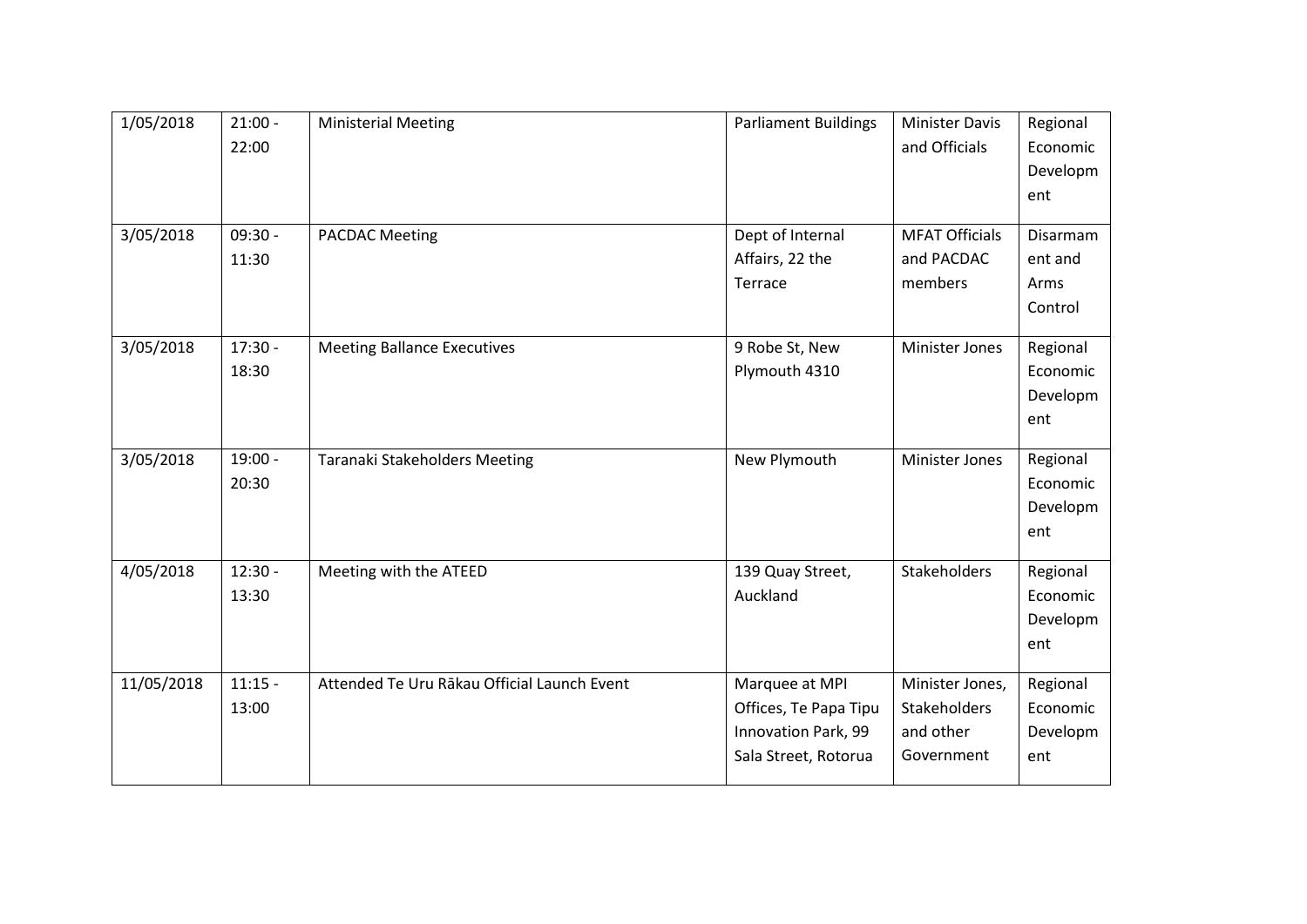| 1/05/2018  | $21:00 -$ | <b>Ministerial Meeting</b>                  | <b>Parliament Buildings</b> | <b>Minister Davis</b> | Regional |
|------------|-----------|---------------------------------------------|-----------------------------|-----------------------|----------|
|            | 22:00     |                                             |                             | and Officials         | Economic |
|            |           |                                             |                             |                       | Developm |
|            |           |                                             |                             |                       | ent      |
|            |           |                                             |                             |                       |          |
| 3/05/2018  | $09:30 -$ | <b>PACDAC Meeting</b>                       | Dept of Internal            | <b>MFAT Officials</b> | Disarmam |
|            | 11:30     |                                             | Affairs, 22 the             | and PACDAC            | ent and  |
|            |           |                                             | Terrace                     | members               | Arms     |
|            |           |                                             |                             |                       | Control  |
| 3/05/2018  | $17:30 -$ | <b>Meeting Ballance Executives</b>          | 9 Robe St, New              | Minister Jones        | Regional |
|            | 18:30     |                                             | Plymouth 4310               |                       | Economic |
|            |           |                                             |                             |                       | Developm |
|            |           |                                             |                             |                       |          |
|            |           |                                             |                             |                       | ent      |
| 3/05/2018  | $19:00 -$ | Taranaki Stakeholders Meeting               | New Plymouth                | <b>Minister Jones</b> | Regional |
|            | 20:30     |                                             |                             |                       | Economic |
|            |           |                                             |                             |                       | Developm |
|            |           |                                             |                             |                       | ent      |
|            |           |                                             |                             |                       |          |
| 4/05/2018  | $12:30 -$ | Meeting with the ATEED                      | 139 Quay Street,            | Stakeholders          | Regional |
|            | 13:30     |                                             | Auckland                    |                       | Economic |
|            |           |                                             |                             |                       | Developm |
|            |           |                                             |                             |                       | ent      |
| 11/05/2018 | $11:15 -$ | Attended Te Uru Rākau Official Launch Event | Marquee at MPI              | Minister Jones,       | Regional |
|            |           |                                             |                             |                       |          |
|            | 13:00     |                                             | Offices, Te Papa Tipu       | Stakeholders          | Economic |
|            |           |                                             | Innovation Park, 99         | and other             | Developm |
|            |           |                                             | Sala Street, Rotorua        | Government            | ent      |
|            |           |                                             |                             |                       |          |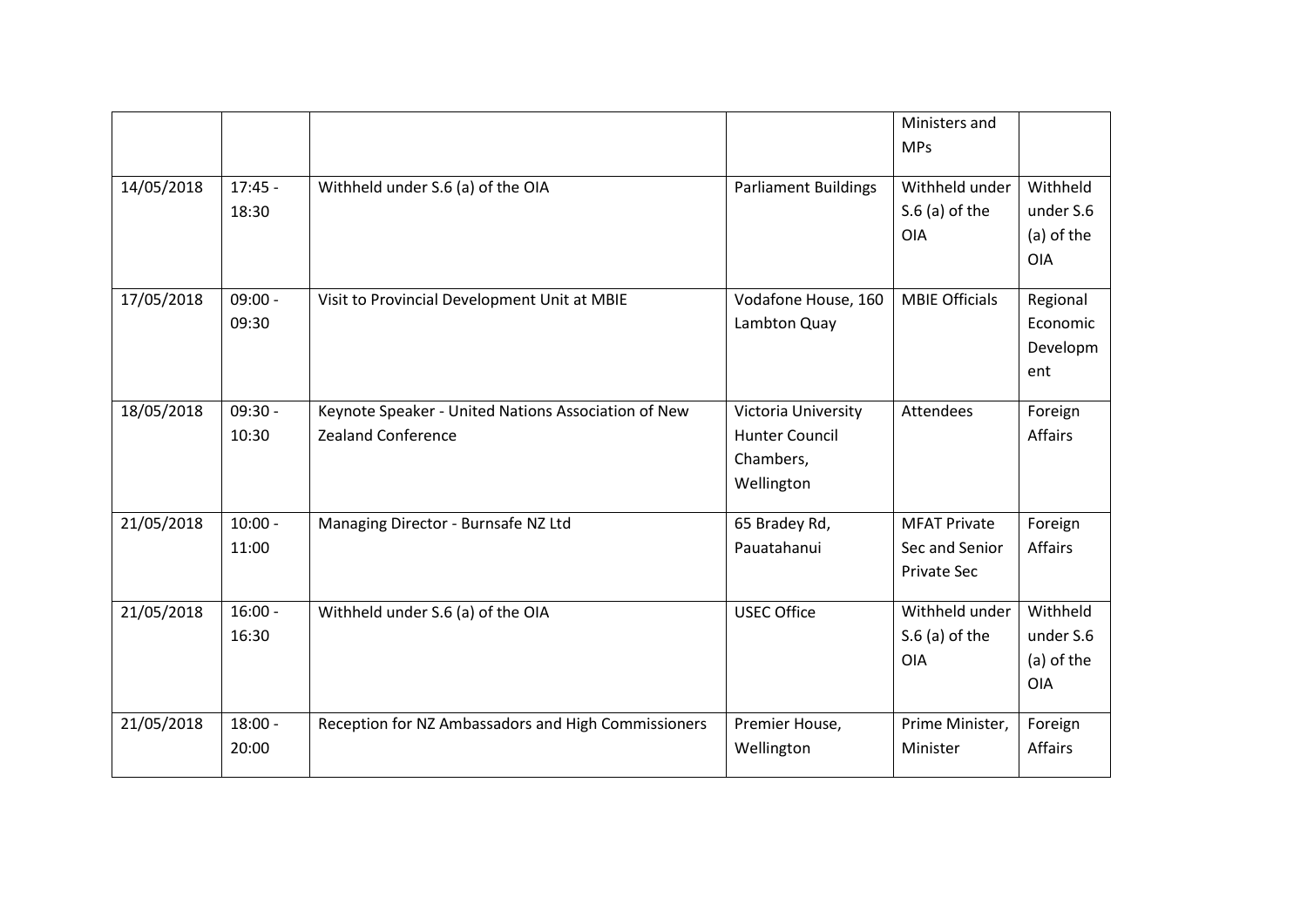|            |                    |                                                                                  |                                                                         | Ministers and<br><b>MPs</b>                                 |                                                   |
|------------|--------------------|----------------------------------------------------------------------------------|-------------------------------------------------------------------------|-------------------------------------------------------------|---------------------------------------------------|
| 14/05/2018 | $17:45 -$<br>18:30 | Withheld under S.6 (a) of the OIA                                                | <b>Parliament Buildings</b>                                             | Withheld under<br>$S.6$ (a) of the<br><b>OIA</b>            | Withheld<br>under S.6<br>(a) of the<br><b>OIA</b> |
| 17/05/2018 | $09:00 -$<br>09:30 | Visit to Provincial Development Unit at MBIE                                     | Vodafone House, 160<br>Lambton Quay                                     | <b>MBIE Officials</b>                                       | Regional<br>Economic<br>Developm<br>ent           |
| 18/05/2018 | $09:30 -$<br>10:30 | Keynote Speaker - United Nations Association of New<br><b>Zealand Conference</b> | Victoria University<br><b>Hunter Council</b><br>Chambers,<br>Wellington | Attendees                                                   | Foreign<br><b>Affairs</b>                         |
| 21/05/2018 | $10:00 -$<br>11:00 | Managing Director - Burnsafe NZ Ltd                                              | 65 Bradey Rd,<br>Pauatahanui                                            | <b>MFAT Private</b><br>Sec and Senior<br><b>Private Sec</b> | Foreign<br><b>Affairs</b>                         |
| 21/05/2018 | $16:00 -$<br>16:30 | Withheld under S.6 (a) of the OIA                                                | <b>USEC Office</b>                                                      | Withheld under<br>$S.6$ (a) of the<br><b>OIA</b>            | Withheld<br>under S.6<br>(a) of the<br><b>OIA</b> |
| 21/05/2018 | $18:00 -$<br>20:00 | Reception for NZ Ambassadors and High Commissioners                              | Premier House,<br>Wellington                                            | Prime Minister,<br>Minister                                 | Foreign<br><b>Affairs</b>                         |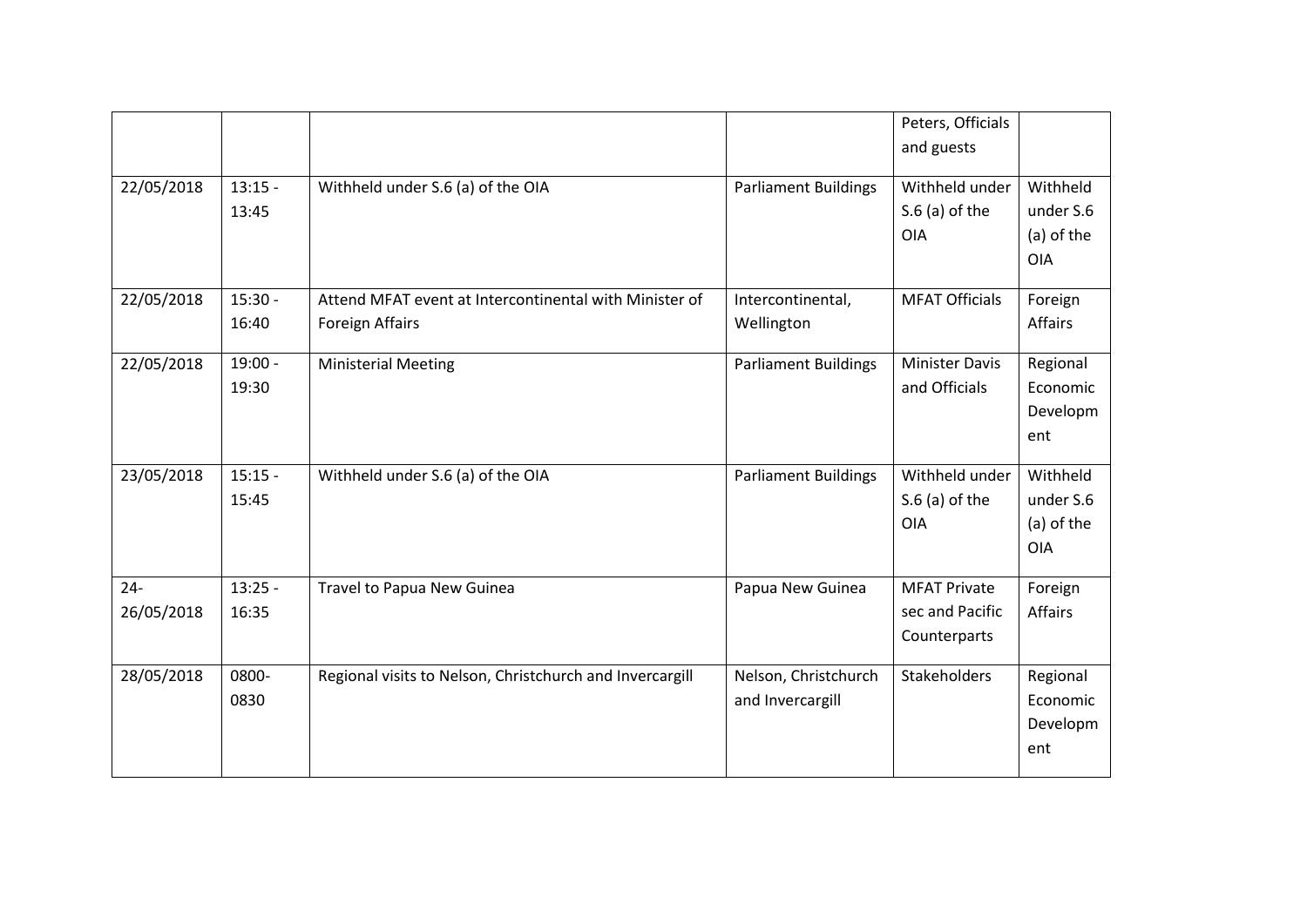|                      |                    |                                                                                  |                                          | Peters, Officials<br>and guests                        |                                                   |
|----------------------|--------------------|----------------------------------------------------------------------------------|------------------------------------------|--------------------------------------------------------|---------------------------------------------------|
| 22/05/2018           | $13:15 -$<br>13:45 | Withheld under S.6 (a) of the OIA                                                | <b>Parliament Buildings</b>              | Withheld under<br>$S.6$ (a) of the<br><b>OIA</b>       | Withheld<br>under S.6<br>(a) of the<br><b>OIA</b> |
| 22/05/2018           | $15:30 -$<br>16:40 | Attend MFAT event at Intercontinental with Minister of<br><b>Foreign Affairs</b> | Intercontinental,<br>Wellington          | <b>MFAT Officials</b>                                  | Foreign<br><b>Affairs</b>                         |
| 22/05/2018           | $19:00 -$<br>19:30 | <b>Ministerial Meeting</b>                                                       | <b>Parliament Buildings</b>              | <b>Minister Davis</b><br>and Officials                 | Regional<br>Economic<br>Developm<br>ent           |
| 23/05/2018           | $15:15 -$<br>15:45 | Withheld under S.6 (a) of the OIA                                                | <b>Parliament Buildings</b>              | Withheld under<br>$S.6$ (a) of the<br>OIA              | Withheld<br>under S.6<br>(a) of the<br><b>OIA</b> |
| $24 -$<br>26/05/2018 | $13:25 -$<br>16:35 | Travel to Papua New Guinea                                                       | Papua New Guinea                         | <b>MFAT Private</b><br>sec and Pacific<br>Counterparts | Foreign<br>Affairs                                |
| 28/05/2018           | 0800-<br>0830      | Regional visits to Nelson, Christchurch and Invercargill                         | Nelson, Christchurch<br>and Invercargill | Stakeholders                                           | Regional<br>Economic<br>Developm<br>ent           |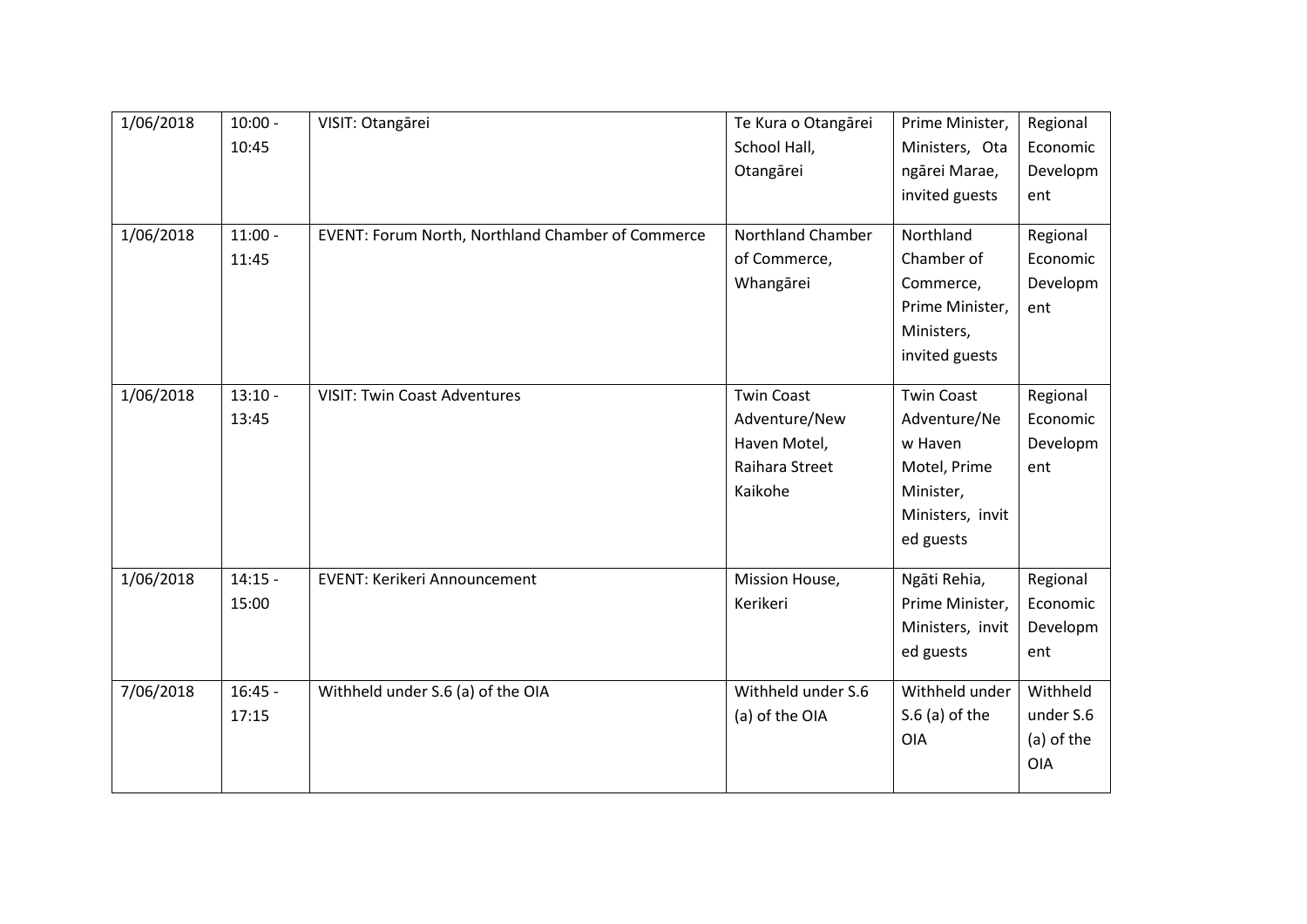| 1/06/2018 | $10:00 -$ | VISIT: Otangārei                                  | Te Kura o Otangārei      | Prime Minister,   | Regional   |
|-----------|-----------|---------------------------------------------------|--------------------------|-------------------|------------|
|           | 10:45     |                                                   | School Hall,             | Ministers, Ota    | Economic   |
|           |           |                                                   | Otangārei                | ngārei Marae,     | Developm   |
|           |           |                                                   |                          | invited guests    | ent        |
|           |           |                                                   |                          |                   |            |
| 1/06/2018 | $11:00 -$ | EVENT: Forum North, Northland Chamber of Commerce | <b>Northland Chamber</b> | Northland         | Regional   |
|           | 11:45     |                                                   | of Commerce,             | Chamber of        | Economic   |
|           |           |                                                   | Whangārei                | Commerce,         | Developm   |
|           |           |                                                   |                          | Prime Minister,   | ent        |
|           |           |                                                   |                          | Ministers,        |            |
|           |           |                                                   |                          | invited guests    |            |
| 1/06/2018 | $13:10 -$ | <b>VISIT: Twin Coast Adventures</b>               | <b>Twin Coast</b>        | <b>Twin Coast</b> | Regional   |
|           |           |                                                   | Adventure/New            | Adventure/Ne      | Economic   |
|           | 13:45     |                                                   |                          |                   |            |
|           |           |                                                   | Haven Motel,             | w Haven           | Developm   |
|           |           |                                                   | Raihara Street           | Motel, Prime      | ent        |
|           |           |                                                   | Kaikohe                  | Minister,         |            |
|           |           |                                                   |                          | Ministers, invit  |            |
|           |           |                                                   |                          | ed guests         |            |
| 1/06/2018 | $14:15 -$ | <b>EVENT: Kerikeri Announcement</b>               | Mission House,           | Ngāti Rehia,      | Regional   |
|           | 15:00     |                                                   | Kerikeri                 | Prime Minister,   | Economic   |
|           |           |                                                   |                          | Ministers, invit  | Developm   |
|           |           |                                                   |                          | ed guests         | ent        |
|           |           |                                                   |                          |                   |            |
| 7/06/2018 | $16:45 -$ | Withheld under S.6 (a) of the OIA                 | Withheld under S.6       | Withheld under    | Withheld   |
|           | 17:15     |                                                   | (a) of the OIA           | $S.6$ (a) of the  | under S.6  |
|           |           |                                                   |                          | <b>OIA</b>        | (a) of the |
|           |           |                                                   |                          |                   | <b>OIA</b> |
|           |           |                                                   |                          |                   |            |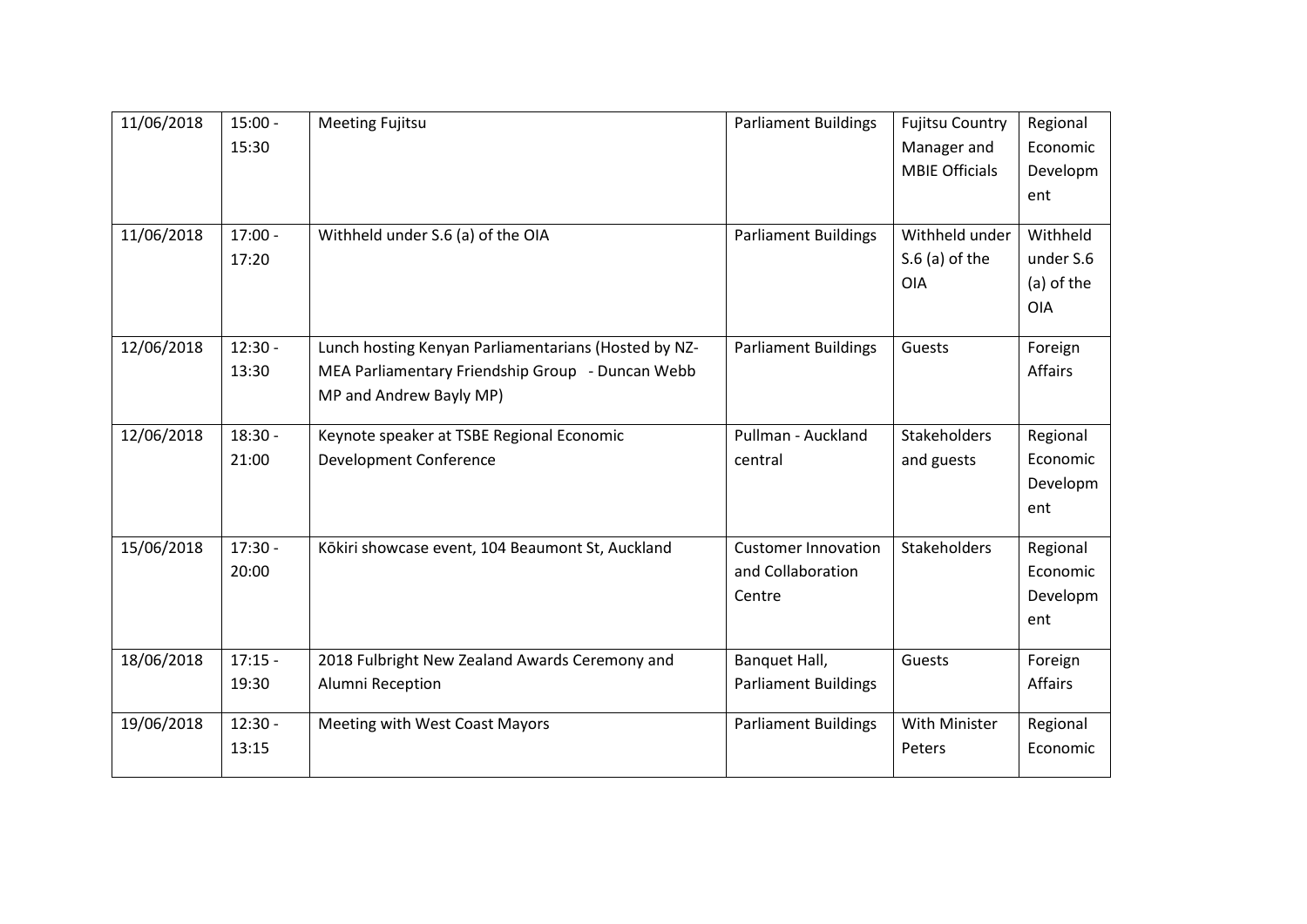| 11/06/2018 | $15:00 -$ | <b>Meeting Fujitsu</b>                               | <b>Parliament Buildings</b> | <b>Fujitsu Country</b> | Regional       |
|------------|-----------|------------------------------------------------------|-----------------------------|------------------------|----------------|
|            | 15:30     |                                                      |                             | Manager and            | Economic       |
|            |           |                                                      |                             | <b>MBIE Officials</b>  | Developm       |
|            |           |                                                      |                             |                        | ent            |
|            |           |                                                      |                             |                        |                |
| 11/06/2018 | $17:00 -$ | Withheld under S.6 (a) of the OIA                    | <b>Parliament Buildings</b> | Withheld under         | Withheld       |
|            | 17:20     |                                                      |                             | $S.6$ (a) of the       | under S.6      |
|            |           |                                                      |                             | <b>OIA</b>             | (a) of the     |
|            |           |                                                      |                             |                        | <b>OIA</b>     |
| 12/06/2018 | $12:30 -$ | Lunch hosting Kenyan Parliamentarians (Hosted by NZ- | <b>Parliament Buildings</b> | Guests                 | Foreign        |
|            | 13:30     | MEA Parliamentary Friendship Group - Duncan Webb     |                             |                        | Affairs        |
|            |           | MP and Andrew Bayly MP)                              |                             |                        |                |
|            |           |                                                      |                             |                        |                |
| 12/06/2018 | $18:30 -$ | Keynote speaker at TSBE Regional Economic            | Pullman - Auckland          | <b>Stakeholders</b>    | Regional       |
|            | 21:00     | Development Conference                               | central                     | and guests             | Economic       |
|            |           |                                                      |                             |                        | Developm       |
|            |           |                                                      |                             |                        | ent            |
| 15/06/2018 | $17:30 -$ | Kōkiri showcase event, 104 Beaumont St, Auckland     | <b>Customer Innovation</b>  | Stakeholders           | Regional       |
|            | 20:00     |                                                      | and Collaboration           |                        | Economic       |
|            |           |                                                      |                             |                        |                |
|            |           |                                                      | Centre                      |                        | Developm       |
|            |           |                                                      |                             |                        | ent            |
| 18/06/2018 | $17:15 -$ | 2018 Fulbright New Zealand Awards Ceremony and       | Banquet Hall,               | Guests                 | Foreign        |
|            | 19:30     | Alumni Reception                                     | <b>Parliament Buildings</b> |                        | <b>Affairs</b> |
|            |           |                                                      |                             |                        |                |
| 19/06/2018 | $12:30 -$ | Meeting with West Coast Mayors                       | <b>Parliament Buildings</b> | With Minister          | Regional       |
|            | 13:15     |                                                      |                             | Peters                 | Economic       |
|            |           |                                                      |                             |                        |                |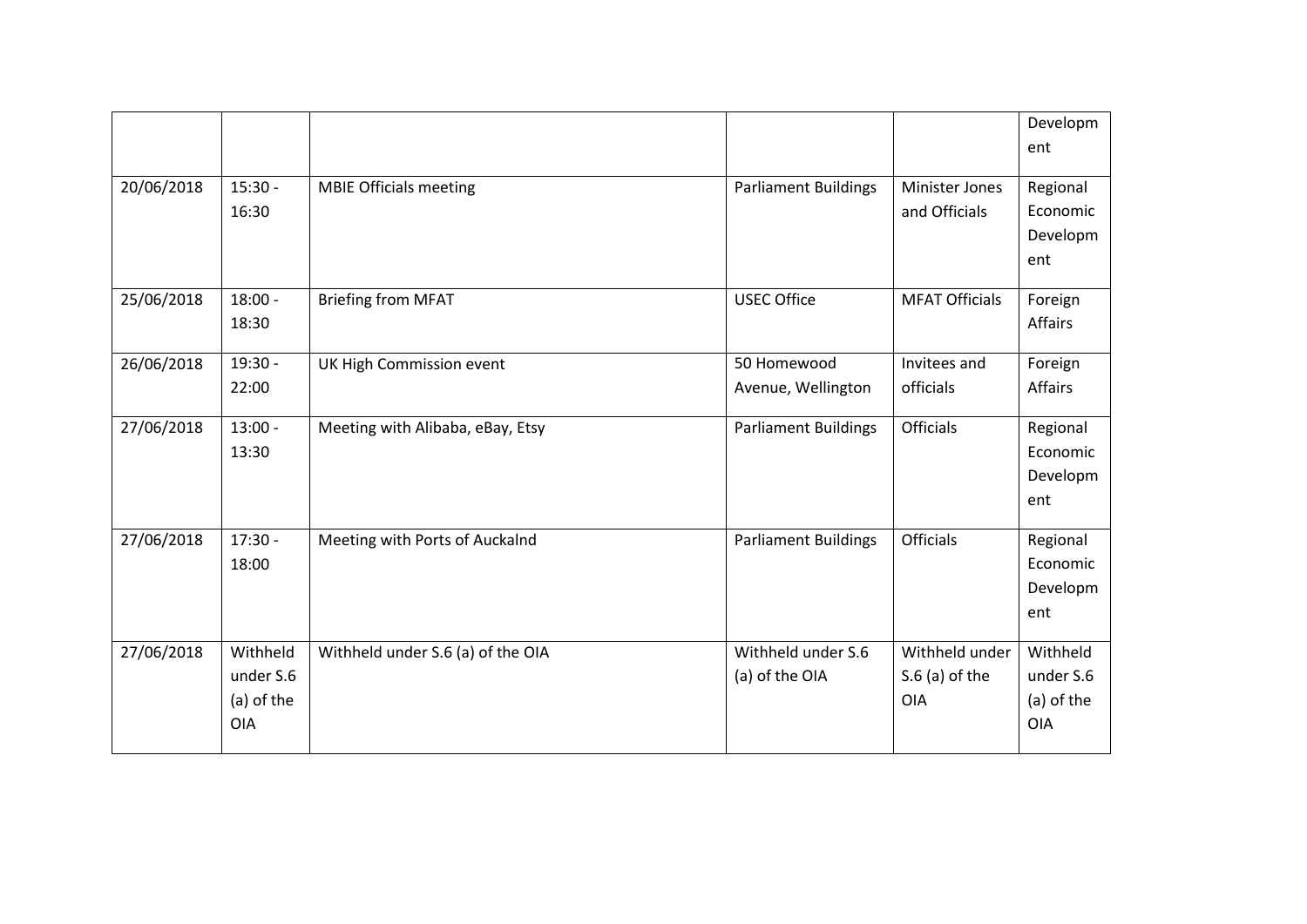|            |            |                                   |                             |                       | Developm       |
|------------|------------|-----------------------------------|-----------------------------|-----------------------|----------------|
|            |            |                                   |                             |                       | ent            |
|            |            |                                   |                             |                       |                |
| 20/06/2018 | $15:30 -$  | <b>MBIE Officials meeting</b>     | <b>Parliament Buildings</b> | Minister Jones        | Regional       |
|            | 16:30      |                                   |                             | and Officials         | Economic       |
|            |            |                                   |                             |                       | Developm       |
|            |            |                                   |                             |                       | ent            |
| 25/06/2018 | $18:00 -$  | <b>Briefing from MFAT</b>         | <b>USEC Office</b>          | <b>MFAT Officials</b> | Foreign        |
|            | 18:30      |                                   |                             |                       | Affairs        |
| 26/06/2018 | $19:30 -$  | UK High Commission event          | 50 Homewood                 | Invitees and          | Foreign        |
|            | 22:00      |                                   | Avenue, Wellington          | officials             | <b>Affairs</b> |
|            |            |                                   |                             |                       |                |
| 27/06/2018 | $13:00 -$  | Meeting with Alibaba, eBay, Etsy  | <b>Parliament Buildings</b> | Officials             | Regional       |
|            | 13:30      |                                   |                             |                       | Economic       |
|            |            |                                   |                             |                       | Developm       |
|            |            |                                   |                             |                       | ent            |
|            | $17:30 -$  |                                   |                             |                       |                |
| 27/06/2018 |            | Meeting with Ports of Auckalnd    | <b>Parliament Buildings</b> | <b>Officials</b>      | Regional       |
|            | 18:00      |                                   |                             |                       | Economic       |
|            |            |                                   |                             |                       | Developm       |
|            |            |                                   |                             |                       | ent            |
| 27/06/2018 | Withheld   | Withheld under S.6 (a) of the OIA | Withheld under S.6          | Withheld under        | Withheld       |
|            | under S.6  |                                   | (a) of the OIA              | $S.6$ (a) of the      | under S.6      |
|            | (a) of the |                                   |                             | <b>OIA</b>            | (a) of the     |
|            | <b>OIA</b> |                                   |                             |                       | <b>OIA</b>     |
|            |            |                                   |                             |                       |                |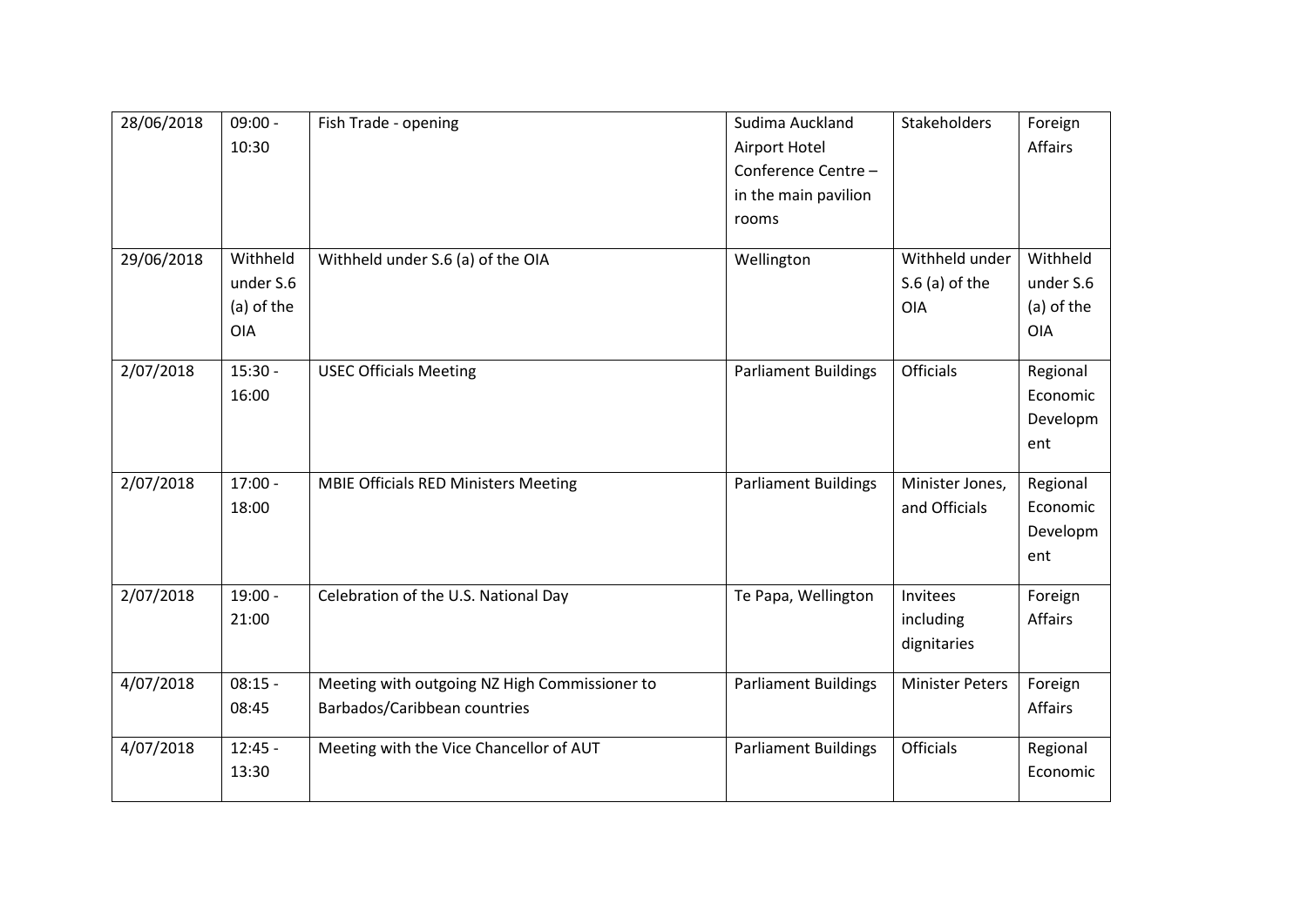| 28/06/2018 | $09:00 -$<br>10:30                                | Fish Trade - opening                                                          | Sudima Auckland<br>Airport Hotel<br>Conference Centre-<br>in the main pavilion<br>rooms | Stakeholders                              | Foreign<br>Affairs                                |
|------------|---------------------------------------------------|-------------------------------------------------------------------------------|-----------------------------------------------------------------------------------------|-------------------------------------------|---------------------------------------------------|
| 29/06/2018 | Withheld<br>under S.6<br>(a) of the<br><b>OIA</b> | Withheld under S.6 (a) of the OIA                                             | Wellington                                                                              | Withheld under<br>$S.6$ (a) of the<br>OIA | Withheld<br>under S.6<br>(a) of the<br><b>OIA</b> |
| 2/07/2018  | $15:30 -$<br>16:00                                | <b>USEC Officials Meeting</b>                                                 | <b>Parliament Buildings</b>                                                             | <b>Officials</b>                          | Regional<br>Economic<br>Developm<br>ent           |
| 2/07/2018  | $17:00 -$<br>18:00                                | <b>MBIE Officials RED Ministers Meeting</b>                                   | <b>Parliament Buildings</b>                                                             | Minister Jones,<br>and Officials          | Regional<br>Economic<br>Developm<br>ent           |
| 2/07/2018  | $19:00 -$<br>21:00                                | Celebration of the U.S. National Day                                          | Te Papa, Wellington                                                                     | Invitees<br>including<br>dignitaries      | Foreign<br>Affairs                                |
| 4/07/2018  | $08:15 -$<br>08:45                                | Meeting with outgoing NZ High Commissioner to<br>Barbados/Caribbean countries | <b>Parliament Buildings</b>                                                             | <b>Minister Peters</b>                    | Foreign<br>Affairs                                |
| 4/07/2018  | $12:45 -$<br>13:30                                | Meeting with the Vice Chancellor of AUT                                       | <b>Parliament Buildings</b>                                                             | Officials                                 | Regional<br>Economic                              |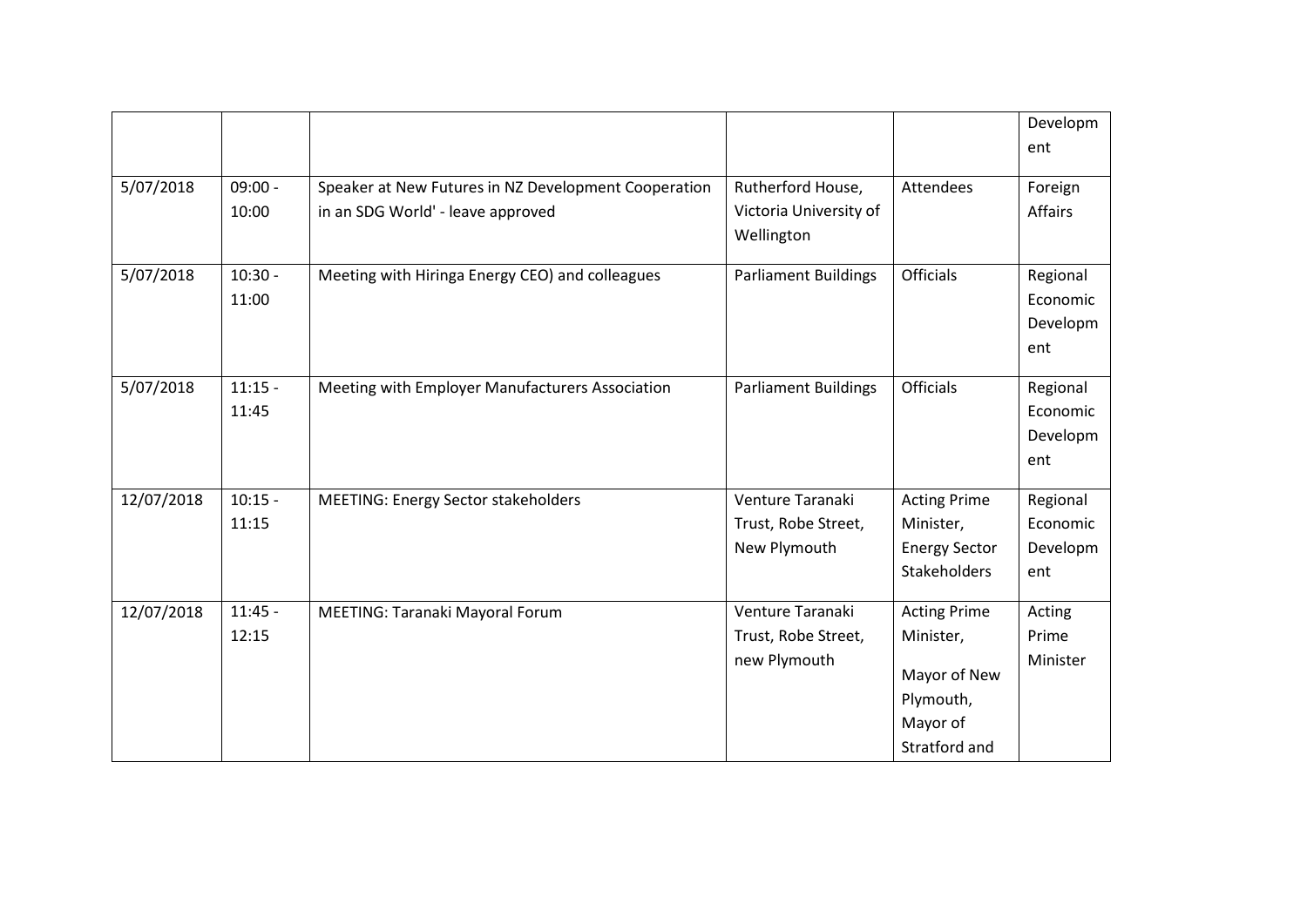|            |                    |                                                                                           |                                                           |                                                                                            | Developm<br>ent                         |
|------------|--------------------|-------------------------------------------------------------------------------------------|-----------------------------------------------------------|--------------------------------------------------------------------------------------------|-----------------------------------------|
| 5/07/2018  | $09:00 -$<br>10:00 | Speaker at New Futures in NZ Development Cooperation<br>in an SDG World' - leave approved | Rutherford House,<br>Victoria University of<br>Wellington | Attendees                                                                                  | Foreign<br><b>Affairs</b>               |
| 5/07/2018  | $10:30 -$<br>11:00 | Meeting with Hiringa Energy CEO) and colleagues                                           | <b>Parliament Buildings</b>                               | <b>Officials</b>                                                                           | Regional<br>Economic<br>Developm<br>ent |
| 5/07/2018  | $11:15 -$<br>11:45 | Meeting with Employer Manufacturers Association                                           | <b>Parliament Buildings</b>                               | <b>Officials</b>                                                                           | Regional<br>Economic<br>Developm<br>ent |
| 12/07/2018 | $10:15 -$<br>11:15 | <b>MEETING: Energy Sector stakeholders</b>                                                | Venture Taranaki<br>Trust, Robe Street,<br>New Plymouth   | <b>Acting Prime</b><br>Minister,<br><b>Energy Sector</b><br><b>Stakeholders</b>            | Regional<br>Economic<br>Developm<br>ent |
| 12/07/2018 | $11:45 -$<br>12:15 | MEETING: Taranaki Mayoral Forum                                                           | Venture Taranaki<br>Trust, Robe Street,<br>new Plymouth   | <b>Acting Prime</b><br>Minister,<br>Mayor of New<br>Plymouth,<br>Mayor of<br>Stratford and | Acting<br>Prime<br>Minister             |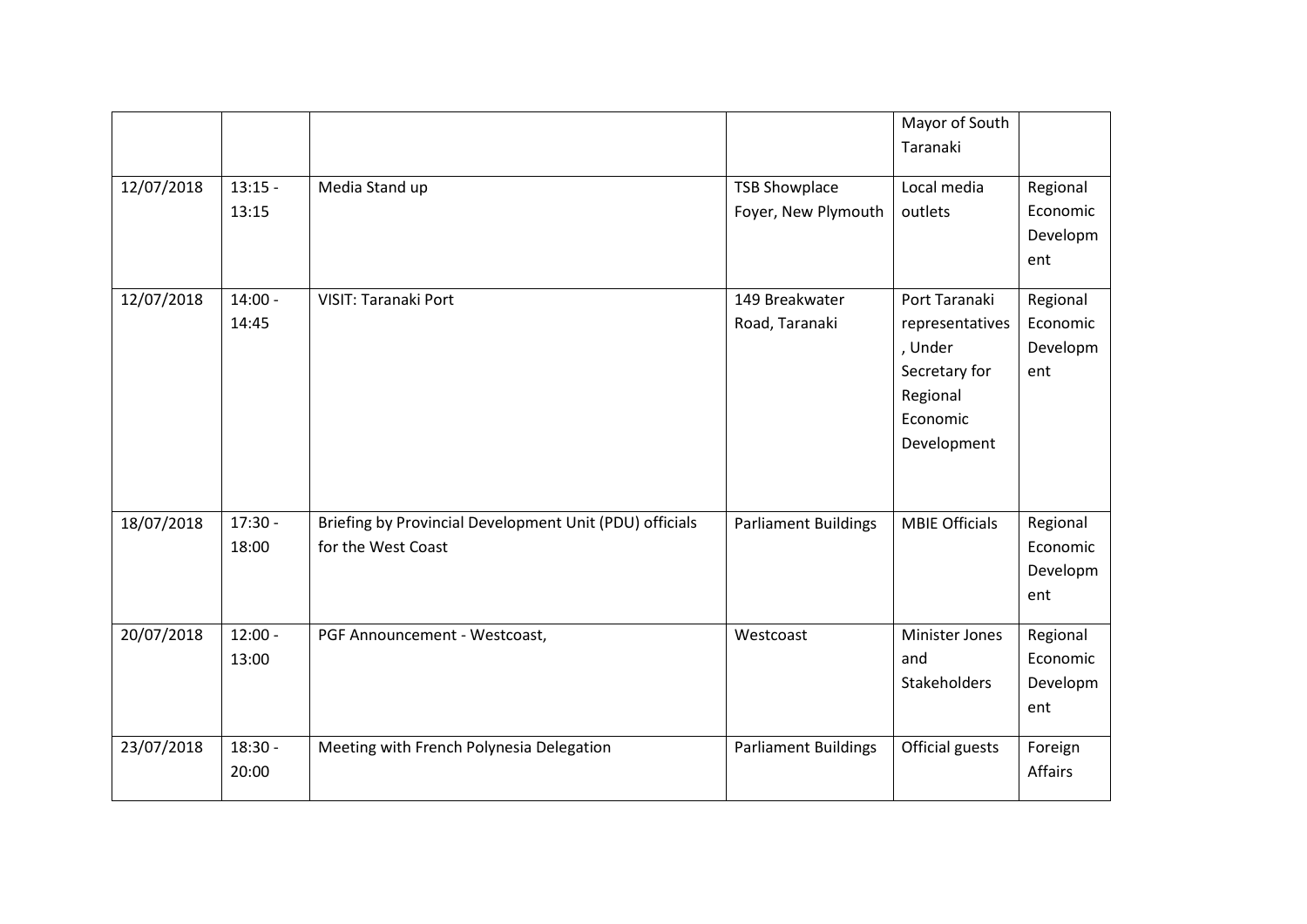|            |                    |                                                                               |                                             | Mayor of South<br>Taranaki                                                                          |                                         |
|------------|--------------------|-------------------------------------------------------------------------------|---------------------------------------------|-----------------------------------------------------------------------------------------------------|-----------------------------------------|
| 12/07/2018 | $13:15 -$<br>13:15 | Media Stand up                                                                | <b>TSB Showplace</b><br>Foyer, New Plymouth | Local media<br>outlets                                                                              | Regional<br>Economic<br>Developm<br>ent |
| 12/07/2018 | $14:00 -$<br>14:45 | VISIT: Taranaki Port                                                          | 149 Breakwater<br>Road, Taranaki            | Port Taranaki<br>representatives<br>, Under<br>Secretary for<br>Regional<br>Economic<br>Development | Regional<br>Economic<br>Developm<br>ent |
| 18/07/2018 | $17:30 -$<br>18:00 | Briefing by Provincial Development Unit (PDU) officials<br>for the West Coast | <b>Parliament Buildings</b>                 | <b>MBIE Officials</b>                                                                               | Regional<br>Economic<br>Developm<br>ent |
| 20/07/2018 | $12:00 -$<br>13:00 | PGF Announcement - Westcoast,                                                 | Westcoast                                   | <b>Minister Jones</b><br>and<br>Stakeholders                                                        | Regional<br>Economic<br>Developm<br>ent |
| 23/07/2018 | $18:30 -$<br>20:00 | Meeting with French Polynesia Delegation                                      | <b>Parliament Buildings</b>                 | Official guests                                                                                     | Foreign<br>Affairs                      |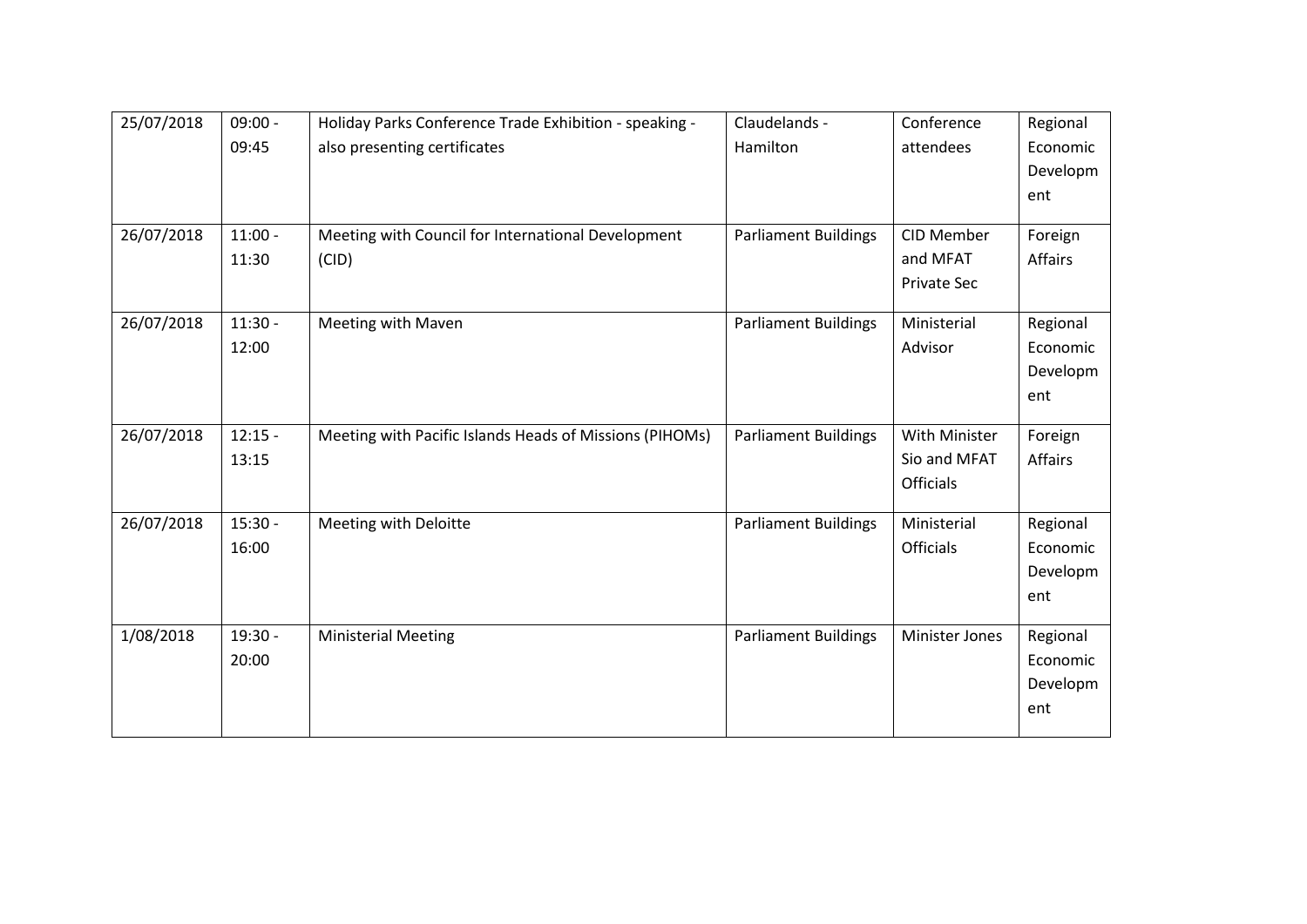| 25/07/2018 | $09:00 -$ | Holiday Parks Conference Trade Exhibition - speaking -  | Claudelands -               | Conference         | Regional |
|------------|-----------|---------------------------------------------------------|-----------------------------|--------------------|----------|
|            | 09:45     | also presenting certificates                            | Hamilton                    | attendees          | Economic |
|            |           |                                                         |                             |                    | Developm |
|            |           |                                                         |                             |                    | ent      |
|            |           |                                                         |                             |                    |          |
| 26/07/2018 | $11:00 -$ | Meeting with Council for International Development      | <b>Parliament Buildings</b> | CID Member         | Foreign  |
|            | 11:30     | (CID)                                                   |                             | and MFAT           | Affairs  |
|            |           |                                                         |                             | <b>Private Sec</b> |          |
| 26/07/2018 | $11:30 -$ | Meeting with Maven                                      | <b>Parliament Buildings</b> | Ministerial        | Regional |
|            | 12:00     |                                                         |                             | Advisor            | Economic |
|            |           |                                                         |                             |                    | Developm |
|            |           |                                                         |                             |                    | ent      |
| 26/07/2018 | $12:15 -$ | Meeting with Pacific Islands Heads of Missions (PIHOMs) | <b>Parliament Buildings</b> | With Minister      | Foreign  |
|            | 13:15     |                                                         |                             | Sio and MFAT       | Affairs  |
|            |           |                                                         |                             | <b>Officials</b>   |          |
|            |           |                                                         |                             |                    |          |
| 26/07/2018 | $15:30 -$ | Meeting with Deloitte                                   | <b>Parliament Buildings</b> | Ministerial        | Regional |
|            | 16:00     |                                                         |                             | <b>Officials</b>   | Economic |
|            |           |                                                         |                             |                    | Developm |
|            |           |                                                         |                             |                    | ent      |
| 1/08/2018  | $19:30 -$ | <b>Ministerial Meeting</b>                              | <b>Parliament Buildings</b> | Minister Jones     | Regional |
|            | 20:00     |                                                         |                             |                    | Economic |
|            |           |                                                         |                             |                    | Developm |
|            |           |                                                         |                             |                    | ent      |
|            |           |                                                         |                             |                    |          |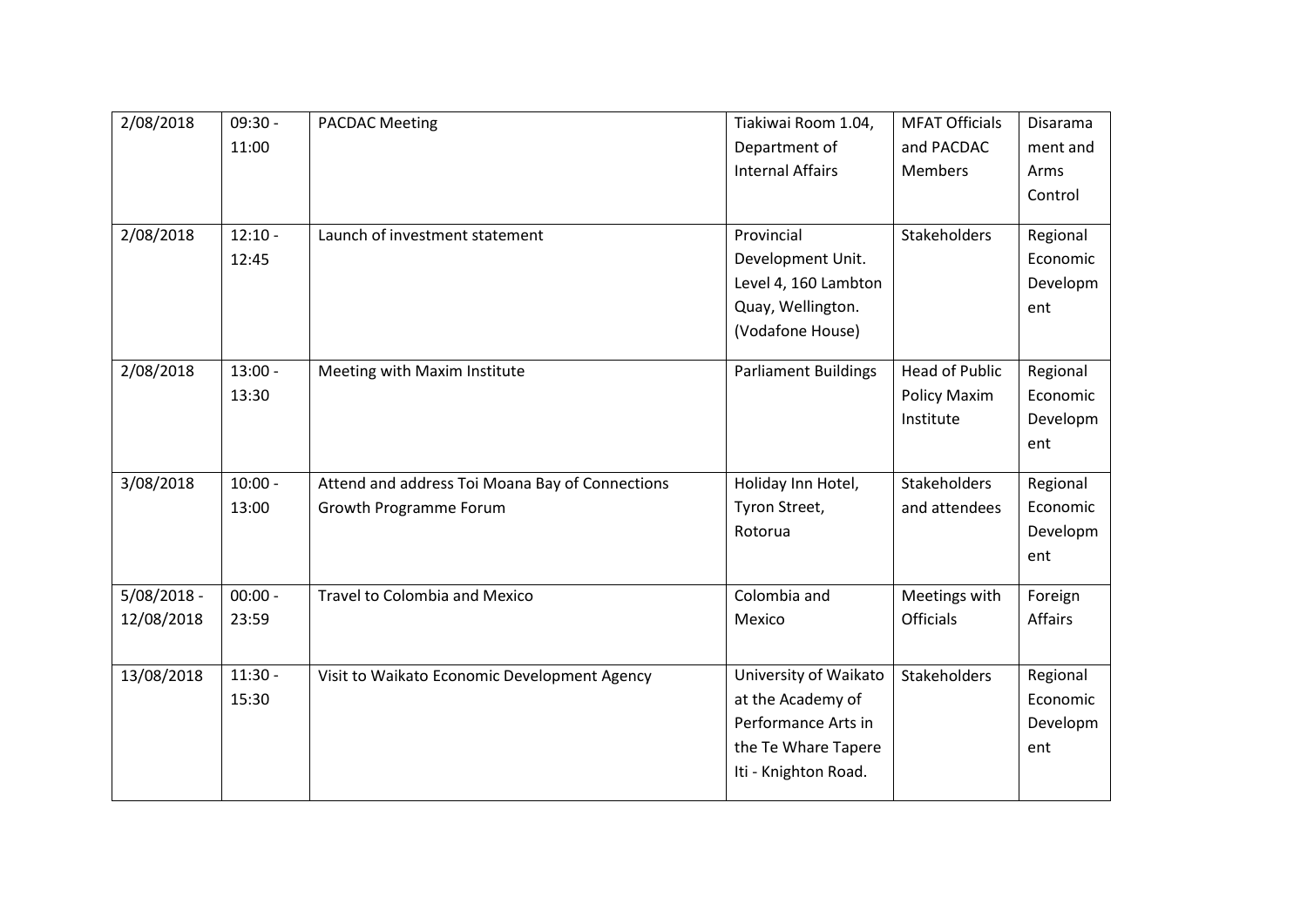| 2/08/2018     | $09:30 -$ | <b>PACDAC Meeting</b>                           | Tiakiwai Room 1.04,         | <b>MFAT Officials</b> | Disarama       |
|---------------|-----------|-------------------------------------------------|-----------------------------|-----------------------|----------------|
|               | 11:00     |                                                 | Department of               | and PACDAC            | ment and       |
|               |           |                                                 | <b>Internal Affairs</b>     | <b>Members</b>        | Arms           |
|               |           |                                                 |                             |                       | Control        |
|               |           |                                                 |                             |                       |                |
| 2/08/2018     | $12:10 -$ | Launch of investment statement                  | Provincial                  | Stakeholders          | Regional       |
|               | 12:45     |                                                 | Development Unit.           |                       | Economic       |
|               |           |                                                 | Level 4, 160 Lambton        |                       | Developm       |
|               |           |                                                 | Quay, Wellington.           |                       | ent            |
|               |           |                                                 | (Vodafone House)            |                       |                |
| 2/08/2018     | $13:00 -$ | Meeting with Maxim Institute                    | <b>Parliament Buildings</b> | <b>Head of Public</b> | Regional       |
|               | 13:30     |                                                 |                             | Policy Maxim          | Economic       |
|               |           |                                                 |                             | Institute             | Developm       |
|               |           |                                                 |                             |                       | ent            |
|               |           |                                                 |                             |                       |                |
| 3/08/2018     | $10:00 -$ | Attend and address Toi Moana Bay of Connections | Holiday Inn Hotel,          | Stakeholders          | Regional       |
|               | 13:00     | Growth Programme Forum                          | Tyron Street,               | and attendees         | Economic       |
|               |           |                                                 | Rotorua                     |                       | Developm       |
|               |           |                                                 |                             |                       | ent            |
| $5/08/2018 -$ | $00:00 -$ | <b>Travel to Colombia and Mexico</b>            | Colombia and                | Meetings with         | Foreign        |
| 12/08/2018    | 23:59     |                                                 | Mexico                      | <b>Officials</b>      | <b>Affairs</b> |
|               |           |                                                 |                             |                       |                |
| 13/08/2018    | $11:30 -$ | Visit to Waikato Economic Development Agency    | University of Waikato       | Stakeholders          | Regional       |
|               | 15:30     |                                                 | at the Academy of           |                       | Economic       |
|               |           |                                                 | Performance Arts in         |                       | Developm       |
|               |           |                                                 | the Te Whare Tapere         |                       | ent            |
|               |           |                                                 | Iti - Knighton Road.        |                       |                |
|               |           |                                                 |                             |                       |                |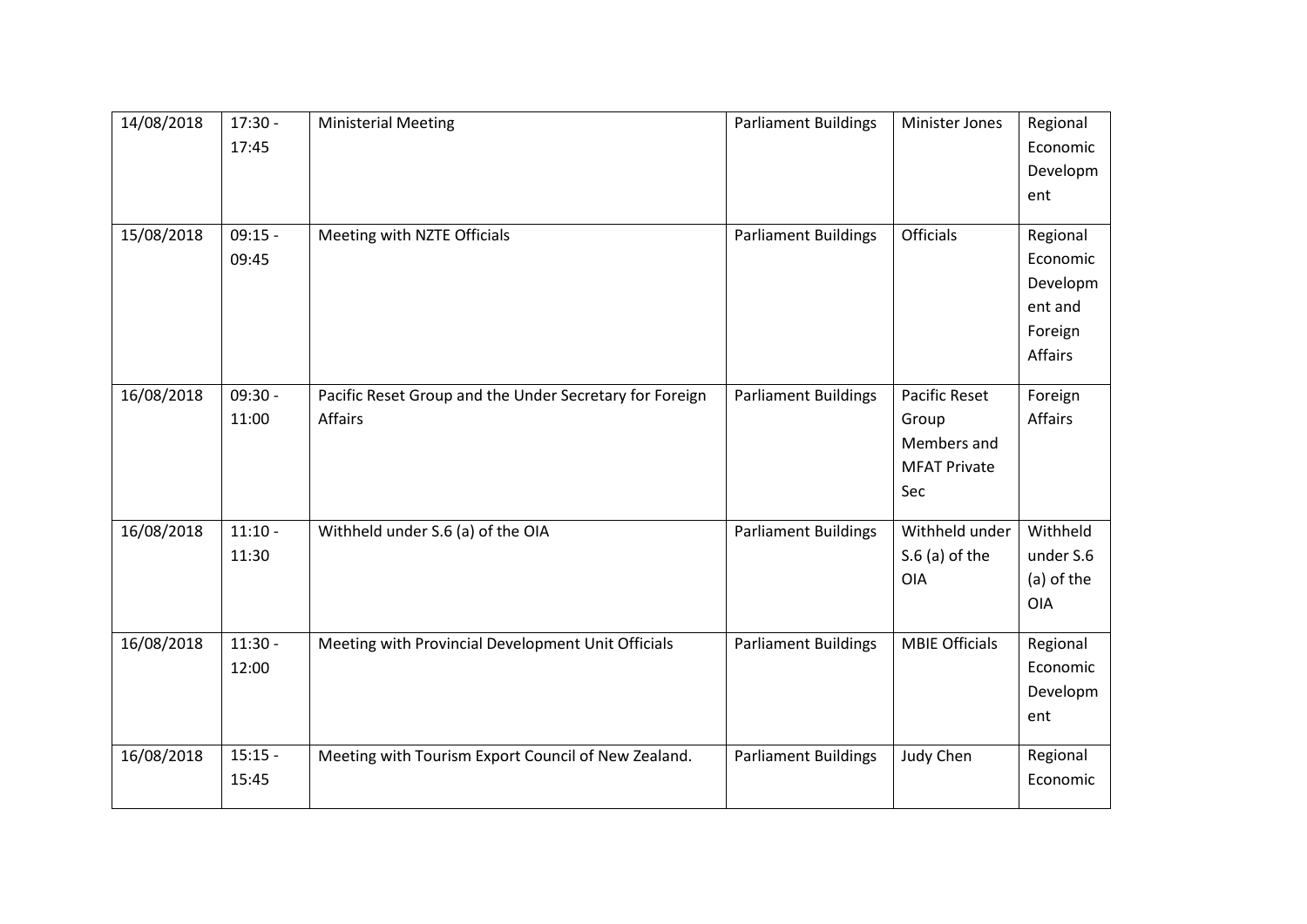| 14/08/2018 | $17:30 -$<br>17:45 | <b>Ministerial Meeting</b>                                         | <b>Parliament Buildings</b> | Minister Jones                                                             | Regional<br>Economic<br>Developm<br>ent                           |
|------------|--------------------|--------------------------------------------------------------------|-----------------------------|----------------------------------------------------------------------------|-------------------------------------------------------------------|
| 15/08/2018 | $09:15 -$<br>09:45 | Meeting with NZTE Officials                                        | <b>Parliament Buildings</b> | Officials                                                                  | Regional<br>Economic<br>Developm<br>ent and<br>Foreign<br>Affairs |
| 16/08/2018 | $09:30 -$<br>11:00 | Pacific Reset Group and the Under Secretary for Foreign<br>Affairs | <b>Parliament Buildings</b> | <b>Pacific Reset</b><br>Group<br>Members and<br><b>MFAT Private</b><br>Sec | Foreign<br>Affairs                                                |
| 16/08/2018 | $11:10 -$<br>11:30 | Withheld under S.6 (a) of the OIA                                  | <b>Parliament Buildings</b> | Withheld under<br>$S.6$ (a) of the<br><b>OIA</b>                           | Withheld<br>under S.6<br>(a) of the<br><b>OIA</b>                 |
| 16/08/2018 | $11:30 -$<br>12:00 | Meeting with Provincial Development Unit Officials                 | <b>Parliament Buildings</b> | <b>MBIE Officials</b>                                                      | Regional<br>Economic<br>Developm<br>ent                           |
| 16/08/2018 | $15:15 -$<br>15:45 | Meeting with Tourism Export Council of New Zealand.                | <b>Parliament Buildings</b> | Judy Chen                                                                  | Regional<br>Economic                                              |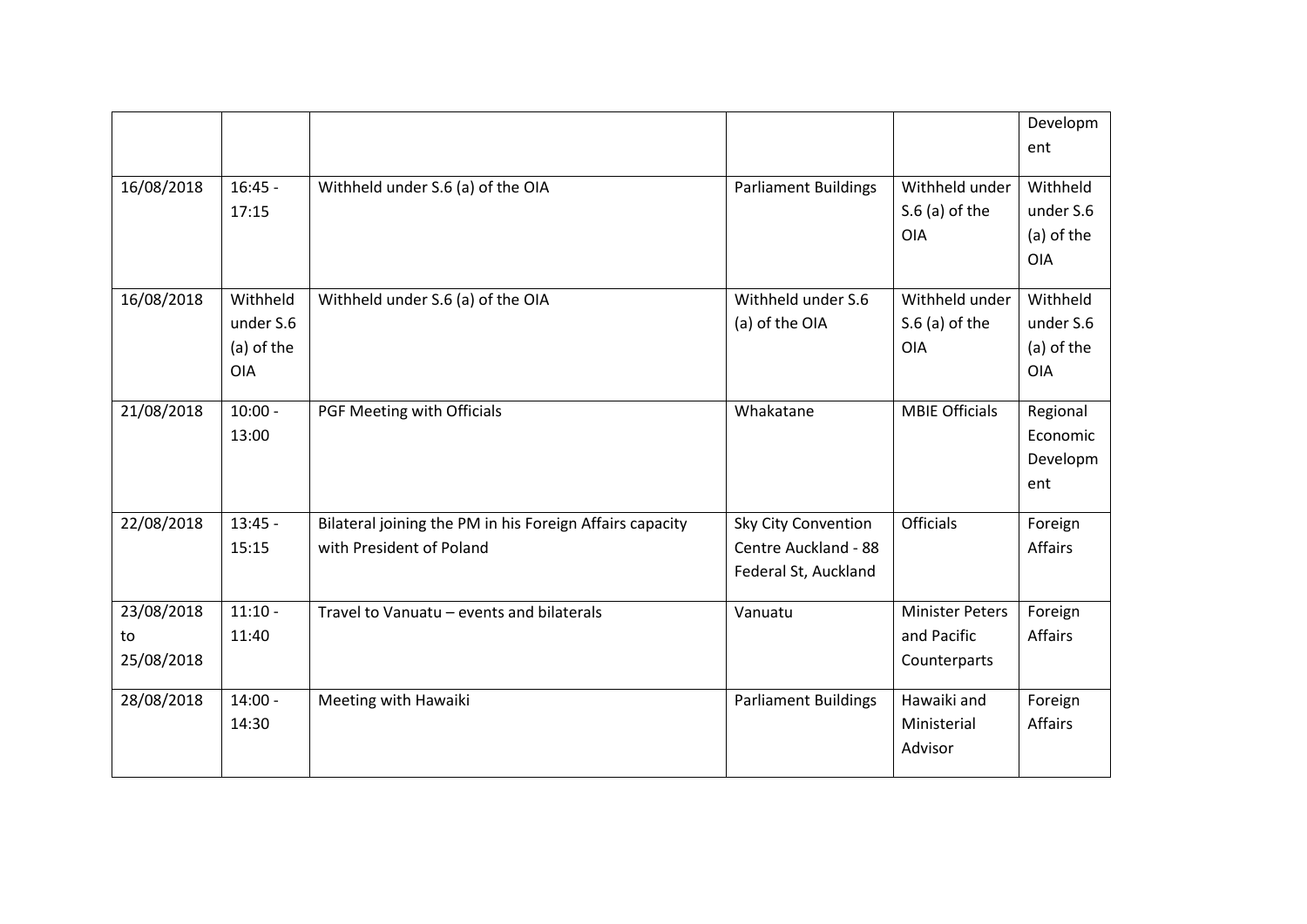|                                |                                                   |                                                                                      |                                                                     |                                                       | Developm<br>ent                                   |
|--------------------------------|---------------------------------------------------|--------------------------------------------------------------------------------------|---------------------------------------------------------------------|-------------------------------------------------------|---------------------------------------------------|
| 16/08/2018                     | $16:45 -$<br>17:15                                | Withheld under S.6 (a) of the OIA                                                    | <b>Parliament Buildings</b>                                         | Withheld under<br>$S.6$ (a) of the<br><b>OIA</b>      | Withheld<br>under S.6<br>(a) of the<br><b>OIA</b> |
| 16/08/2018                     | Withheld<br>under S.6<br>(a) of the<br><b>OIA</b> | Withheld under S.6 (a) of the OIA                                                    | Withheld under S.6<br>(a) of the OIA                                | Withheld under<br>$S.6$ (a) of the<br><b>OIA</b>      | Withheld<br>under S.6<br>(a) of the<br><b>OIA</b> |
| 21/08/2018                     | $10:00 -$<br>13:00                                | PGF Meeting with Officials                                                           | Whakatane                                                           | <b>MBIE Officials</b>                                 | Regional<br>Economic<br>Developm<br>ent           |
| 22/08/2018                     | $13:45 -$<br>15:15                                | Bilateral joining the PM in his Foreign Affairs capacity<br>with President of Poland | Sky City Convention<br>Centre Auckland - 88<br>Federal St, Auckland | Officials                                             | Foreign<br>Affairs                                |
| 23/08/2018<br>to<br>25/08/2018 | $11:10 -$<br>11:40                                | Travel to Vanuatu - events and bilaterals                                            | Vanuatu                                                             | <b>Minister Peters</b><br>and Pacific<br>Counterparts | Foreign<br><b>Affairs</b>                         |
| 28/08/2018                     | $14:00 -$<br>14:30                                | Meeting with Hawaiki                                                                 | <b>Parliament Buildings</b>                                         | Hawaiki and<br>Ministerial<br>Advisor                 | Foreign<br>Affairs                                |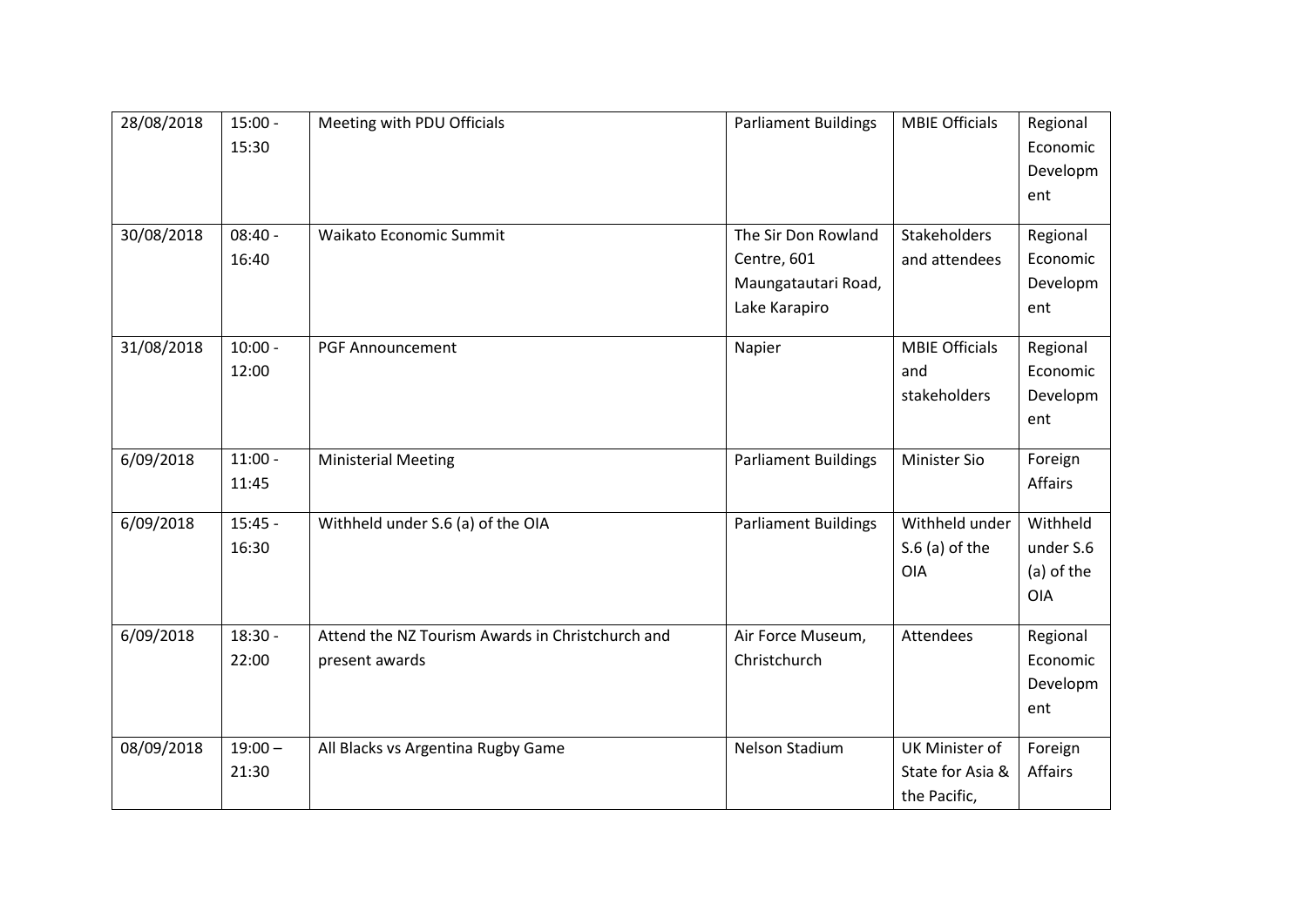| 28/08/2018 | $15:00 -$<br>15:30 | Meeting with PDU Officials                       | <b>Parliament Buildings</b> | <b>MBIE Officials</b> | Regional<br>Economic<br>Developm<br>ent |
|------------|--------------------|--------------------------------------------------|-----------------------------|-----------------------|-----------------------------------------|
|            |                    |                                                  |                             |                       |                                         |
| 30/08/2018 | $08:40 -$          | Waikato Economic Summit                          | The Sir Don Rowland         | Stakeholders          | Regional                                |
|            | 16:40              |                                                  | Centre, 601                 | and attendees         | Economic                                |
|            |                    |                                                  | Maungatautari Road,         |                       | Developm                                |
|            |                    |                                                  | Lake Karapiro               |                       | ent                                     |
| 31/08/2018 | $10:00 -$          | <b>PGF Announcement</b>                          | Napier                      | <b>MBIE Officials</b> | Regional                                |
|            | 12:00              |                                                  |                             | and                   | Economic                                |
|            |                    |                                                  |                             | stakeholders          | Developm                                |
|            |                    |                                                  |                             |                       | ent                                     |
| 6/09/2018  | $11:00 -$          | <b>Ministerial Meeting</b>                       | <b>Parliament Buildings</b> | <b>Minister Sio</b>   | Foreign                                 |
|            | 11:45              |                                                  |                             |                       | Affairs                                 |
| 6/09/2018  | $15:45 -$          | Withheld under S.6 (a) of the OIA                | <b>Parliament Buildings</b> | Withheld under        | Withheld                                |
|            | 16:30              |                                                  |                             | $S.6$ (a) of the      | under S.6                               |
|            |                    |                                                  |                             | OIA                   | (a) of the                              |
|            |                    |                                                  |                             |                       | <b>OIA</b>                              |
| 6/09/2018  | $18:30 -$          | Attend the NZ Tourism Awards in Christchurch and | Air Force Museum,           | Attendees             | Regional                                |
|            | 22:00              | present awards                                   | Christchurch                |                       | Economic                                |
|            |                    |                                                  |                             |                       | Developm                                |
|            |                    |                                                  |                             |                       | ent                                     |
| 08/09/2018 | $19:00 -$          | All Blacks vs Argentina Rugby Game               | Nelson Stadium              | UK Minister of        | Foreign                                 |
|            | 21:30              |                                                  |                             | State for Asia &      | Affairs                                 |
|            |                    |                                                  |                             | the Pacific,          |                                         |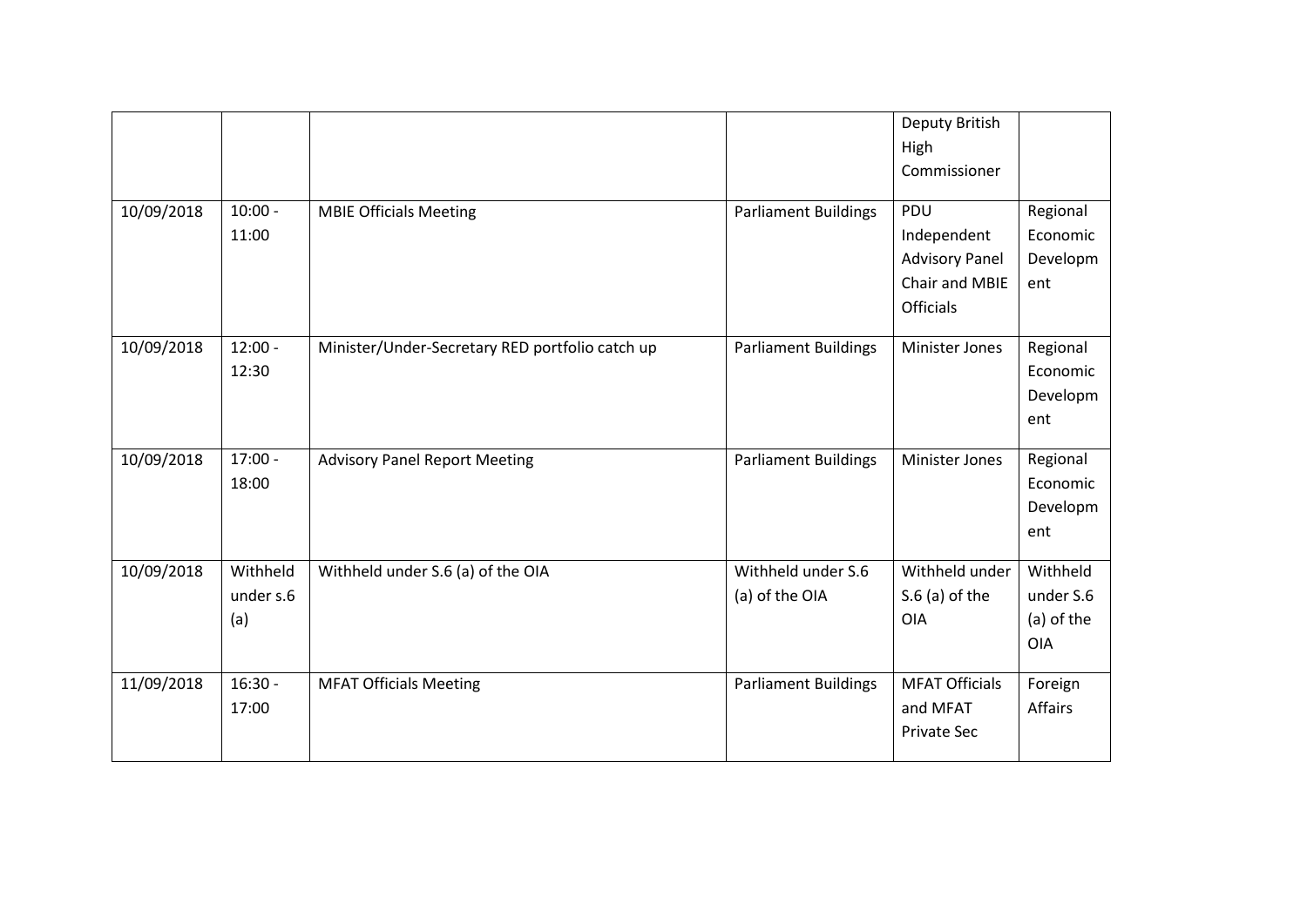|            |                              |                                                 |                                      | Deputy British<br>High<br>Commissioner                                            |                                                   |
|------------|------------------------------|-------------------------------------------------|--------------------------------------|-----------------------------------------------------------------------------------|---------------------------------------------------|
| 10/09/2018 | $10:00 -$<br>11:00           | <b>MBIE Officials Meeting</b>                   | <b>Parliament Buildings</b>          | PDU<br>Independent<br><b>Advisory Panel</b><br>Chair and MBIE<br><b>Officials</b> | Regional<br>Economic<br>Developm<br>ent           |
| 10/09/2018 | $12:00 -$<br>12:30           | Minister/Under-Secretary RED portfolio catch up | <b>Parliament Buildings</b>          | <b>Minister Jones</b>                                                             | Regional<br>Economic<br>Developm<br>ent           |
| 10/09/2018 | $17:00 -$<br>18:00           | <b>Advisory Panel Report Meeting</b>            | <b>Parliament Buildings</b>          | <b>Minister Jones</b>                                                             | Regional<br>Economic<br>Developm<br>ent           |
| 10/09/2018 | Withheld<br>under s.6<br>(a) | Withheld under S.6 (a) of the OIA               | Withheld under S.6<br>(a) of the OIA | Withheld under<br>$S.6$ (a) of the<br>OIA                                         | Withheld<br>under S.6<br>(a) of the<br><b>OIA</b> |
| 11/09/2018 | $16:30 -$<br>17:00           | <b>MFAT Officials Meeting</b>                   | <b>Parliament Buildings</b>          | <b>MFAT Officials</b><br>and MFAT<br><b>Private Sec</b>                           | Foreign<br><b>Affairs</b>                         |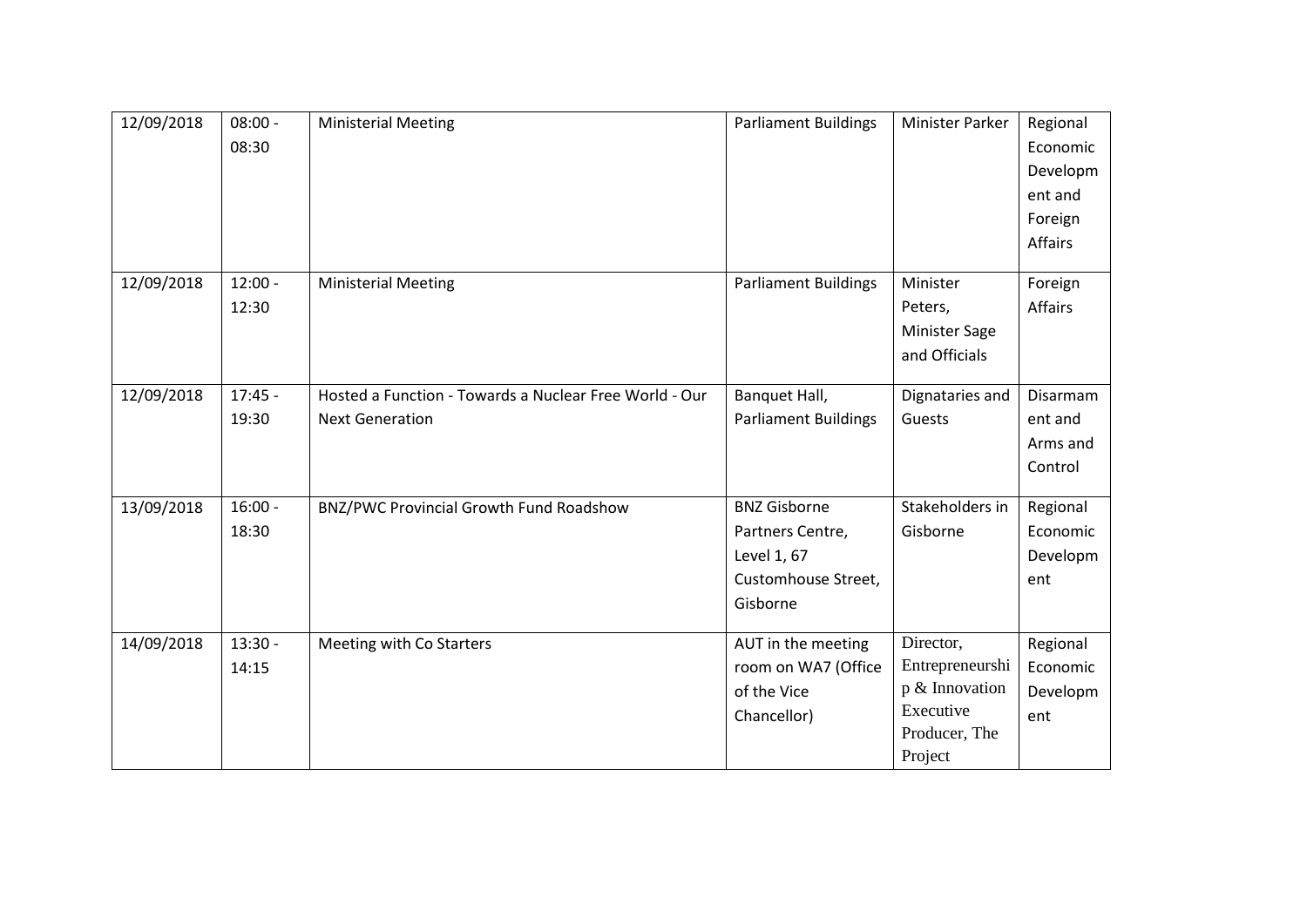| 12/09/2018 | $08:00 -$<br>08:30 | <b>Ministerial Meeting</b>                                                       | <b>Parliament Buildings</b>                                                               | <b>Minister Parker</b>                                                                  | Regional<br>Economic<br>Developm<br>ent and<br>Foreign<br>Affairs |
|------------|--------------------|----------------------------------------------------------------------------------|-------------------------------------------------------------------------------------------|-----------------------------------------------------------------------------------------|-------------------------------------------------------------------|
| 12/09/2018 | $12:00 -$<br>12:30 | <b>Ministerial Meeting</b>                                                       | <b>Parliament Buildings</b>                                                               | Minister<br>Peters,<br><b>Minister Sage</b><br>and Officials                            | Foreign<br>Affairs                                                |
| 12/09/2018 | $17:45 -$<br>19:30 | Hosted a Function - Towards a Nuclear Free World - Our<br><b>Next Generation</b> | Banquet Hall,<br><b>Parliament Buildings</b>                                              | Dignataries and<br>Guests                                                               | Disarmam<br>ent and<br>Arms and<br>Control                        |
| 13/09/2018 | $16:00 -$<br>18:30 | BNZ/PWC Provincial Growth Fund Roadshow                                          | <b>BNZ Gisborne</b><br>Partners Centre,<br>Level 1, 67<br>Customhouse Street,<br>Gisborne | Stakeholders in<br>Gisborne                                                             | Regional<br>Economic<br>Developm<br>ent                           |
| 14/09/2018 | $13:30 -$<br>14:15 | Meeting with Co Starters                                                         | AUT in the meeting<br>room on WA7 (Office<br>of the Vice<br>Chancellor)                   | Director,<br>Entrepreneurshi<br>p & Innovation<br>Executive<br>Producer, The<br>Project | Regional<br>Economic<br>Developm<br>ent                           |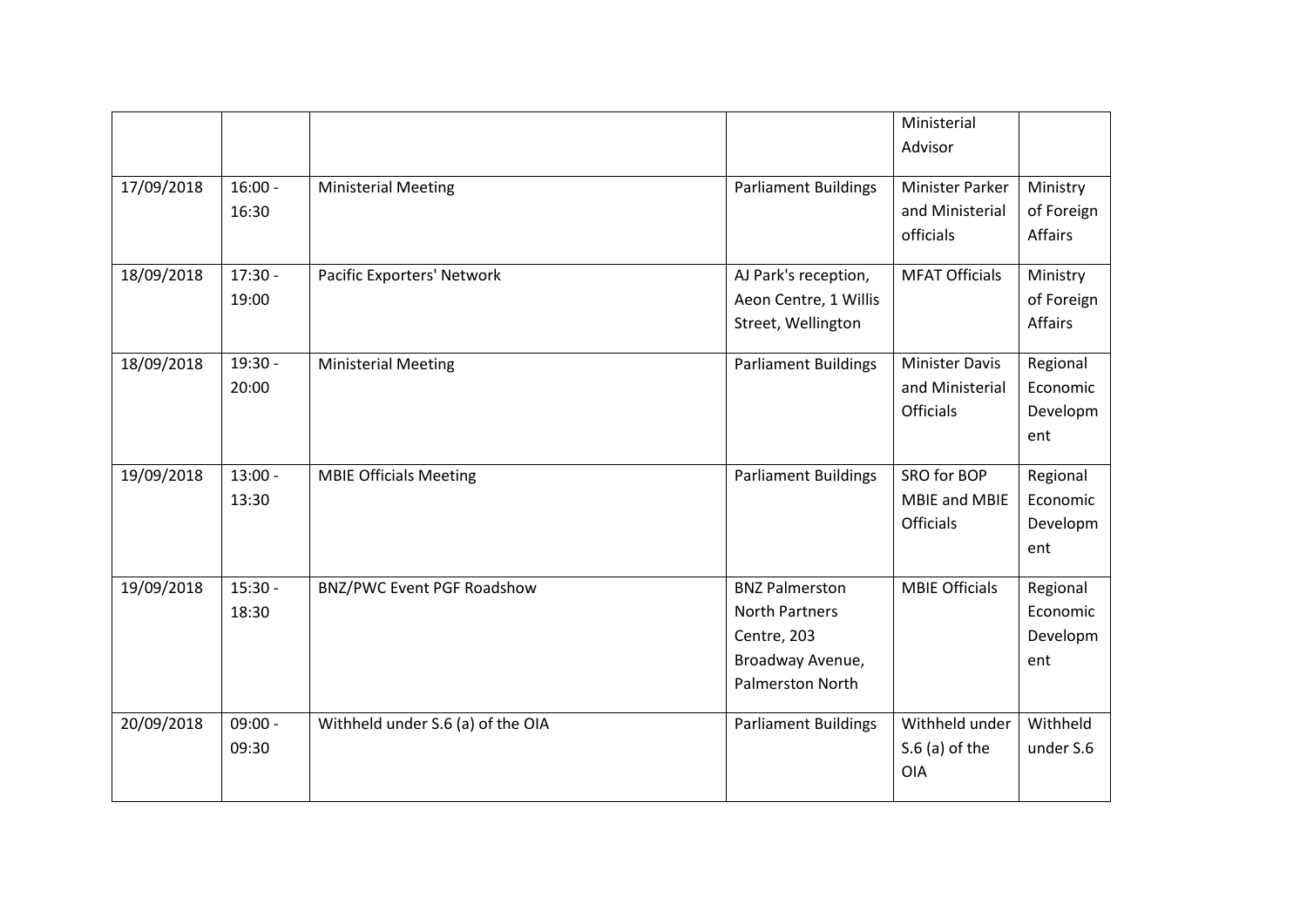|            |                    |                                   |                                                                                                       | Ministerial<br>Advisor                                       |                                          |
|------------|--------------------|-----------------------------------|-------------------------------------------------------------------------------------------------------|--------------------------------------------------------------|------------------------------------------|
| 17/09/2018 | $16:00 -$<br>16:30 | <b>Ministerial Meeting</b>        | <b>Parliament Buildings</b>                                                                           | Minister Parker<br>and Ministerial<br>officials              | Ministry<br>of Foreign<br><b>Affairs</b> |
| 18/09/2018 | $17:30 -$<br>19:00 | Pacific Exporters' Network        | AJ Park's reception,<br>Aeon Centre, 1 Willis<br>Street, Wellington                                   | <b>MFAT Officials</b>                                        | Ministry<br>of Foreign<br>Affairs        |
| 18/09/2018 | $19:30 -$<br>20:00 | <b>Ministerial Meeting</b>        | <b>Parliament Buildings</b>                                                                           | <b>Minister Davis</b><br>and Ministerial<br><b>Officials</b> | Regional<br>Economic<br>Developm<br>ent  |
| 19/09/2018 | $13:00 -$<br>13:30 | <b>MBIE Officials Meeting</b>     | <b>Parliament Buildings</b>                                                                           | SRO for BOP<br><b>MBIE and MBIE</b><br><b>Officials</b>      | Regional<br>Economic<br>Developm<br>ent  |
| 19/09/2018 | $15:30 -$<br>18:30 | BNZ/PWC Event PGF Roadshow        | <b>BNZ Palmerston</b><br><b>North Partners</b><br>Centre, 203<br>Broadway Avenue,<br>Palmerston North | <b>MBIE Officials</b>                                        | Regional<br>Economic<br>Developm<br>ent  |
| 20/09/2018 | $09:00 -$<br>09:30 | Withheld under S.6 (a) of the OIA | <b>Parliament Buildings</b>                                                                           | Withheld under<br>$S.6$ (a) of the<br>OIA                    | Withheld<br>under S.6                    |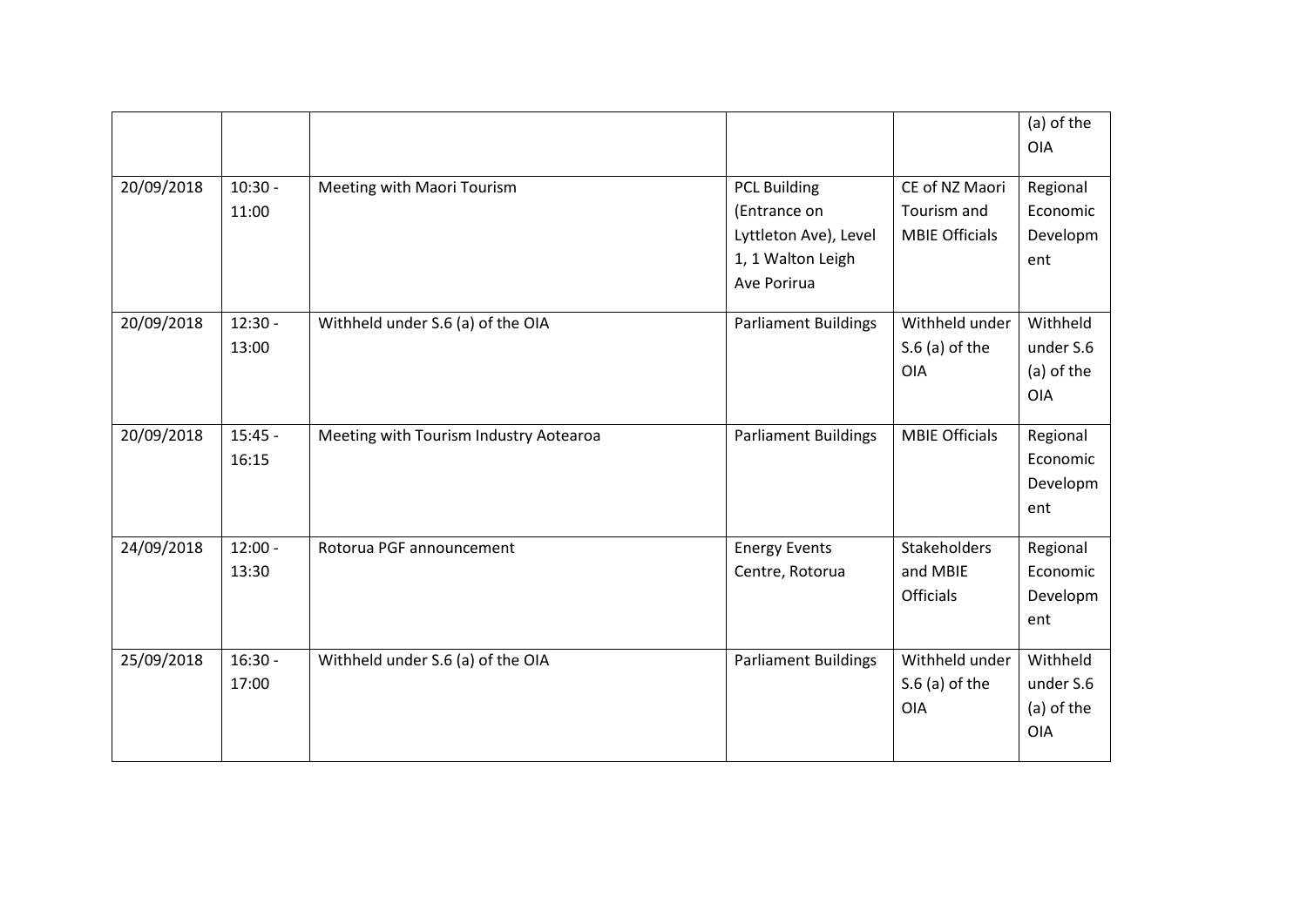|            |                    |                                        |                                                                                                  |                                                        | (a) of the<br><b>OIA</b>                          |
|------------|--------------------|----------------------------------------|--------------------------------------------------------------------------------------------------|--------------------------------------------------------|---------------------------------------------------|
| 20/09/2018 | $10:30 -$<br>11:00 | Meeting with Maori Tourism             | <b>PCL Building</b><br>(Entrance on<br>Lyttleton Ave), Level<br>1, 1 Walton Leigh<br>Ave Porirua | CE of NZ Maori<br>Tourism and<br><b>MBIE Officials</b> | Regional<br>Economic<br>Developm<br>ent           |
| 20/09/2018 | $12:30 -$<br>13:00 | Withheld under S.6 (a) of the OIA      | <b>Parliament Buildings</b>                                                                      | Withheld under<br>$S.6$ (a) of the<br><b>OIA</b>       | Withheld<br>under S.6<br>(a) of the<br><b>OIA</b> |
| 20/09/2018 | $15:45 -$<br>16:15 | Meeting with Tourism Industry Aotearoa | <b>Parliament Buildings</b>                                                                      | <b>MBIE Officials</b>                                  | Regional<br>Economic<br>Developm<br>ent           |
| 24/09/2018 | $12:00 -$<br>13:30 | Rotorua PGF announcement               | <b>Energy Events</b><br>Centre, Rotorua                                                          | Stakeholders<br>and MBIE<br><b>Officials</b>           | Regional<br>Economic<br>Developm<br>ent           |
| 25/09/2018 | $16:30 -$<br>17:00 | Withheld under S.6 (a) of the OIA      | <b>Parliament Buildings</b>                                                                      | Withheld under<br>$S.6$ (a) of the<br><b>OIA</b>       | Withheld<br>under S.6<br>(a) of the<br><b>OIA</b> |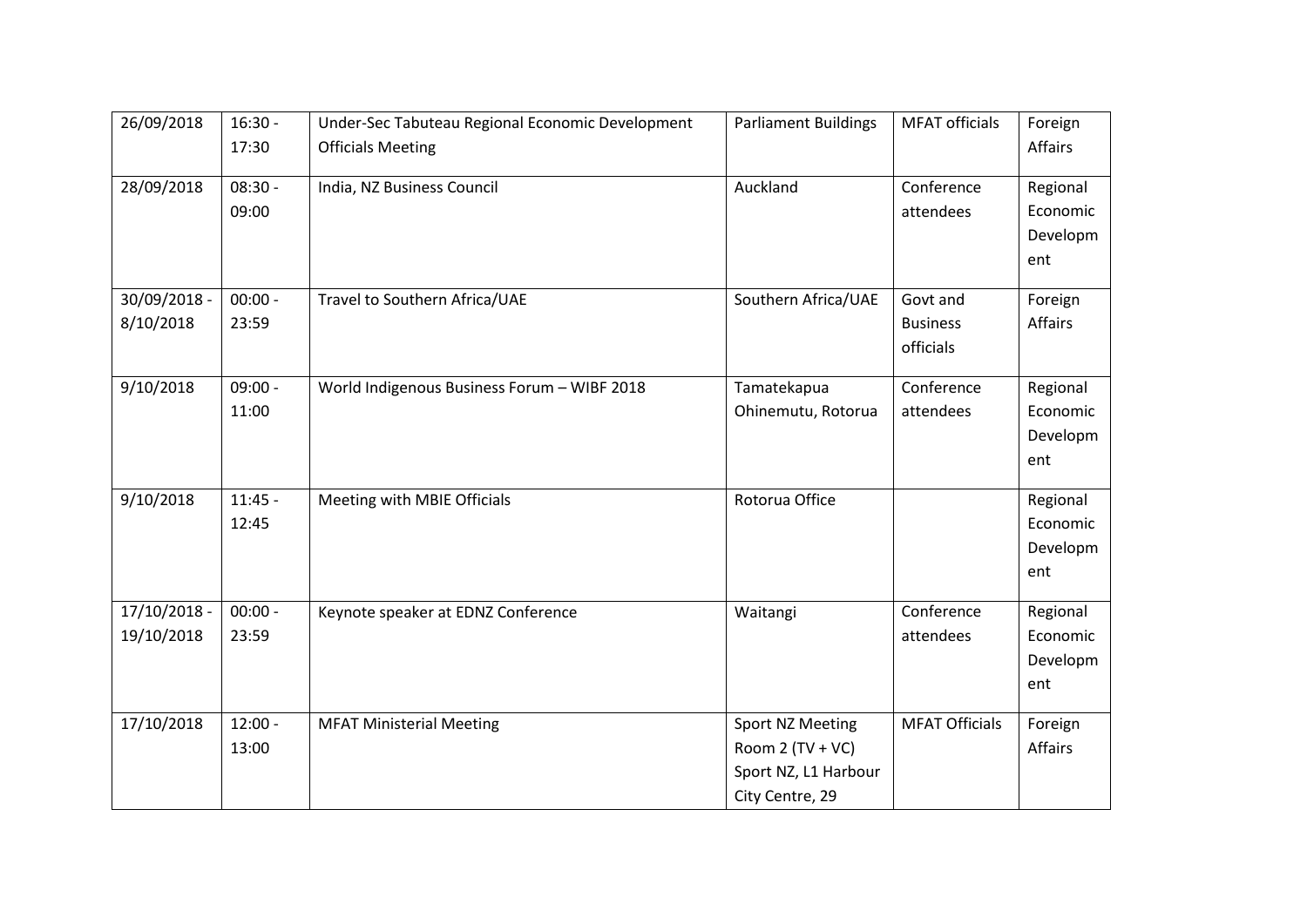| 26/09/2018                 | $16:30 -$<br>17:30 | Under-Sec Tabuteau Regional Economic Development<br><b>Officials Meeting</b> | <b>Parliament Buildings</b>                                                     | <b>MFAT</b> officials                    | Foreign<br>Affairs                      |
|----------------------------|--------------------|------------------------------------------------------------------------------|---------------------------------------------------------------------------------|------------------------------------------|-----------------------------------------|
| 28/09/2018                 | $08:30 -$<br>09:00 | India, NZ Business Council                                                   | Auckland                                                                        | Conference<br>attendees                  | Regional<br>Economic<br>Developm<br>ent |
| 30/09/2018 -<br>8/10/2018  | $00:00 -$<br>23:59 | Travel to Southern Africa/UAE                                                | Southern Africa/UAE                                                             | Govt and<br><b>Business</b><br>officials | Foreign<br>Affairs                      |
| 9/10/2018                  | $09:00 -$<br>11:00 | World Indigenous Business Forum - WIBF 2018                                  | Tamatekapua<br>Ohinemutu, Rotorua                                               | Conference<br>attendees                  | Regional<br>Economic<br>Developm<br>ent |
| 9/10/2018                  | $11:45 -$<br>12:45 | Meeting with MBIE Officials                                                  | Rotorua Office                                                                  |                                          | Regional<br>Economic<br>Developm<br>ent |
| 17/10/2018 -<br>19/10/2018 | $00:00 -$<br>23:59 | Keynote speaker at EDNZ Conference                                           | Waitangi                                                                        | Conference<br>attendees                  | Regional<br>Economic<br>Developm<br>ent |
| 17/10/2018                 | $12:00 -$<br>13:00 | <b>MFAT Ministerial Meeting</b>                                              | Sport NZ Meeting<br>Room 2 (TV + VC)<br>Sport NZ, L1 Harbour<br>City Centre, 29 | <b>MFAT Officials</b>                    | Foreign<br><b>Affairs</b>               |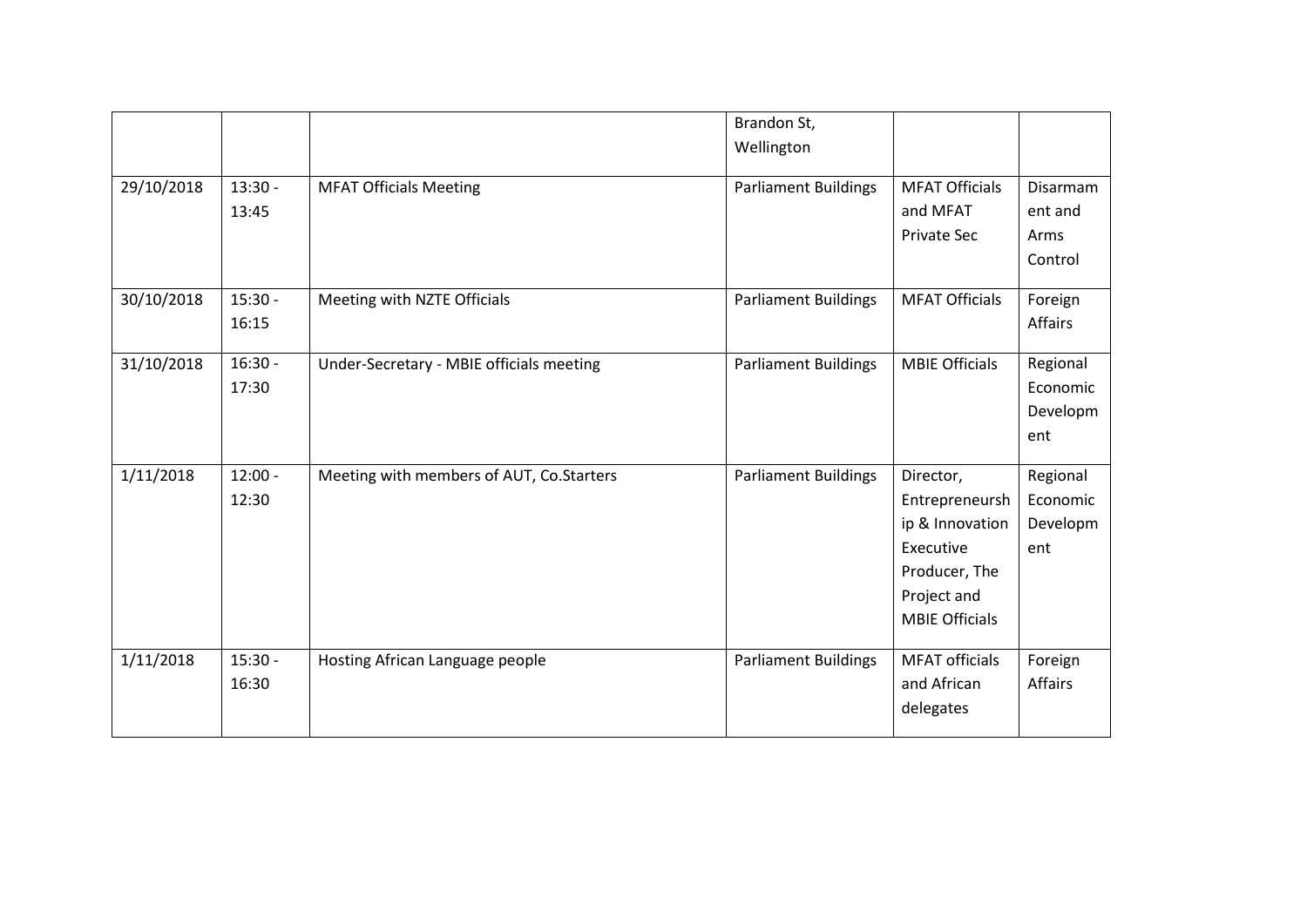|            |                    |                                          | Brandon St,<br>Wellington   |                                                                                                                      |                                         |
|------------|--------------------|------------------------------------------|-----------------------------|----------------------------------------------------------------------------------------------------------------------|-----------------------------------------|
| 29/10/2018 | $13:30 -$<br>13:45 | <b>MFAT Officials Meeting</b>            | <b>Parliament Buildings</b> | <b>MFAT Officials</b><br>and MFAT<br>Private Sec                                                                     | Disarmam<br>ent and<br>Arms<br>Control  |
| 30/10/2018 | $15:30 -$<br>16:15 | Meeting with NZTE Officials              | Parliament Buildings        | <b>MFAT Officials</b>                                                                                                | Foreign<br>Affairs                      |
| 31/10/2018 | $16:30 -$<br>17:30 | Under-Secretary - MBIE officials meeting | <b>Parliament Buildings</b> | <b>MBIE Officials</b>                                                                                                | Regional<br>Economic<br>Developm<br>ent |
| 1/11/2018  | $12:00 -$<br>12:30 | Meeting with members of AUT, Co.Starters | <b>Parliament Buildings</b> | Director,<br>Entrepreneursh<br>ip & Innovation<br>Executive<br>Producer, The<br>Project and<br><b>MBIE Officials</b> | Regional<br>Economic<br>Developm<br>ent |
| 1/11/2018  | $15:30 -$<br>16:30 | Hosting African Language people          | <b>Parliament Buildings</b> | <b>MFAT</b> officials<br>and African<br>delegates                                                                    | Foreign<br>Affairs                      |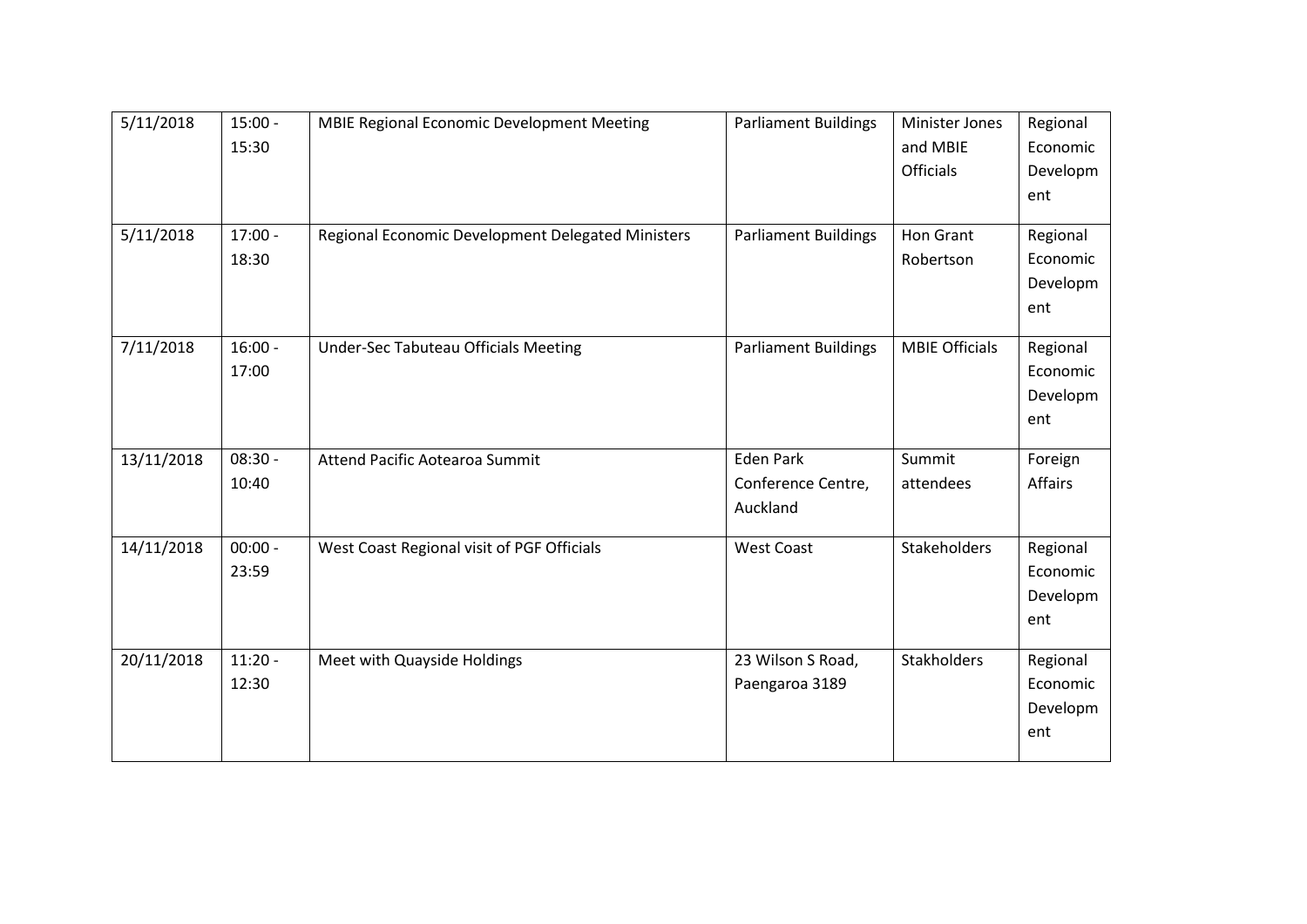| 5/11/2018  | $15:00 -$ | MBIE Regional Economic Development Meeting        | <b>Parliament Buildings</b> | <b>Minister Jones</b> | Regional |
|------------|-----------|---------------------------------------------------|-----------------------------|-----------------------|----------|
|            | 15:30     |                                                   |                             | and MBIE              | Economic |
|            |           |                                                   |                             | Officials             | Developm |
|            |           |                                                   |                             |                       | ent      |
| 5/11/2018  | $17:00 -$ | Regional Economic Development Delegated Ministers | <b>Parliament Buildings</b> | Hon Grant             | Regional |
|            | 18:30     |                                                   |                             | Robertson             | Economic |
|            |           |                                                   |                             |                       | Developm |
|            |           |                                                   |                             |                       | ent      |
|            |           |                                                   |                             |                       |          |
| 7/11/2018  | $16:00 -$ | <b>Under-Sec Tabuteau Officials Meeting</b>       | <b>Parliament Buildings</b> | <b>MBIE Officials</b> | Regional |
|            | 17:00     |                                                   |                             |                       | Economic |
|            |           |                                                   |                             |                       | Developm |
|            |           |                                                   |                             |                       | ent      |
| 13/11/2018 | $08:30 -$ | <b>Attend Pacific Aotearoa Summit</b>             | <b>Eden Park</b>            | Summit                | Foreign  |
|            | 10:40     |                                                   | Conference Centre,          | attendees             | Affairs  |
|            |           |                                                   | Auckland                    |                       |          |
| 14/11/2018 | $00:00 -$ | West Coast Regional visit of PGF Officials        | <b>West Coast</b>           | Stakeholders          | Regional |
|            | 23:59     |                                                   |                             |                       | Economic |
|            |           |                                                   |                             |                       | Developm |
|            |           |                                                   |                             |                       | ent      |
|            |           |                                                   |                             |                       |          |
| 20/11/2018 | $11:20 -$ | Meet with Quayside Holdings                       | 23 Wilson S Road,           | Stakholders           | Regional |
|            | 12:30     |                                                   | Paengaroa 3189              |                       | Economic |
|            |           |                                                   |                             |                       | Developm |
|            |           |                                                   |                             |                       | ent      |
|            |           |                                                   |                             |                       |          |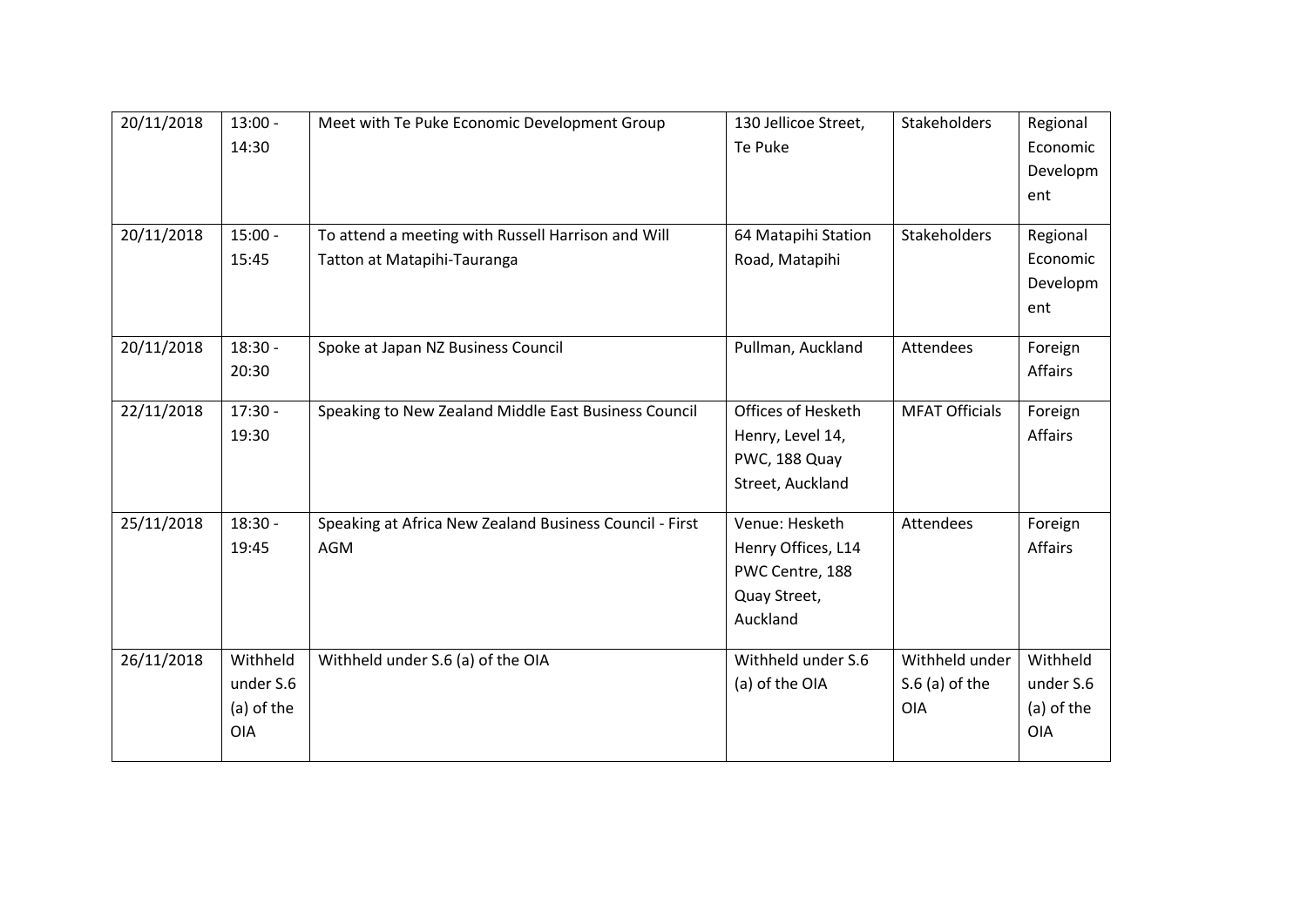| 20/11/2018 | $13:00 -$  | Meet with Te Puke Economic Development Group            | 130 Jellicoe Street, | Stakeholders          | Regional   |
|------------|------------|---------------------------------------------------------|----------------------|-----------------------|------------|
|            | 14:30      |                                                         | Te Puke              |                       | Economic   |
|            |            |                                                         |                      |                       | Developm   |
|            |            |                                                         |                      |                       | ent        |
| 20/11/2018 | $15:00 -$  | To attend a meeting with Russell Harrison and Will      | 64 Matapihi Station  | <b>Stakeholders</b>   | Regional   |
|            | 15:45      | Tatton at Matapihi-Tauranga                             | Road, Matapihi       |                       | Economic   |
|            |            |                                                         |                      |                       | Developm   |
|            |            |                                                         |                      |                       | ent        |
| 20/11/2018 | $18:30 -$  | Spoke at Japan NZ Business Council                      | Pullman, Auckland    | Attendees             | Foreign    |
|            | 20:30      |                                                         |                      |                       | Affairs    |
| 22/11/2018 | $17:30 -$  | Speaking to New Zealand Middle East Business Council    | Offices of Hesketh   | <b>MFAT Officials</b> | Foreign    |
|            | 19:30      |                                                         | Henry, Level 14,     |                       | Affairs    |
|            |            |                                                         | PWC, 188 Quay        |                       |            |
|            |            |                                                         | Street, Auckland     |                       |            |
| 25/11/2018 | $18:30 -$  | Speaking at Africa New Zealand Business Council - First | Venue: Hesketh       | Attendees             | Foreign    |
|            | 19:45      | AGM                                                     | Henry Offices, L14   |                       | Affairs    |
|            |            |                                                         | PWC Centre, 188      |                       |            |
|            |            |                                                         | Quay Street,         |                       |            |
|            |            |                                                         | Auckland             |                       |            |
| 26/11/2018 | Withheld   | Withheld under S.6 (a) of the OIA                       | Withheld under S.6   | Withheld under        | Withheld   |
|            | under S.6  |                                                         | (a) of the OIA       | $S.6$ (a) of the      | under S.6  |
|            | (a) of the |                                                         |                      | <b>OIA</b>            | (a) of the |
|            | <b>OIA</b> |                                                         |                      |                       | <b>OIA</b> |
|            |            |                                                         |                      |                       |            |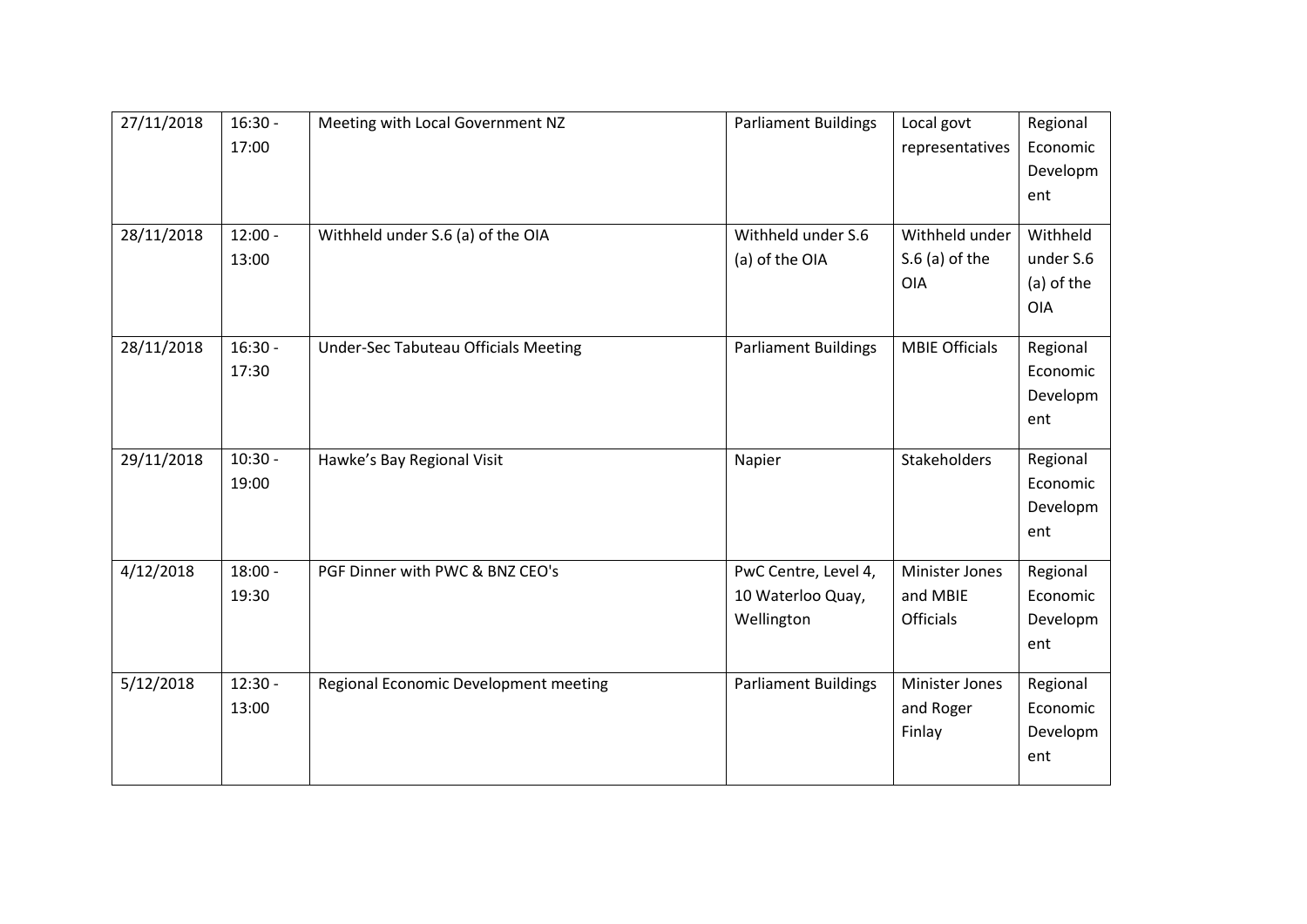| 27/11/2018 | $16:30 -$ | Meeting with Local Government NZ      | <b>Parliament Buildings</b> | Local govt            | Regional   |
|------------|-----------|---------------------------------------|-----------------------------|-----------------------|------------|
|            | 17:00     |                                       |                             | representatives       | Economic   |
|            |           |                                       |                             |                       | Developm   |
|            |           |                                       |                             |                       | ent        |
|            |           |                                       |                             |                       |            |
| 28/11/2018 | $12:00 -$ | Withheld under S.6 (a) of the OIA     | Withheld under S.6          | Withheld under        | Withheld   |
|            | 13:00     |                                       | (a) of the OIA              | $S.6$ (a) of the      | under S.6  |
|            |           |                                       |                             | <b>OIA</b>            | (a) of the |
|            |           |                                       |                             |                       | <b>OIA</b> |
|            |           |                                       |                             |                       |            |
| 28/11/2018 | $16:30 -$ | Under-Sec Tabuteau Officials Meeting  | <b>Parliament Buildings</b> | <b>MBIE Officials</b> | Regional   |
|            | 17:30     |                                       |                             |                       | Economic   |
|            |           |                                       |                             |                       | Developm   |
|            |           |                                       |                             |                       | ent        |
| 29/11/2018 | $10:30 -$ | Hawke's Bay Regional Visit            | Napier                      | Stakeholders          | Regional   |
|            | 19:00     |                                       |                             |                       | Economic   |
|            |           |                                       |                             |                       | Developm   |
|            |           |                                       |                             |                       | ent        |
|            |           |                                       |                             |                       |            |
| 4/12/2018  | $18:00 -$ | PGF Dinner with PWC & BNZ CEO's       | PwC Centre, Level 4,        | <b>Minister Jones</b> | Regional   |
|            | 19:30     |                                       | 10 Waterloo Quay,           | and MBIE              | Economic   |
|            |           |                                       | Wellington                  | Officials             | Developm   |
|            |           |                                       |                             |                       | ent        |
|            |           |                                       |                             |                       |            |
| 5/12/2018  | $12:30 -$ | Regional Economic Development meeting | <b>Parliament Buildings</b> | Minister Jones        | Regional   |
|            | 13:00     |                                       |                             | and Roger             | Economic   |
|            |           |                                       |                             | Finlay                | Developm   |
|            |           |                                       |                             |                       | ent        |
|            |           |                                       |                             |                       |            |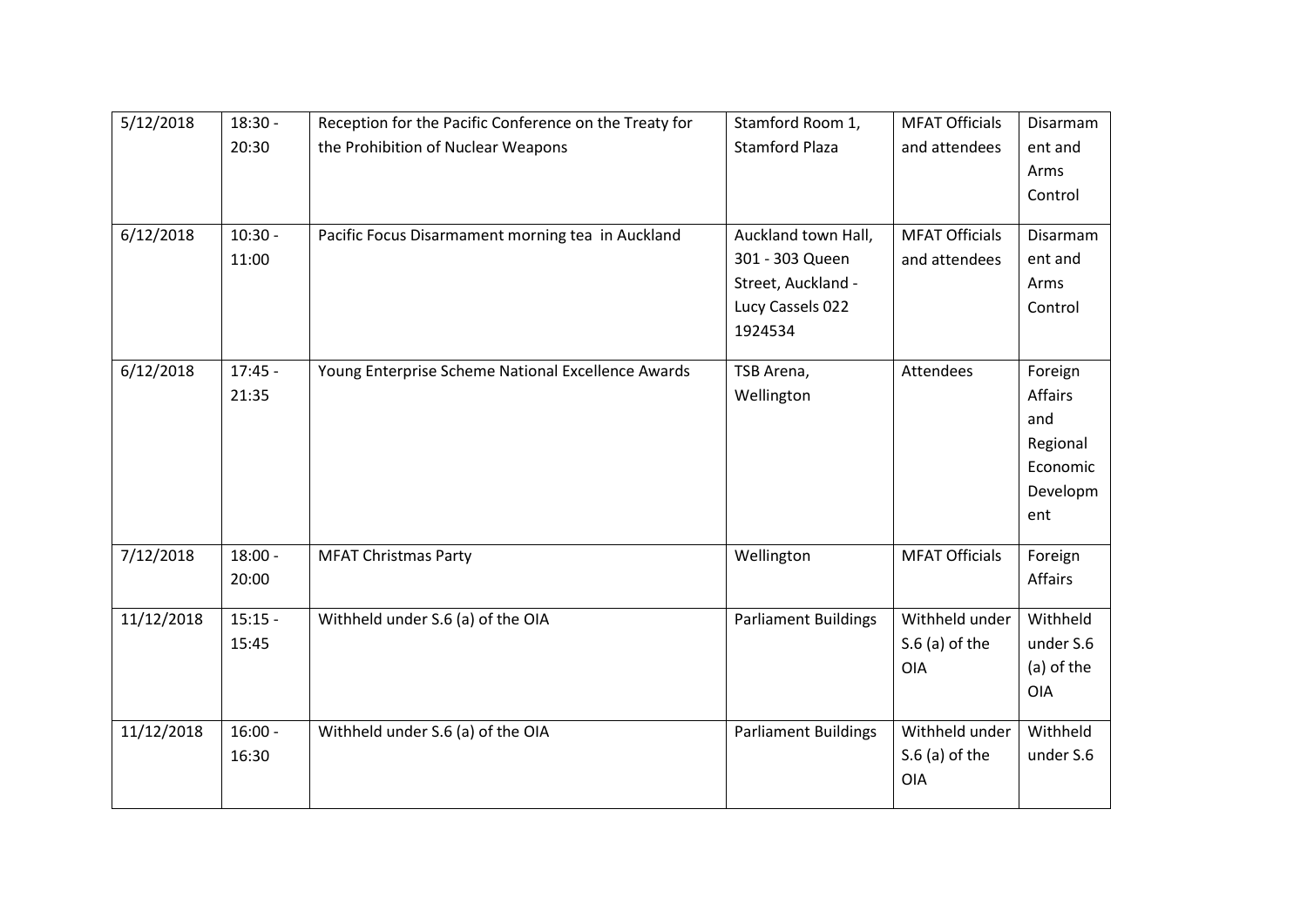| 5/12/2018  | $18:30 -$ | Reception for the Pacific Conference on the Treaty for | Stamford Room 1,            | <b>MFAT Officials</b> | Disarmam   |
|------------|-----------|--------------------------------------------------------|-----------------------------|-----------------------|------------|
|            | 20:30     | the Prohibition of Nuclear Weapons                     | <b>Stamford Plaza</b>       | and attendees         | ent and    |
|            |           |                                                        |                             |                       | Arms       |
|            |           |                                                        |                             |                       | Control    |
|            |           |                                                        |                             |                       |            |
| 6/12/2018  | $10:30 -$ | Pacific Focus Disarmament morning tea in Auckland      | Auckland town Hall,         | <b>MFAT Officials</b> | Disarmam   |
|            | 11:00     |                                                        | 301 - 303 Queen             | and attendees         | ent and    |
|            |           |                                                        | Street, Auckland -          |                       | Arms       |
|            |           |                                                        | Lucy Cassels 022            |                       | Control    |
|            |           |                                                        | 1924534                     |                       |            |
| 6/12/2018  | $17:45 -$ | Young Enterprise Scheme National Excellence Awards     | TSB Arena,                  | Attendees             | Foreign    |
|            | 21:35     |                                                        | Wellington                  |                       | Affairs    |
|            |           |                                                        |                             |                       | and        |
|            |           |                                                        |                             |                       | Regional   |
|            |           |                                                        |                             |                       | Economic   |
|            |           |                                                        |                             |                       | Developm   |
|            |           |                                                        |                             |                       | ent        |
|            |           |                                                        |                             |                       |            |
| 7/12/2018  | $18:00 -$ | <b>MFAT Christmas Party</b>                            | Wellington                  | <b>MFAT Officials</b> | Foreign    |
|            | 20:00     |                                                        |                             |                       | Affairs    |
|            |           |                                                        |                             |                       |            |
| 11/12/2018 | $15:15 -$ | Withheld under S.6 (a) of the OIA                      | <b>Parliament Buildings</b> | Withheld under        | Withheld   |
|            | 15:45     |                                                        |                             | $S.6$ (a) of the      | under S.6  |
|            |           |                                                        |                             | <b>OIA</b>            | (a) of the |
|            |           |                                                        |                             |                       | <b>OIA</b> |
| 11/12/2018 | $16:00 -$ | Withheld under S.6 (a) of the OIA                      | <b>Parliament Buildings</b> | Withheld under        | Withheld   |
|            | 16:30     |                                                        |                             | $S.6$ (a) of the      | under S.6  |
|            |           |                                                        |                             | <b>OIA</b>            |            |
|            |           |                                                        |                             |                       |            |